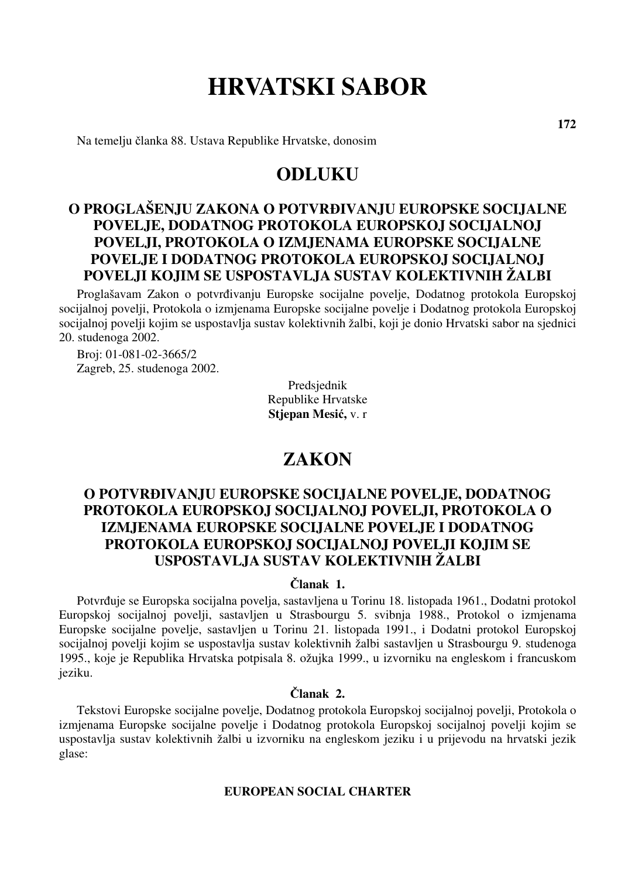# **HRVATSKI SABOR**

Na temelju članka 88. Ustava Republike Hrvatske, donosim

# **ODLUKU**

# **O PROGLAŠENJU ZAKONA O POTVR**Đ**IVANJU EUROPSKE SOCIJALNE POVELJE, DODATNOG PROTOKOLA EUROPSKOJ SOCIJALNOJ POVELJI, PROTOKOLA O IZMJENAMA EUROPSKE SOCIJALNE POVELJE I DODATNOG PROTOKOLA EUROPSKOJ SOCIJALNOJ POVELJI KOJIM SE USPOSTAVLJA SUSTAV KOLEKTIVNIH ŽALBI**

Proglašavam Zakon o potvrđivanju Europske socijalne povelje, Dodatnog protokola Europskoj socijalnoj povelji, Protokola o izmjenama Europske socijalne povelje i Dodatnog protokola Europskoj socijalnoj povelji kojim se uspostavlja sustav kolektivnih žalbi, koji je donio Hrvatski sabor na sjednici 20. studenoga 2002.

Broj: 01-081-02-3665/2 Zagreb, 25. studenoga 2002.

> Predsjednik Republike Hrvatske **Stjepan Mesi**ć**,** v. r

# **ZAKON**

# **O POTVR**Đ**IVANJU EUROPSKE SOCIJALNE POVELJE, DODATNOG PROTOKOLA EUROPSKOJ SOCIJALNOJ POVELJI, PROTOKOLA O IZMJENAMA EUROPSKE SOCIJALNE POVELJE I DODATNOG PROTOKOLA EUROPSKOJ SOCIJALNOJ POVELJI KOJIM SE USPOSTAVLJA SUSTAV KOLEKTIVNIH ŽALBI**

Č**lanak 1.**

Potvrđuje se Europska socijalna povelja, sastavljena u Torinu 18. listopada 1961., Dodatni protokol Europskoj socijalnoj povelji, sastavljen u Strasbourgu 5. svibnja 1988., Protokol o izmjenama Europske socijalne povelje, sastavljen u Torinu 21. listopada 1991., i Dodatni protokol Europskoj socijalnoj povelji kojim se uspostavlja sustav kolektivnih žalbi sastavljen u Strasbourgu 9. studenoga 1995., koje je Republika Hrvatska potpisala 8. ožujka 1999., u izvorniku na engleskom i francuskom jeziku.

### Č**lanak 2.**

Tekstovi Europske socijalne povelje, Dodatnog protokola Europskoj socijalnoj povelji, Protokola o izmjenama Europske socijalne povelje i Dodatnog protokola Europskoj socijalnoj povelji kojim se uspostavlja sustav kolektivnih žalbi u izvorniku na engleskom jeziku i u prijevodu na hrvatski jezik glase:

#### **EUROPEAN SOCIAL CHARTER**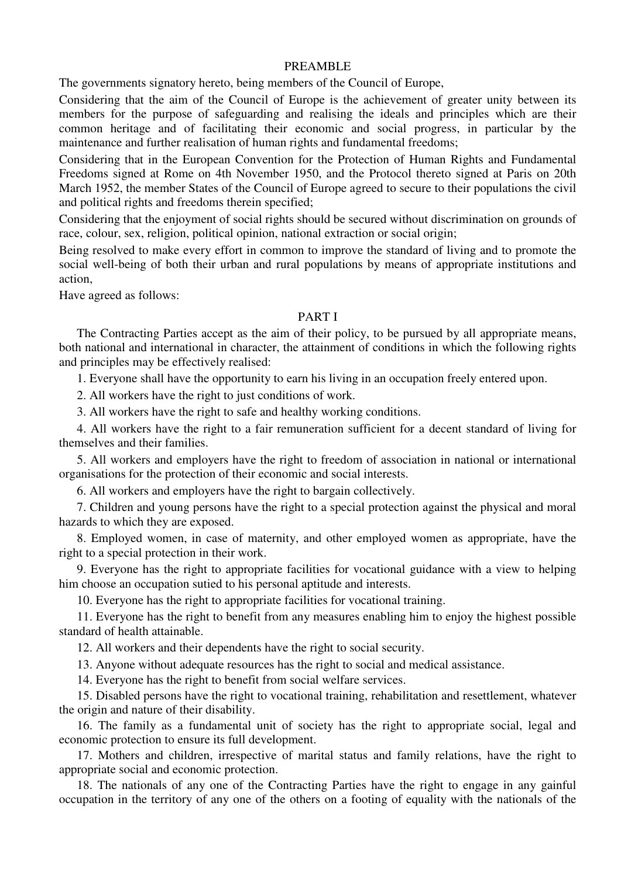#### PREAMBLE

The governments signatory hereto, being members of the Council of Europe,

Considering that the aim of the Council of Europe is the achievement of greater unity between its members for the purpose of safeguarding and realising the ideals and principles which are their common heritage and of facilitating their economic and social progress, in particular by the maintenance and further realisation of human rights and fundamental freedoms;

Considering that in the European Convention for the Protection of Human Rights and Fundamental Freedoms signed at Rome on 4th November 1950, and the Protocol thereto signed at Paris on 20th March 1952, the member States of the Council of Europe agreed to secure to their populations the civil and political rights and freedoms therein specified;

Considering that the enjoyment of social rights should be secured without discrimination on grounds of race, colour, sex, religion, political opinion, national extraction or social origin;

Being resolved to make every effort in common to improve the standard of living and to promote the social well-being of both their urban and rural populations by means of appropriate institutions and action,

Have agreed as follows:

### PART I

The Contracting Parties accept as the aim of their policy, to be pursued by all appropriate means, both national and international in character, the attainment of conditions in which the following rights and principles may be effectively realised:

1. Everyone shall have the opportunity to earn his living in an occupation freely entered upon.

2. All workers have the right to just conditions of work.

3. All workers have the right to safe and healthy working conditions.

4. All workers have the right to a fair remuneration sufficient for a decent standard of living for themselves and their families.

5. All workers and employers have the right to freedom of association in national or international organisations for the protection of their economic and social interests.

6. All workers and employers have the right to bargain collectively.

7. Children and young persons have the right to a special protection against the physical and moral hazards to which they are exposed.

8. Employed women, in case of maternity, and other employed women as appropriate, have the right to a special protection in their work.

9. Everyone has the right to appropriate facilities for vocational guidance with a view to helping him choose an occupation sutied to his personal aptitude and interests.

10. Everyone has the right to appropriate facilities for vocational training.

11. Everyone has the right to benefit from any measures enabling him to enjoy the highest possible standard of health attainable.

12. All workers and their dependents have the right to social security.

13. Anyone without adequate resources has the right to social and medical assistance.

14. Everyone has the right to benefit from social welfare services.

15. Disabled persons have the right to vocational training, rehabilitation and resettlement, whatever the origin and nature of their disability.

16. The family as a fundamental unit of society has the right to appropriate social, legal and economic protection to ensure its full development.

17. Mothers and children, irrespective of marital status and family relations, have the right to appropriate social and economic protection.

18. The nationals of any one of the Contracting Parties have the right to engage in any gainful occupation in the territory of any one of the others on a footing of equality with the nationals of the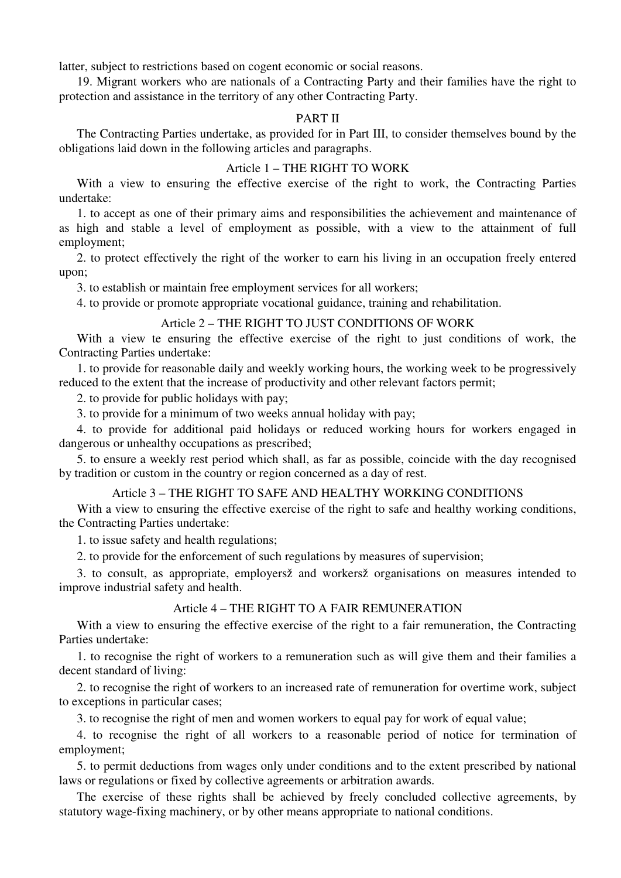latter, subject to restrictions based on cogent economic or social reasons.

19. Migrant workers who are nationals of a Contracting Party and their families have the right to protection and assistance in the territory of any other Contracting Party.

### PART II

The Contracting Parties undertake, as provided for in Part III, to consider themselves bound by the obligations laid down in the following articles and paragraphs.

### Article 1 – THE RIGHT TO WORK

With a view to ensuring the effective exercise of the right to work, the Contracting Parties undertake:

1. to accept as one of their primary aims and responsibilities the achievement and maintenance of as high and stable a level of employment as possible, with a view to the attainment of full employment;

2. to protect effectively the right of the worker to earn his living in an occupation freely entered upon;

3. to establish or maintain free employment services for all workers;

4. to provide or promote appropriate vocational guidance, training and rehabilitation.

### Article 2 – THE RIGHT TO JUST CONDITIONS OF WORK

With a view te ensuring the effective exercise of the right to just conditions of work, the Contracting Parties undertake:

1. to provide for reasonable daily and weekly working hours, the working week to be progressively reduced to the extent that the increase of productivity and other relevant factors permit;

2. to provide for public holidays with pay;

3. to provide for a minimum of two weeks annual holiday with pay;

4. to provide for additional paid holidays or reduced working hours for workers engaged in dangerous or unhealthy occupations as prescribed;

5. to ensure a weekly rest period which shall, as far as possible, coincide with the day recognised by tradition or custom in the country or region concerned as a day of rest.

### Article 3 – THE RIGHT TO SAFE AND HEALTHY WORKING CONDITIONS

With a view to ensuring the effective exercise of the right to safe and healthy working conditions, the Contracting Parties undertake:

1. to issue safety and health regulations;

2. to provide for the enforcement of such regulations by measures of supervision;

3. to consult, as appropriate, employersž and workersž organisations on measures intended to improve industrial safety and health.

#### Article 4 – THE RIGHT TO A FAIR REMUNERATION

With a view to ensuring the effective exercise of the right to a fair remuneration, the Contracting Parties undertake:

1. to recognise the right of workers to a remuneration such as will give them and their families a decent standard of living:

2. to recognise the right of workers to an increased rate of remuneration for overtime work, subject to exceptions in particular cases;

3. to recognise the right of men and women workers to equal pay for work of equal value;

4. to recognise the right of all workers to a reasonable period of notice for termination of employment;

5. to permit deductions from wages only under conditions and to the extent prescribed by national laws or regulations or fixed by collective agreements or arbitration awards.

The exercise of these rights shall be achieved by freely concluded collective agreements, by statutory wage-fixing machinery, or by other means appropriate to national conditions.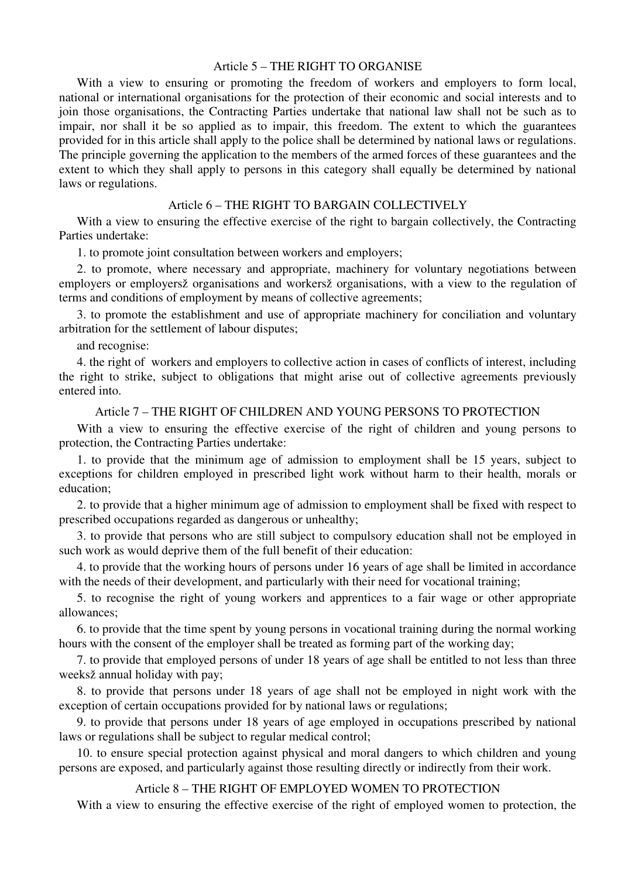### Article 5 – THE RIGHT TO ORGANISE

With a view to ensuring or promoting the freedom of workers and employers to form local, national or international organisations for the protection of their economic and social interests and to join those organisations, the Contracting Parties undertake that national law shall not be such as to impair, nor shall it be so applied as to impair, this freedom. The extent to which the guarantees provided for in this article shall apply to the police shall be determined by national laws or regulations. The principle governing the application to the members of the armed forces of these guarantees and the extent to which they shall apply to persons in this category shall equally be determined by national laws or regulations.

### Article 6 – THE RIGHT TO BARGAIN COLLECTIVELY

With a view to ensuring the effective exercise of the right to bargain collectively, the Contracting Parties undertake:

1. to promote joint consultation between workers and employers;

2. to promote, where necessary and appropriate, machinery for voluntary negotiations between employers or employersž organisations and workersž organisations, with a view to the regulation of terms and conditions of employment by means of collective agreements;

3. to promote the establishment and use of appropriate machinery for conciliation and voluntary arbitration for the settlement of labour disputes;

and recognise:

4. the right of workers and employers to collective action in cases of conflicts of interest, including the right to strike, subject to obligations that might arise out of collective agreements previously entered into.

Article 7 – THE RIGHT OF CHILDREN AND YOUNG PERSONS TO PROTECTION

With a view to ensuring the effective exercise of the right of children and young persons to protection, the Contracting Parties undertake:

1. to provide that the minimum age of admission to employment shall be 15 years, subject to exceptions for children employed in prescribed light work without harm to their health, morals or education;

2. to provide that a higher minimum age of admission to employment shall be fixed with respect to prescribed occupations regarded as dangerous or unhealthy;

3. to provide that persons who are still subject to compulsory education shall not be employed in such work as would deprive them of the full benefit of their education:

4. to provide that the working hours of persons under 16 years of age shall be limited in accordance with the needs of their development, and particularly with their need for vocational training;

5. to recognise the right of young workers and apprentices to a fair wage or other appropriate allowances;

6. to provide that the time spent by young persons in vocational training during the normal working hours with the consent of the employer shall be treated as forming part of the working day;

7. to provide that employed persons of under 18 years of age shall be entitled to not less than three weeksž annual holiday with pay;

8. to provide that persons under 18 years of age shall not be employed in night work with the exception of certain occupations provided for by national laws or regulations;

9. to provide that persons under 18 years of age employed in occupations prescribed by national laws or regulations shall be subject to regular medical control;

10. to ensure special protection against physical and moral dangers to which children and young persons are exposed, and particularly against those resulting directly or indirectly from their work.

Article 8 – THE RIGHT OF EMPLOYED WOMEN TO PROTECTION

With a view to ensuring the effective exercise of the right of employed women to protection, the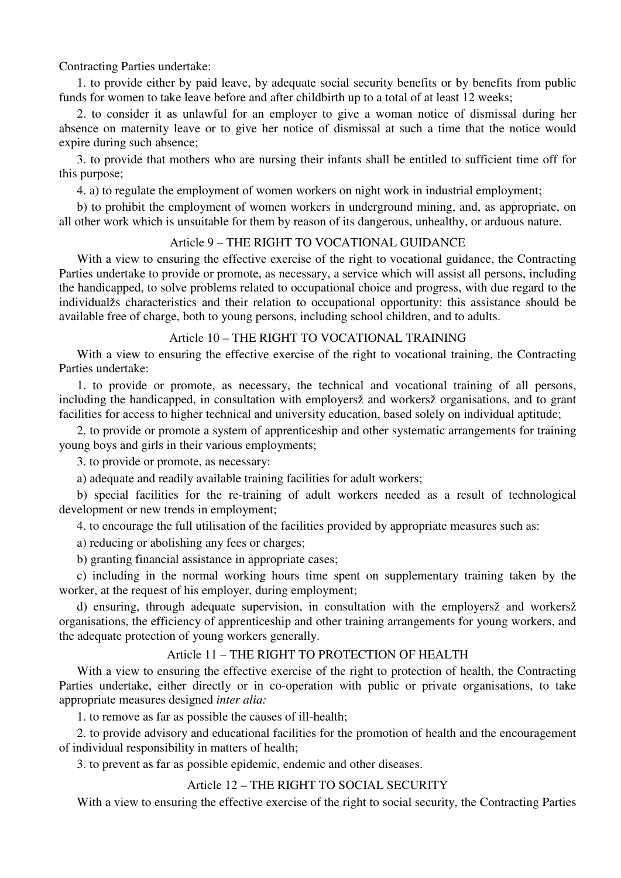Contracting Parties undertake:

1. to provide either by paid leave, by adequate social security benefits or by benefits from public funds for women to take leave before and after childbirth up to a total of at least 12 weeks;

2. to consider it as unlawful for an employer to give a woman notice of dismissal during her absence on maternity leave or to give her notice of dismissal at such a time that the notice would expire during such absence;

3. to provide that mothers who are nursing their infants shall be entitled to sufficient time off for this purpose;

4. a) to regulate the employment of women workers on night work in industrial employment;

b) to prohibit the employment of women workers in underground mining, and, as appropriate, on all other work which is unsuitable for them by reason of its dangerous, unhealthy, or arduous nature.

### Article 9 – THE RIGHT TO VOCATIONAL GUIDANCE

With a view to ensuring the effective exercise of the right to vocational guidance, the Contracting Parties undertake to provide or promote, as necessary, a service which will assist all persons, including the handicapped, to solve problems related to occupational choice and progress, with due regard to the individualžs characteristics and their relation to occupational opportunity: this assistance should be available free of charge, both to young persons, including school children, and to adults.

### Article 10 – THE RIGHT TO VOCATIONAL TRAINING

With a view to ensuring the effective exercise of the right to vocational training, the Contracting Parties undertake:

1. to provide or promote, as necessary, the technical and vocational training of all persons, including the handicapped, in consultation with employersž and workersž organisations, and to grant facilities for access to higher technical and university education, based solely on individual aptitude;

2. to provide or promote a system of apprenticeship and other systematic arrangements for training young boys and girls in their various employments;

3. to provide or promote, as necessary:

a) adequate and readily available training facilities for adult workers;

b) special facilities for the re-training of adult workers needed as a result of technological development or new trends in employment;

4. to encourage the full utilisation of the facilities provided by appropriate measures such as:

a) reducing or abolishing any fees or charges;

b) granting financial assistance in appropriate cases;

c) including in the normal working hours time spent on supplementary training taken by the worker, at the request of his employer, during employment;

d) ensuring, through adequate supervision, in consultation with the employersž and workersž organisations, the efficiency of apprenticeship and other training arrangements for young workers, and the adequate protection of young workers generally.

### Article 11 – THE RIGHT TO PROTECTION OF HEALTH

With a view to ensuring the effective exercise of the right to protection of health, the Contracting Parties undertake, either directly or in co-operation with public or private organisations, to take appropriate measures designed *inter alia:*

1. to remove as far as possible the causes of ill-health;

2. to provide advisory and educational facilities for the promotion of health and the encouragement of individual responsibility in matters of health;

3. to prevent as far as possible epidemic, endemic and other diseases.

### Article 12 – THE RIGHT TO SOCIAL SECURITY

With a view to ensuring the effective exercise of the right to social security, the Contracting Parties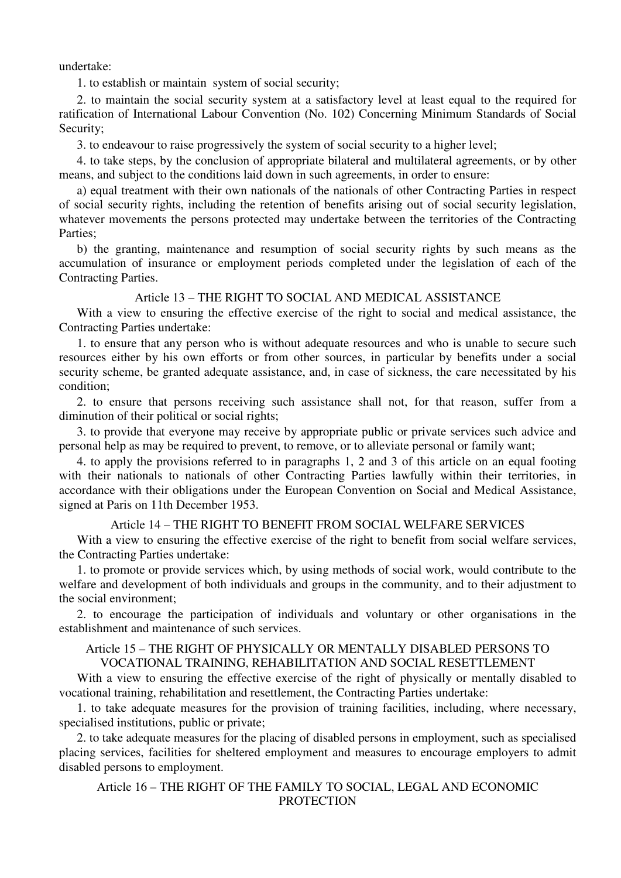undertake:

1. to establish or maintain system of social security;

2. to maintain the social security system at a satisfactory level at least equal to the required for ratification of International Labour Convention (No. 102) Concerning Minimum Standards of Social Security;

3. to endeavour to raise progressively the system of social security to a higher level;

4. to take steps, by the conclusion of appropriate bilateral and multilateral agreements, or by other means, and subject to the conditions laid down in such agreements, in order to ensure:

a) equal treatment with their own nationals of the nationals of other Contracting Parties in respect of social security rights, including the retention of benefits arising out of social security legislation, whatever movements the persons protected may undertake between the territories of the Contracting Parties;

b) the granting, maintenance and resumption of social security rights by such means as the accumulation of insurance or employment periods completed under the legislation of each of the Contracting Parties.

#### Article 13 – THE RIGHT TO SOCIAL AND MEDICAL ASSISTANCE

With a view to ensuring the effective exercise of the right to social and medical assistance, the Contracting Parties undertake:

1. to ensure that any person who is without adequate resources and who is unable to secure such resources either by his own efforts or from other sources, in particular by benefits under a social security scheme, be granted adequate assistance, and, in case of sickness, the care necessitated by his condition;

2. to ensure that persons receiving such assistance shall not, for that reason, suffer from a diminution of their political or social rights;

3. to provide that everyone may receive by appropriate public or private services such advice and personal help as may be required to prevent, to remove, or to alleviate personal or family want;

4. to apply the provisions referred to in paragraphs 1, 2 and 3 of this article on an equal footing with their nationals to nationals of other Contracting Parties lawfully within their territories, in accordance with their obligations under the European Convention on Social and Medical Assistance, signed at Paris on 11th December 1953.

#### Article 14 – THE RIGHT TO BENEFIT FROM SOCIAL WELFARE SERVICES

With a view to ensuring the effective exercise of the right to benefit from social welfare services, the Contracting Parties undertake:

1. to promote or provide services which, by using methods of social work, would contribute to the welfare and development of both individuals and groups in the community, and to their adjustment to the social environment;

2. to encourage the participation of individuals and voluntary or other organisations in the establishment and maintenance of such services.

#### Article 15 – THE RIGHT OF PHYSICALLY OR MENTALLY DISABLED PERSONS TO VOCATIONAL TRAINING, REHABILITATION AND SOCIAL RESETTLEMENT

With a view to ensuring the effective exercise of the right of physically or mentally disabled to vocational training, rehabilitation and resettlement, the Contracting Parties undertake:

1. to take adequate measures for the provision of training facilities, including, where necessary, specialised institutions, public or private;

2. to take adequate measures for the placing of disabled persons in employment, such as specialised placing services, facilities for sheltered employment and measures to encourage employers to admit disabled persons to employment.

Article 16 – THE RIGHT OF THE FAMILY TO SOCIAL, LEGAL AND ECONOMIC **PROTECTION**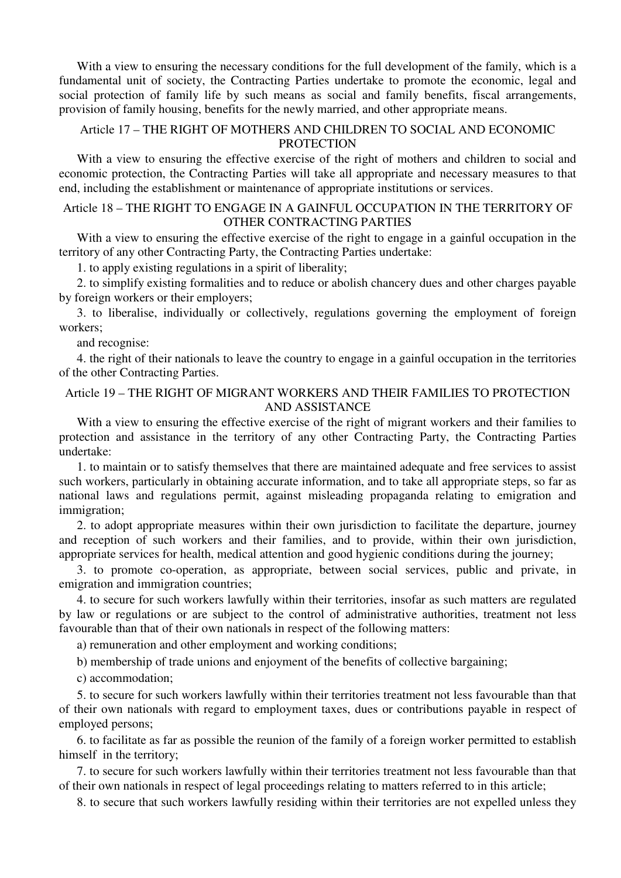With a view to ensuring the necessary conditions for the full development of the family, which is a fundamental unit of society, the Contracting Parties undertake to promote the economic, legal and social protection of family life by such means as social and family benefits, fiscal arrangements, provision of family housing, benefits for the newly married, and other appropriate means.

### Article 17 – THE RIGHT OF MOTHERS AND CHILDREN TO SOCIAL AND ECONOMIC **PROTECTION**

With a view to ensuring the effective exercise of the right of mothers and children to social and economic protection, the Contracting Parties will take all appropriate and necessary measures to that end, including the establishment or maintenance of appropriate institutions or services.

### Article 18 – THE RIGHT TO ENGAGE IN A GAINFUL OCCUPATION IN THE TERRITORY OF OTHER CONTRACTING PARTIES

With a view to ensuring the effective exercise of the right to engage in a gainful occupation in the territory of any other Contracting Party, the Contracting Parties undertake:

1. to apply existing regulations in a spirit of liberality;

2. to simplify existing formalities and to reduce or abolish chancery dues and other charges payable by foreign workers or their employers;

3. to liberalise, individually or collectively, regulations governing the employment of foreign workers;

and recognise:

4. the right of their nationals to leave the country to engage in a gainful occupation in the territories of the other Contracting Parties.

### Article 19 – THE RIGHT OF MIGRANT WORKERS AND THEIR FAMILIES TO PROTECTION AND ASSISTANCE

With a view to ensuring the effective exercise of the right of migrant workers and their families to protection and assistance in the territory of any other Contracting Party, the Contracting Parties undertake:

1. to maintain or to satisfy themselves that there are maintained adequate and free services to assist such workers, particularly in obtaining accurate information, and to take all appropriate steps, so far as national laws and regulations permit, against misleading propaganda relating to emigration and immigration;

2. to adopt appropriate measures within their own jurisdiction to facilitate the departure, journey and reception of such workers and their families, and to provide, within their own jurisdiction, appropriate services for health, medical attention and good hygienic conditions during the journey;

3. to promote co-operation, as appropriate, between social services, public and private, in emigration and immigration countries;

4. to secure for such workers lawfully within their territories, insofar as such matters are regulated by law or regulations or are subject to the control of administrative authorities, treatment not less favourable than that of their own nationals in respect of the following matters:

a) remuneration and other employment and working conditions;

b) membership of trade unions and enjoyment of the benefits of collective bargaining;

c) accommodation;

5. to secure for such workers lawfully within their territories treatment not less favourable than that of their own nationals with regard to employment taxes, dues or contributions payable in respect of employed persons;

6. to facilitate as far as possible the reunion of the family of a foreign worker permitted to establish himself in the territory;

7. to secure for such workers lawfully within their territories treatment not less favourable than that of their own nationals in respect of legal proceedings relating to matters referred to in this article;

8. to secure that such workers lawfully residing within their territories are not expelled unless they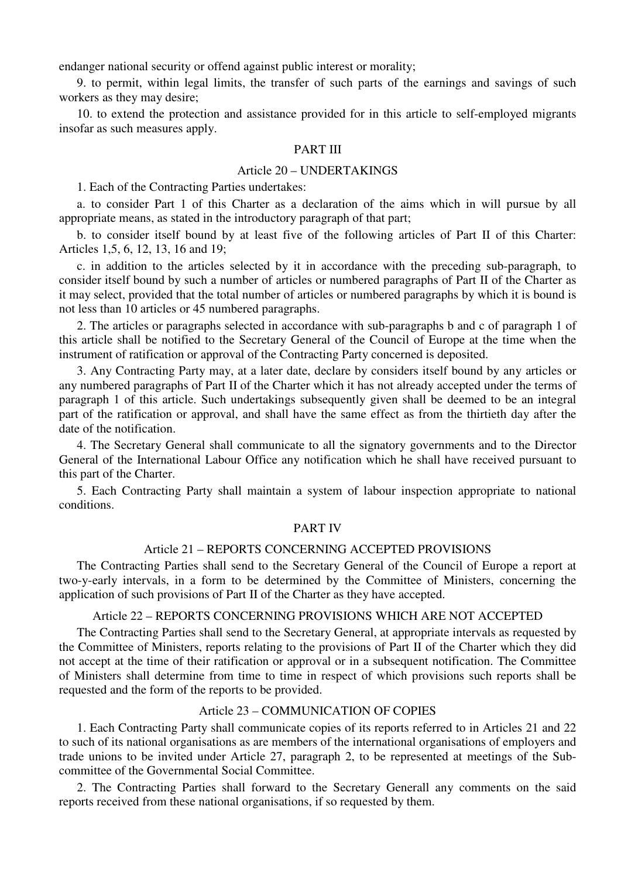endanger national security or offend against public interest or morality;

9. to permit, within legal limits, the transfer of such parts of the earnings and savings of such workers as they may desire;

10. to extend the protection and assistance provided for in this article to self-employed migrants insofar as such measures apply.

### PART III

### Article 20 – UNDERTAKINGS

1. Each of the Contracting Parties undertakes:

a. to consider Part 1 of this Charter as a declaration of the aims which in will pursue by all appropriate means, as stated in the introductory paragraph of that part;

b. to consider itself bound by at least five of the following articles of Part II of this Charter: Articles 1,5, 6, 12, 13, 16 and 19;

c. in addition to the articles selected by it in accordance with the preceding sub-paragraph, to consider itself bound by such a number of articles or numbered paragraphs of Part II of the Charter as it may select, provided that the total number of articles or numbered paragraphs by which it is bound is not less than 10 articles or 45 numbered paragraphs.

2. The articles or paragraphs selected in accordance with sub-paragraphs b and c of paragraph 1 of this article shall be notified to the Secretary General of the Council of Europe at the time when the instrument of ratification or approval of the Contracting Party concerned is deposited.

3. Any Contracting Party may, at a later date, declare by considers itself bound by any articles or any numbered paragraphs of Part II of the Charter which it has not already accepted under the terms of paragraph 1 of this article. Such undertakings subsequently given shall be deemed to be an integral part of the ratification or approval, and shall have the same effect as from the thirtieth day after the date of the notification.

4. The Secretary General shall communicate to all the signatory governments and to the Director General of the International Labour Office any notification which he shall have received pursuant to this part of the Charter.

5. Each Contracting Party shall maintain a system of labour inspection appropriate to national conditions.

#### PART IV

### Article 21 – REPORTS CONCERNING ACCEPTED PROVISIONS

The Contracting Parties shall send to the Secretary General of the Council of Europe a report at two-y-early intervals, in a form to be determined by the Committee of Ministers, concerning the application of such provisions of Part II of the Charter as they have accepted.

### Article 22 – REPORTS CONCERNING PROVISIONS WHICH ARE NOT ACCEPTED

The Contracting Parties shall send to the Secretary General, at appropriate intervals as requested by the Committee of Ministers, reports relating to the provisions of Part II of the Charter which they did not accept at the time of their ratification or approval or in a subsequent notification. The Committee of Ministers shall determine from time to time in respect of which provisions such reports shall be requested and the form of the reports to be provided.

#### Article 23 – COMMUNICATION OF COPIES

1. Each Contracting Party shall communicate copies of its reports referred to in Articles 21 and 22 to such of its national organisations as are members of the international organisations of employers and trade unions to be invited under Article 27, paragraph 2, to be represented at meetings of the Subcommittee of the Governmental Social Committee.

2. The Contracting Parties shall forward to the Secretary Generall any comments on the said reports received from these national organisations, if so requested by them.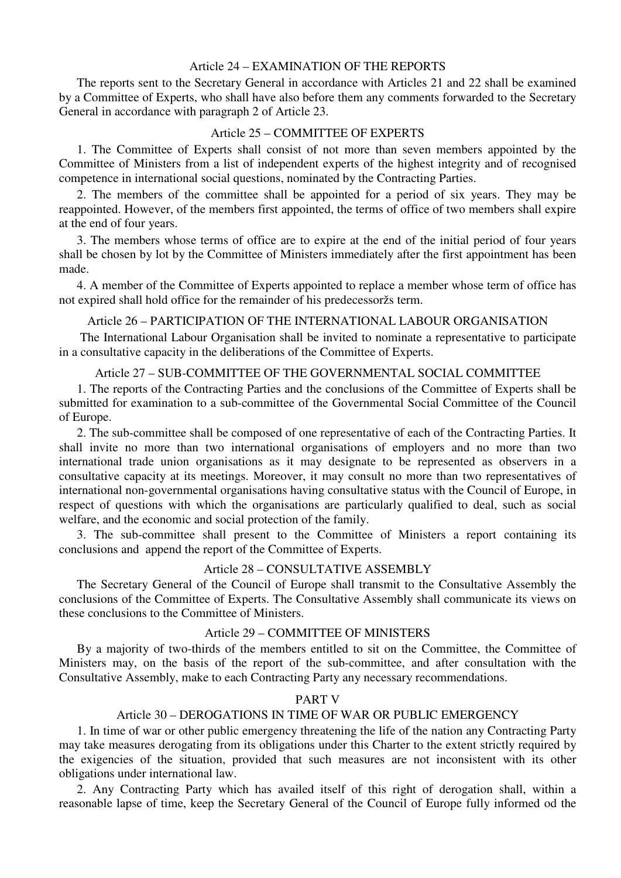### Article 24 – EXAMINATION OF THE REPORTS

The reports sent to the Secretary General in accordance with Articles 21 and 22 shall be examined by a Committee of Experts, who shall have also before them any comments forwarded to the Secretary General in accordance with paragraph 2 of Article 23.

### Article 25 – COMMITTEE OF EXPERTS

1. The Committee of Experts shall consist of not more than seven members appointed by the Committee of Ministers from a list of independent experts of the highest integrity and of recognised competence in international social questions, nominated by the Contracting Parties.

2. The members of the committee shall be appointed for a period of six years. They may be reappointed. However, of the members first appointed, the terms of office of two members shall expire at the end of four years.

3. The members whose terms of office are to expire at the end of the initial period of four years shall be chosen by lot by the Committee of Ministers immediately after the first appointment has been made.

4. A member of the Committee of Experts appointed to replace a member whose term of office has not expired shall hold office for the remainder of his predecessoržs term.

### Article 26 – PARTICIPATION OF THE INTERNATIONAL LABOUR ORGANISATION

 The International Labour Organisation shall be invited to nominate a representative to participate in a consultative capacity in the deliberations of the Committee of Experts.

#### Article 27 – SUB-COMMITTEE OF THE GOVERNMENTAL SOCIAL COMMITTEE

1. The reports of the Contracting Parties and the conclusions of the Committee of Experts shall be submitted for examination to a sub-committee of the Governmental Social Committee of the Council of Europe.

2. The sub-committee shall be composed of one representative of each of the Contracting Parties. It shall invite no more than two international organisations of employers and no more than two international trade union organisations as it may designate to be represented as observers in a consultative capacity at its meetings. Moreover, it may consult no more than two representatives of international non-governmental organisations having consultative status with the Council of Europe, in respect of questions with which the organisations are particularly qualified to deal, such as social welfare, and the economic and social protection of the family.

3. The sub-committee shall present to the Committee of Ministers a report containing its conclusions and append the report of the Committee of Experts.

### Article 28 – CONSULTATIVE ASSEMBLY

The Secretary General of the Council of Europe shall transmit to the Consultative Assembly the conclusions of the Committee of Experts. The Consultative Assembly shall communicate its views on these conclusions to the Committee of Ministers.

### Article 29 – COMMITTEE OF MINISTERS

By a majority of two-thirds of the members entitled to sit on the Committee, the Committee of Ministers may, on the basis of the report of the sub-committee, and after consultation with the Consultative Assembly, make to each Contracting Party any necessary recommendations.

### PART V

#### Article 30 – DEROGATIONS IN TIME OF WAR OR PUBLIC EMERGENCY

1. In time of war or other public emergency threatening the life of the nation any Contracting Party may take measures derogating from its obligations under this Charter to the extent strictly required by the exigencies of the situation, provided that such measures are not inconsistent with its other obligations under international law.

2. Any Contracting Party which has availed itself of this right of derogation shall, within a reasonable lapse of time, keep the Secretary General of the Council of Europe fully informed od the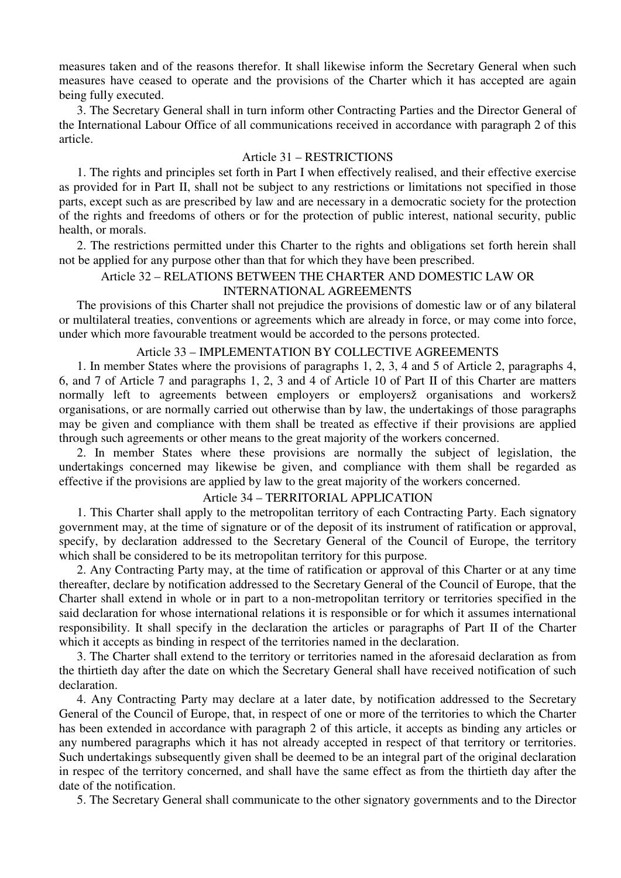measures taken and of the reasons therefor. It shall likewise inform the Secretary General when such measures have ceased to operate and the provisions of the Charter which it has accepted are again being fully executed.

3. The Secretary General shall in turn inform other Contracting Parties and the Director General of the International Labour Office of all communications received in accordance with paragraph 2 of this article.

#### Article 31 – RESTRICTIONS

1. The rights and principles set forth in Part I when effectively realised, and their effective exercise as provided for in Part II, shall not be subject to any restrictions or limitations not specified in those parts, except such as are prescribed by law and are necessary in a democratic society for the protection of the rights and freedoms of others or for the protection of public interest, national security, public health, or morals.

2. The restrictions permitted under this Charter to the rights and obligations set forth herein shall not be applied for any purpose other than that for which they have been prescribed.

### Article 32 – RELATIONS BETWEEN THE CHARTER AND DOMESTIC LAW OR INTERNATIONAL AGREEMENTS

The provisions of this Charter shall not prejudice the provisions of domestic law or of any bilateral or multilateral treaties, conventions or agreements which are already in force, or may come into force, under which more favourable treatment would be accorded to the persons protected.

### Article 33 – IMPLEMENTATION BY COLLECTIVE AGREEMENTS

1. In member States where the provisions of paragraphs 1, 2, 3, 4 and 5 of Article 2, paragraphs 4, 6, and 7 of Article 7 and paragraphs 1, 2, 3 and 4 of Article 10 of Part II of this Charter are matters normally left to agreements between employers or employersž organisations and workersž organisations, or are normally carried out otherwise than by law, the undertakings of those paragraphs may be given and compliance with them shall be treated as effective if their provisions are applied through such agreements or other means to the great majority of the workers concerned.

2. In member States where these provisions are normally the subject of legislation, the undertakings concerned may likewise be given, and compliance with them shall be regarded as effective if the provisions are applied by law to the great majority of the workers concerned.

### Article 34 – TERRITORIAL APPLICATION

1. This Charter shall apply to the metropolitan territory of each Contracting Party. Each signatory government may, at the time of signature or of the deposit of its instrument of ratification or approval, specify, by declaration addressed to the Secretary General of the Council of Europe, the territory which shall be considered to be its metropolitan territory for this purpose.

2. Any Contracting Party may, at the time of ratification or approval of this Charter or at any time thereafter, declare by notification addressed to the Secretary General of the Council of Europe, that the Charter shall extend in whole or in part to a non-metropolitan territory or territories specified in the said declaration for whose international relations it is responsible or for which it assumes international responsibility. It shall specify in the declaration the articles or paragraphs of Part II of the Charter which it accepts as binding in respect of the territories named in the declaration.

3. The Charter shall extend to the territory or territories named in the aforesaid declaration as from the thirtieth day after the date on which the Secretary General shall have received notification of such declaration.

4. Any Contracting Party may declare at a later date, by notification addressed to the Secretary General of the Council of Europe, that, in respect of one or more of the territories to which the Charter has been extended in accordance with paragraph 2 of this article, it accepts as binding any articles or any numbered paragraphs which it has not already accepted in respect of that territory or territories. Such undertakings subsequently given shall be deemed to be an integral part of the original declaration in respec of the territory concerned, and shall have the same effect as from the thirtieth day after the date of the notification.

5. The Secretary General shall communicate to the other signatory governments and to the Director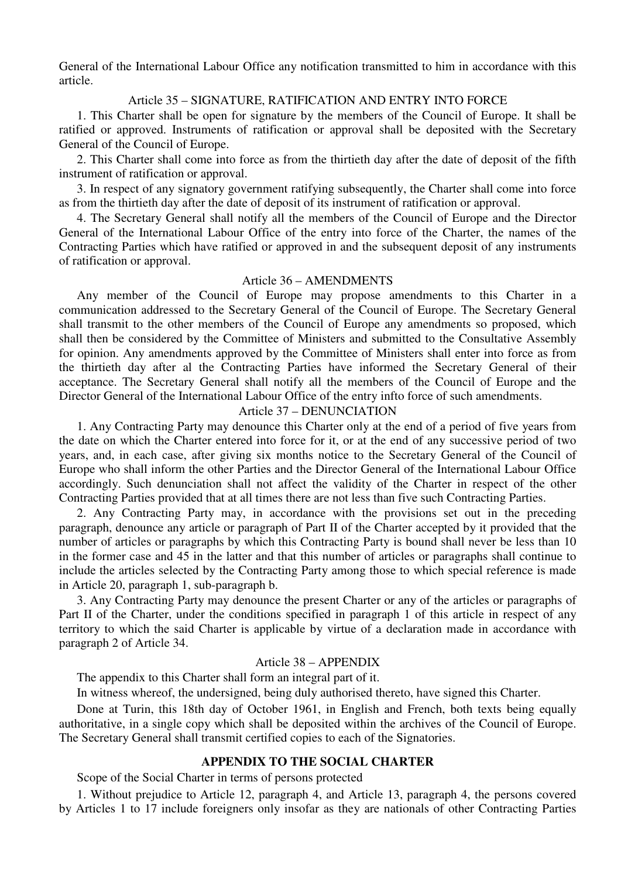General of the International Labour Office any notification transmitted to him in accordance with this article.

### Article 35 – SIGNATURE, RATIFICATION AND ENTRY INTO FORCE

1. This Charter shall be open for signature by the members of the Council of Europe. It shall be ratified or approved. Instruments of ratification or approval shall be deposited with the Secretary General of the Council of Europe.

2. This Charter shall come into force as from the thirtieth day after the date of deposit of the fifth instrument of ratification or approval.

3. In respect of any signatory government ratifying subsequently, the Charter shall come into force as from the thirtieth day after the date of deposit of its instrument of ratification or approval.

4. The Secretary General shall notify all the members of the Council of Europe and the Director General of the International Labour Office of the entry into force of the Charter, the names of the Contracting Parties which have ratified or approved in and the subsequent deposit of any instruments of ratification or approval.

#### Article 36 – AMENDMENTS

Any member of the Council of Europe may propose amendments to this Charter in a communication addressed to the Secretary General of the Council of Europe. The Secretary General shall transmit to the other members of the Council of Europe any amendments so proposed, which shall then be considered by the Committee of Ministers and submitted to the Consultative Assembly for opinion. Any amendments approved by the Committee of Ministers shall enter into force as from the thirtieth day after al the Contracting Parties have informed the Secretary General of their acceptance. The Secretary General shall notify all the members of the Council of Europe and the Director General of the International Labour Office of the entry infto force of such amendments.

#### Article 37 – DENUNCIATION

1. Any Contracting Party may denounce this Charter only at the end of a period of five years from the date on which the Charter entered into force for it, or at the end of any successive period of two years, and, in each case, after giving six months notice to the Secretary General of the Council of Europe who shall inform the other Parties and the Director General of the International Labour Office accordingly. Such denunciation shall not affect the validity of the Charter in respect of the other Contracting Parties provided that at all times there are not less than five such Contracting Parties.

2. Any Contracting Party may, in accordance with the provisions set out in the preceding paragraph, denounce any article or paragraph of Part II of the Charter accepted by it provided that the number of articles or paragraphs by which this Contracting Party is bound shall never be less than 10 in the former case and 45 in the latter and that this number of articles or paragraphs shall continue to include the articles selected by the Contracting Party among those to which special reference is made in Article 20, paragraph 1, sub-paragraph b.

3. Any Contracting Party may denounce the present Charter or any of the articles or paragraphs of Part II of the Charter, under the conditions specified in paragraph 1 of this article in respect of any territory to which the said Charter is applicable by virtue of a declaration made in accordance with paragraph 2 of Article 34.

#### Article 38 – APPENDIX

The appendix to this Charter shall form an integral part of it.

In witness whereof, the undersigned, being duly authorised thereto, have signed this Charter.

Done at Turin, this 18th day of October 1961, in English and French, both texts being equally authoritative, in a single copy which shall be deposited within the archives of the Council of Europe. The Secretary General shall transmit certified copies to each of the Signatories.

### **APPENDIX TO THE SOCIAL CHARTER**

Scope of the Social Charter in terms of persons protected

1. Without prejudice to Article 12, paragraph 4, and Article 13, paragraph 4, the persons covered by Articles 1 to 17 include foreigners only insofar as they are nationals of other Contracting Parties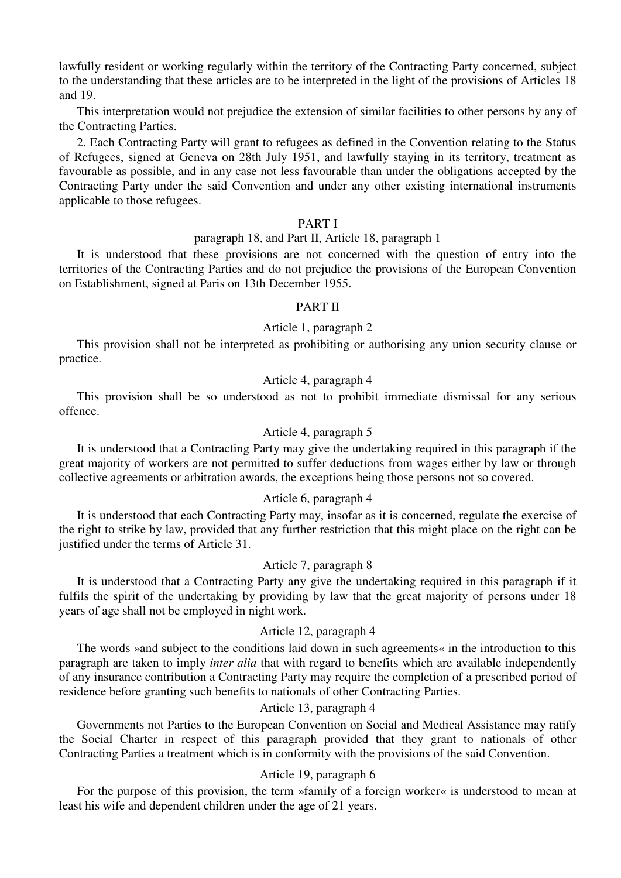lawfully resident or working regularly within the territory of the Contracting Party concerned, subject to the understanding that these articles are to be interpreted in the light of the provisions of Articles 18 and 19.

This interpretation would not prejudice the extension of similar facilities to other persons by any of the Contracting Parties.

2. Each Contracting Party will grant to refugees as defined in the Convention relating to the Status of Refugees, signed at Geneva on 28th July 1951, and lawfully staying in its territory, treatment as favourable as possible, and in any case not less favourable than under the obligations accepted by the Contracting Party under the said Convention and under any other existing international instruments applicable to those refugees.

#### PART I

#### paragraph 18, and Part II, Article 18, paragraph 1

It is understood that these provisions are not concerned with the question of entry into the territories of the Contracting Parties and do not prejudice the provisions of the European Convention on Establishment, signed at Paris on 13th December 1955.

#### PART II

#### Article 1, paragraph 2

This provision shall not be interpreted as prohibiting or authorising any union security clause or practice.

#### Article 4, paragraph 4

This provision shall be so understood as not to prohibit immediate dismissal for any serious offence.

#### Article 4, paragraph 5

It is understood that a Contracting Party may give the undertaking required in this paragraph if the great majority of workers are not permitted to suffer deductions from wages either by law or through collective agreements or arbitration awards, the exceptions being those persons not so covered.

### Article 6, paragraph 4

It is understood that each Contracting Party may, insofar as it is concerned, regulate the exercise of the right to strike by law, provided that any further restriction that this might place on the right can be justified under the terms of Article 31.

#### Article 7, paragraph 8

It is understood that a Contracting Party any give the undertaking required in this paragraph if it fulfils the spirit of the undertaking by providing by law that the great majority of persons under 18 years of age shall not be employed in night work.

#### Article 12, paragraph 4

The words »and subject to the conditions laid down in such agreements« in the introduction to this paragraph are taken to imply *inter alia* that with regard to benefits which are available independently of any insurance contribution a Contracting Party may require the completion of a prescribed period of residence before granting such benefits to nationals of other Contracting Parties.

#### Article 13, paragraph 4

Governments not Parties to the European Convention on Social and Medical Assistance may ratify the Social Charter in respect of this paragraph provided that they grant to nationals of other Contracting Parties a treatment which is in conformity with the provisions of the said Convention.

### Article 19, paragraph 6

For the purpose of this provision, the term »family of a foreign worker« is understood to mean at least his wife and dependent children under the age of 21 years.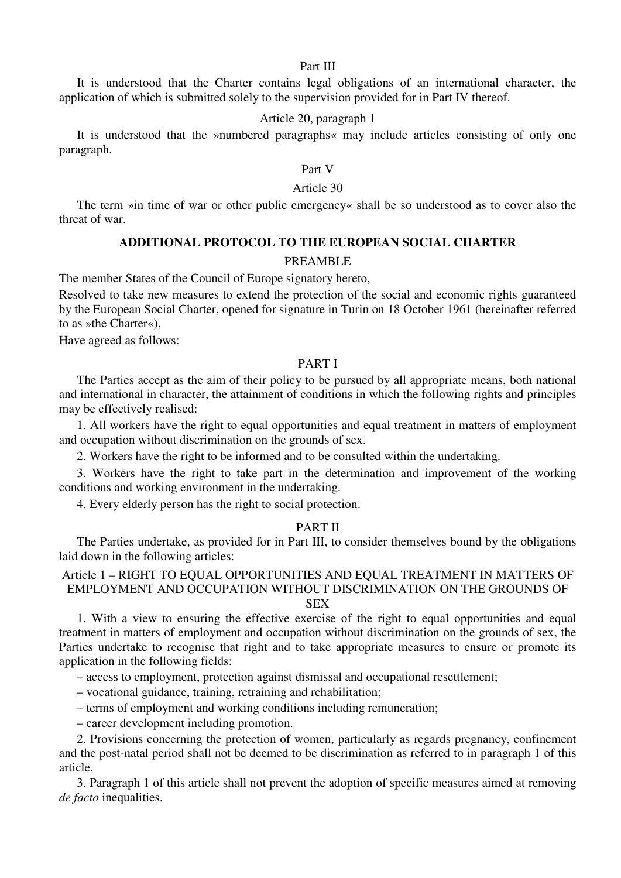#### Part III

It is understood that the Charter contains legal obligations of an international character, the application of which is submitted solely to the supervision provided for in Part IV thereof.

### Article 20, paragraph 1

It is understood that the »numbered paragraphs« may include articles consisting of only one paragraph.

### Part V

### Article 30

The term »in time of war or other public emergency« shall be so understood as to cover also the threat of war.

### **ADDITIONAL PROTOCOL TO THE EUROPEAN SOCIAL CHARTER**

#### PREAMBLE

The member States of the Council of Europe signatory hereto,

Resolved to take new measures to extend the protection of the social and economic rights guaranteed by the European Social Charter, opened for signature in Turin on 18 October 1961 (hereinafter referred to as »the Charter«),

Have agreed as follows:

#### PART I

The Parties accept as the aim of their policy to be pursued by all appropriate means, both national and international in character, the attainment of conditions in which the following rights and principles may be effectively realised:

1. All workers have the right to equal opportunities and equal treatment in matters of employment and occupation without discrimination on the grounds of sex.

2. Workers have the right to be informed and to be consulted within the undertaking.

3. Workers have the right to take part in the determination and improvement of the working conditions and working environment in the undertaking.

4. Every elderly person has the right to social protection.

#### PART II

The Parties undertake, as provided for in Part III, to consider themselves bound by the obligations laid down in the following articles:

# Article 1 – RIGHT TO EQUAL OPPORTUNITIES AND EQUAL TREATMENT IN MATTERS OF EMPLOYMENT AND OCCUPATION WITHOUT DISCRIMINATION ON THE GROUNDS OF

### SEX

1. With a view to ensuring the effective exercise of the right to equal opportunities and equal treatment in matters of employment and occupation without discrimination on the grounds of sex, the Parties undertake to recognise that right and to take appropriate measures to ensure or promote its application in the following fields:

– access to employment, protection against dismissal and occupational resettlement;

- vocational guidance, training, retraining and rehabilitation;
- terms of employment and working conditions including remuneration;
- career development including promotion.

2. Provisions concerning the protection of women, particularly as regards pregnancy, confinement and the post-natal period shall not be deemed to be discrimination as referred to in paragraph 1 of this article.

3. Paragraph 1 of this article shall not prevent the adoption of specific measures aimed at removing *de facto* inequalities.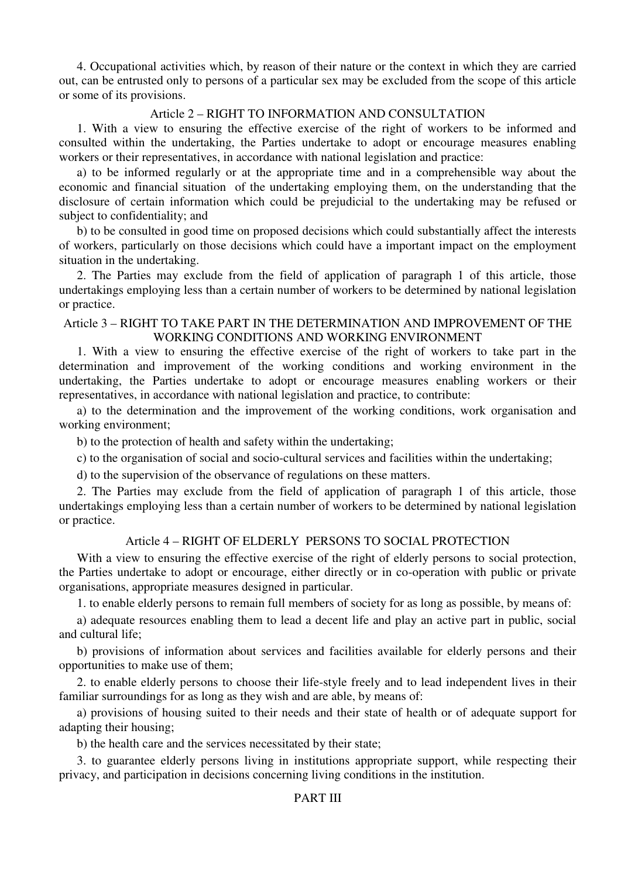4. Occupational activities which, by reason of their nature or the context in which they are carried out, can be entrusted only to persons of a particular sex may be excluded from the scope of this article or some of its provisions.

### Article 2 – RIGHT TO INFORMATION AND CONSULTATION

1. With a view to ensuring the effective exercise of the right of workers to be informed and consulted within the undertaking, the Parties undertake to adopt or encourage measures enabling workers or their representatives, in accordance with national legislation and practice:

a) to be informed regularly or at the appropriate time and in a comprehensible way about the economic and financial situation of the undertaking employing them, on the understanding that the disclosure of certain information which could be prejudicial to the undertaking may be refused or subject to confidentiality; and

b) to be consulted in good time on proposed decisions which could substantially affect the interests of workers, particularly on those decisions which could have a important impact on the employment situation in the undertaking.

2. The Parties may exclude from the field of application of paragraph 1 of this article, those undertakings employing less than a certain number of workers to be determined by national legislation or practice.

### Article 3 – RIGHT TO TAKE PART IN THE DETERMINATION AND IMPROVEMENT OF THE WORKING CONDITIONS AND WORKING ENVIRONMENT

1. With a view to ensuring the effective exercise of the right of workers to take part in the determination and improvement of the working conditions and working environment in the undertaking, the Parties undertake to adopt or encourage measures enabling workers or their representatives, in accordance with national legislation and practice, to contribute:

a) to the determination and the improvement of the working conditions, work organisation and working environment;

b) to the protection of health and safety within the undertaking;

c) to the organisation of social and socio-cultural services and facilities within the undertaking;

d) to the supervision of the observance of regulations on these matters.

2. The Parties may exclude from the field of application of paragraph 1 of this article, those undertakings employing less than a certain number of workers to be determined by national legislation or practice.

#### Article 4 – RIGHT OF ELDERLY PERSONS TO SOCIAL PROTECTION

With a view to ensuring the effective exercise of the right of elderly persons to social protection, the Parties undertake to adopt or encourage, either directly or in co-operation with public or private organisations, appropriate measures designed in particular.

1. to enable elderly persons to remain full members of society for as long as possible, by means of:

a) adequate resources enabling them to lead a decent life and play an active part in public, social and cultural life;

b) provisions of information about services and facilities available for elderly persons and their opportunities to make use of them;

2. to enable elderly persons to choose their life-style freely and to lead independent lives in their familiar surroundings for as long as they wish and are able, by means of:

a) provisions of housing suited to their needs and their state of health or of adequate support for adapting their housing;

b) the health care and the services necessitated by their state;

3. to guarantee elderly persons living in institutions appropriate support, while respecting their privacy, and participation in decisions concerning living conditions in the institution.

### PART III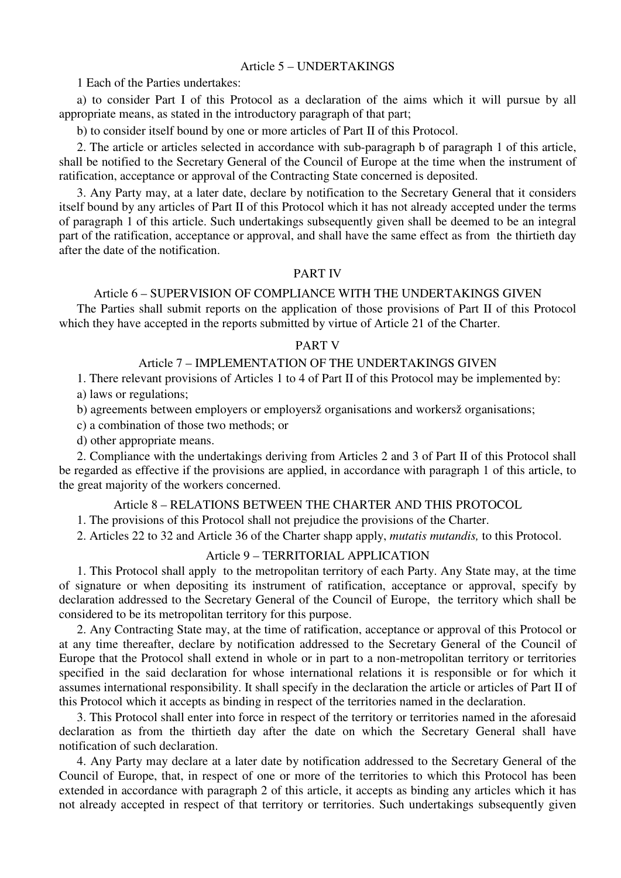### Article 5 – UNDERTAKINGS

1 Each of the Parties undertakes:

a) to consider Part I of this Protocol as a declaration of the aims which it will pursue by all appropriate means, as stated in the introductory paragraph of that part;

b) to consider itself bound by one or more articles of Part II of this Protocol.

2. The article or articles selected in accordance with sub-paragraph b of paragraph 1 of this article, shall be notified to the Secretary General of the Council of Europe at the time when the instrument of ratification, acceptance or approval of the Contracting State concerned is deposited.

3. Any Party may, at a later date, declare by notification to the Secretary General that it considers itself bound by any articles of Part II of this Protocol which it has not already accepted under the terms of paragraph 1 of this article. Such undertakings subsequently given shall be deemed to be an integral part of the ratification, acceptance or approval, and shall have the same effect as from the thirtieth day after the date of the notification.

### PART IV

### Article 6 – SUPERVISION OF COMPLIANCE WITH THE UNDERTAKINGS GIVEN

The Parties shall submit reports on the application of those provisions of Part II of this Protocol which they have accepted in the reports submitted by virtue of Article 21 of the Charter.

### PART V

### Article 7 – IMPLEMENTATION OF THE UNDERTAKINGS GIVEN

1. There relevant provisions of Articles 1 to 4 of Part II of this Protocol may be implemented by: a) laws or regulations;

b) agreements between employers or employersž organisations and workersž organisations;

c) a combination of those two methods; or

d) other appropriate means.

2. Compliance with the undertakings deriving from Articles 2 and 3 of Part II of this Protocol shall be regarded as effective if the provisions are applied, in accordance with paragraph 1 of this article, to the great majority of the workers concerned.

#### Article 8 – RELATIONS BETWEEN THE CHARTER AND THIS PROTOCOL

1. The provisions of this Protocol shall not prejudice the provisions of the Charter.

2. Articles 22 to 32 and Article 36 of the Charter shapp apply, *mutatis mutandis,* to this Protocol.

### Article 9 – TERRITORIAL APPLICATION

1. This Protocol shall apply to the metropolitan territory of each Party. Any State may, at the time of signature or when depositing its instrument of ratification, acceptance or approval, specify by declaration addressed to the Secretary General of the Council of Europe, the territory which shall be considered to be its metropolitan territory for this purpose.

2. Any Contracting State may, at the time of ratification, acceptance or approval of this Protocol or at any time thereafter, declare by notification addressed to the Secretary General of the Council of Europe that the Protocol shall extend in whole or in part to a non-metropolitan territory or territories specified in the said declaration for whose international relations it is responsible or for which it assumes international responsibility. It shall specify in the declaration the article or articles of Part II of this Protocol which it accepts as binding in respect of the territories named in the declaration.

3. This Protocol shall enter into force in respect of the territory or territories named in the aforesaid declaration as from the thirtieth day after the date on which the Secretary General shall have notification of such declaration.

4. Any Party may declare at a later date by notification addressed to the Secretary General of the Council of Europe, that, in respect of one or more of the territories to which this Protocol has been extended in accordance with paragraph 2 of this article, it accepts as binding any articles which it has not already accepted in respect of that territory or territories. Such undertakings subsequently given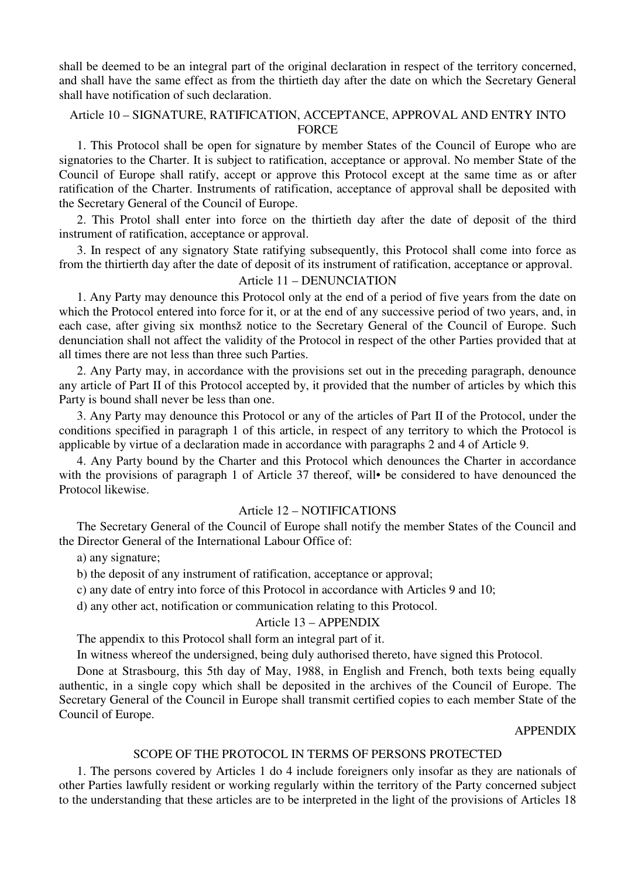shall be deemed to be an integral part of the original declaration in respect of the territory concerned, and shall have the same effect as from the thirtieth day after the date on which the Secretary General shall have notification of such declaration.

### Article 10 – SIGNATURE, RATIFICATION, ACCEPTANCE, APPROVAL AND ENTRY INTO **FORCE**

1. This Protocol shall be open for signature by member States of the Council of Europe who are signatories to the Charter. It is subject to ratification, acceptance or approval. No member State of the Council of Europe shall ratify, accept or approve this Protocol except at the same time as or after ratification of the Charter. Instruments of ratification, acceptance of approval shall be deposited with the Secretary General of the Council of Europe.

2. This Protol shall enter into force on the thirtieth day after the date of deposit of the third instrument of ratification, acceptance or approval.

3. In respect of any signatory State ratifying subsequently, this Protocol shall come into force as from the thirtierth day after the date of deposit of its instrument of ratification, acceptance or approval.

#### Article 11 – DENUNCIATION

1. Any Party may denounce this Protocol only at the end of a period of five years from the date on which the Protocol entered into force for it, or at the end of any successive period of two years, and, in each case, after giving six monthsž notice to the Secretary General of the Council of Europe. Such denunciation shall not affect the validity of the Protocol in respect of the other Parties provided that at all times there are not less than three such Parties.

2. Any Party may, in accordance with the provisions set out in the preceding paragraph, denounce any article of Part II of this Protocol accepted by, it provided that the number of articles by which this Party is bound shall never be less than one.

3. Any Party may denounce this Protocol or any of the articles of Part II of the Protocol, under the conditions specified in paragraph 1 of this article, in respect of any territory to which the Protocol is applicable by virtue of a declaration made in accordance with paragraphs 2 and 4 of Article 9.

4. Any Party bound by the Charter and this Protocol which denounces the Charter in accordance with the provisions of paragraph 1 of Article 37 thereof, will• be considered to have denounced the Protocol likewise.

### Article 12 – NOTIFICATIONS

The Secretary General of the Council of Europe shall notify the member States of the Council and the Director General of the International Labour Office of:

a) any signature;

b) the deposit of any instrument of ratification, acceptance or approval;

c) any date of entry into force of this Protocol in accordance with Articles 9 and 10;

d) any other act, notification or communication relating to this Protocol.

### Article 13 – APPENDIX

The appendix to this Protocol shall form an integral part of it.

In witness whereof the undersigned, being duly authorised thereto, have signed this Protocol.

Done at Strasbourg, this 5th day of May, 1988, in English and French, both texts being equally authentic, in a single copy which shall be deposited in the archives of the Council of Europe. The Secretary General of the Council in Europe shall transmit certified copies to each member State of the Council of Europe.

APPENDIX

#### SCOPE OF THE PROTOCOL IN TERMS OF PERSONS PROTECTED

1. The persons covered by Articles 1 do 4 include foreigners only insofar as they are nationals of other Parties lawfully resident or working regularly within the territory of the Party concerned subject to the understanding that these articles are to be interpreted in the light of the provisions of Articles 18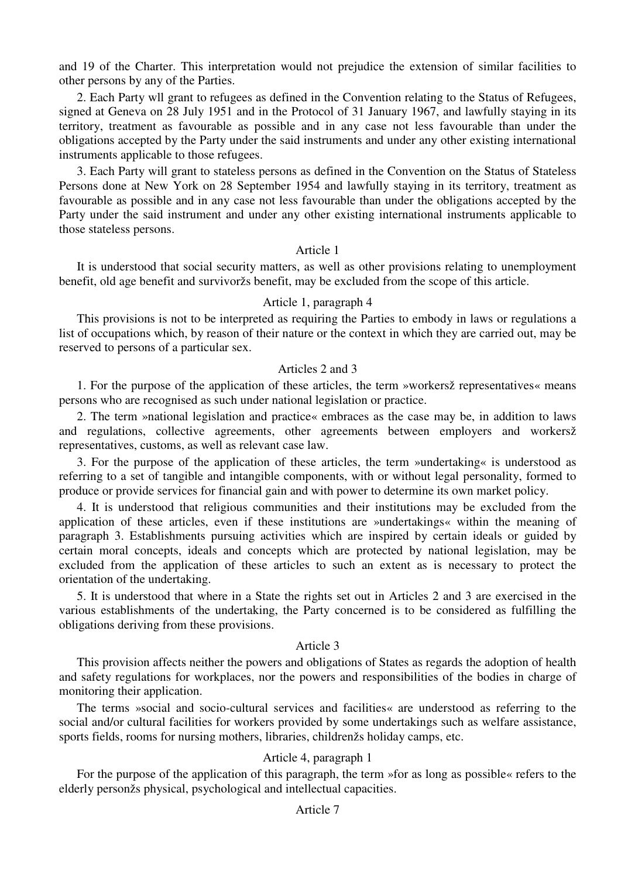and 19 of the Charter. This interpretation would not prejudice the extension of similar facilities to other persons by any of the Parties.

2. Each Party wll grant to refugees as defined in the Convention relating to the Status of Refugees, signed at Geneva on 28 July 1951 and in the Protocol of 31 January 1967, and lawfully staying in its territory, treatment as favourable as possible and in any case not less favourable than under the obligations accepted by the Party under the said instruments and under any other existing international instruments applicable to those refugees.

3. Each Party will grant to stateless persons as defined in the Convention on the Status of Stateless Persons done at New York on 28 September 1954 and lawfully staying in its territory, treatment as favourable as possible and in any case not less favourable than under the obligations accepted by the Party under the said instrument and under any other existing international instruments applicable to those stateless persons.

#### Article 1

It is understood that social security matters, as well as other provisions relating to unemployment benefit, old age benefit and survivoržs benefit, may be excluded from the scope of this article.

### Article 1, paragraph 4

This provisions is not to be interpreted as requiring the Parties to embody in laws or regulations a list of occupations which, by reason of their nature or the context in which they are carried out, may be reserved to persons of a particular sex.

#### Articles 2 and 3

1. For the purpose of the application of these articles, the term »workersž representatives« means persons who are recognised as such under national legislation or practice.

2. The term »national legislation and practice« embraces as the case may be, in addition to laws and regulations, collective agreements, other agreements between employers and workersž representatives, customs, as well as relevant case law.

3. For the purpose of the application of these articles, the term »undertaking« is understood as referring to a set of tangible and intangible components, with or without legal personality, formed to produce or provide services for financial gain and with power to determine its own market policy.

4. It is understood that religious communities and their institutions may be excluded from the application of these articles, even if these institutions are »undertakings« within the meaning of paragraph 3. Establishments pursuing activities which are inspired by certain ideals or guided by certain moral concepts, ideals and concepts which are protected by national legislation, may be excluded from the application of these articles to such an extent as is necessary to protect the orientation of the undertaking.

5. It is understood that where in a State the rights set out in Articles 2 and 3 are exercised in the various establishments of the undertaking, the Party concerned is to be considered as fulfilling the obligations deriving from these provisions.

#### Article 3

This provision affects neither the powers and obligations of States as regards the adoption of health and safety regulations for workplaces, nor the powers and responsibilities of the bodies in charge of monitoring their application.

The terms »social and socio-cultural services and facilities« are understood as referring to the social and/or cultural facilities for workers provided by some undertakings such as welfare assistance, sports fields, rooms for nursing mothers, libraries, childrenžs holiday camps, etc.

### Article 4, paragraph 1

For the purpose of the application of this paragraph, the term »for as long as possible« refers to the elderly personžs physical, psychological and intellectual capacities.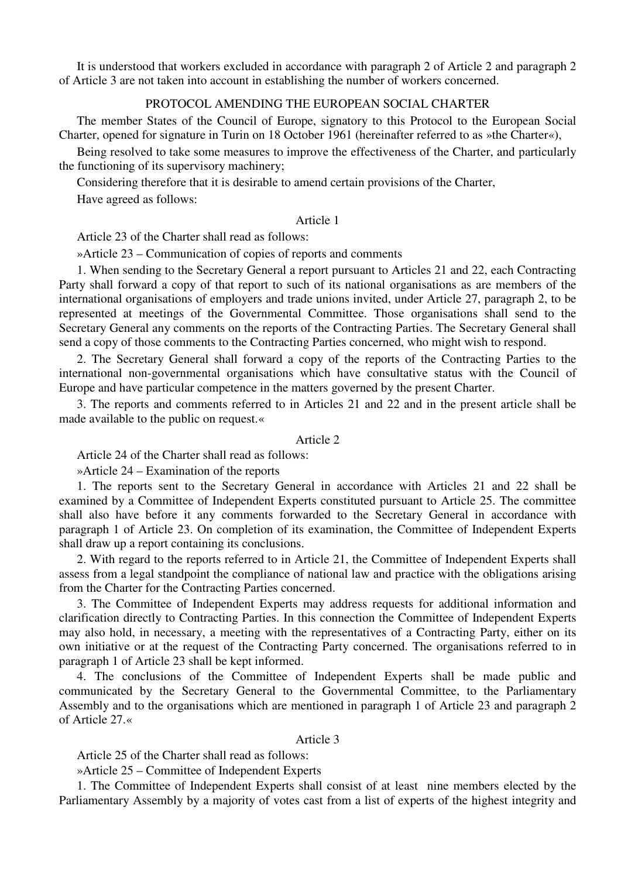It is understood that workers excluded in accordance with paragraph 2 of Article 2 and paragraph 2 of Article 3 are not taken into account in establishing the number of workers concerned.

### PROTOCOL AMENDING THE EUROPEAN SOCIAL CHARTER

The member States of the Council of Europe, signatory to this Protocol to the European Social Charter, opened for signature in Turin on 18 October 1961 (hereinafter referred to as »the Charter«),

Being resolved to take some measures to improve the effectiveness of the Charter, and particularly the functioning of its supervisory machinery;

Considering therefore that it is desirable to amend certain provisions of the Charter,

Have agreed as follows:

#### Article 1

Article 23 of the Charter shall read as follows:

»Article 23 – Communication of copies of reports and comments

1. When sending to the Secretary General a report pursuant to Articles 21 and 22, each Contracting Party shall forward a copy of that report to such of its national organisations as are members of the international organisations of employers and trade unions invited, under Article 27, paragraph 2, to be represented at meetings of the Governmental Committee. Those organisations shall send to the Secretary General any comments on the reports of the Contracting Parties. The Secretary General shall send a copy of those comments to the Contracting Parties concerned, who might wish to respond.

2. The Secretary General shall forward a copy of the reports of the Contracting Parties to the international non-governmental organisations which have consultative status with the Council of Europe and have particular competence in the matters governed by the present Charter.

3. The reports and comments referred to in Articles 21 and 22 and in the present article shall be made available to the public on request.«

#### Article 2

Article 24 of the Charter shall read as follows:

»Article 24 – Examination of the reports

1. The reports sent to the Secretary General in accordance with Articles 21 and 22 shall be examined by a Committee of Independent Experts constituted pursuant to Article 25. The committee shall also have before it any comments forwarded to the Secretary General in accordance with paragraph 1 of Article 23. On completion of its examination, the Committee of Independent Experts shall draw up a report containing its conclusions.

2. With regard to the reports referred to in Article 21, the Committee of Independent Experts shall assess from a legal standpoint the compliance of national law and practice with the obligations arising from the Charter for the Contracting Parties concerned.

3. The Committee of Independent Experts may address requests for additional information and clarification directly to Contracting Parties. In this connection the Committee of Independent Experts may also hold, in necessary, a meeting with the representatives of a Contracting Party, either on its own initiative or at the request of the Contracting Party concerned. The organisations referred to in paragraph 1 of Article 23 shall be kept informed.

4. The conclusions of the Committee of Independent Experts shall be made public and communicated by the Secretary General to the Governmental Committee, to the Parliamentary Assembly and to the organisations which are mentioned in paragraph 1 of Article 23 and paragraph 2 of Article 27.«

#### Article 3

Article 25 of the Charter shall read as follows:

»Article 25 – Committee of Independent Experts

1. The Committee of Independent Experts shall consist of at least nine members elected by the Parliamentary Assembly by a majority of votes cast from a list of experts of the highest integrity and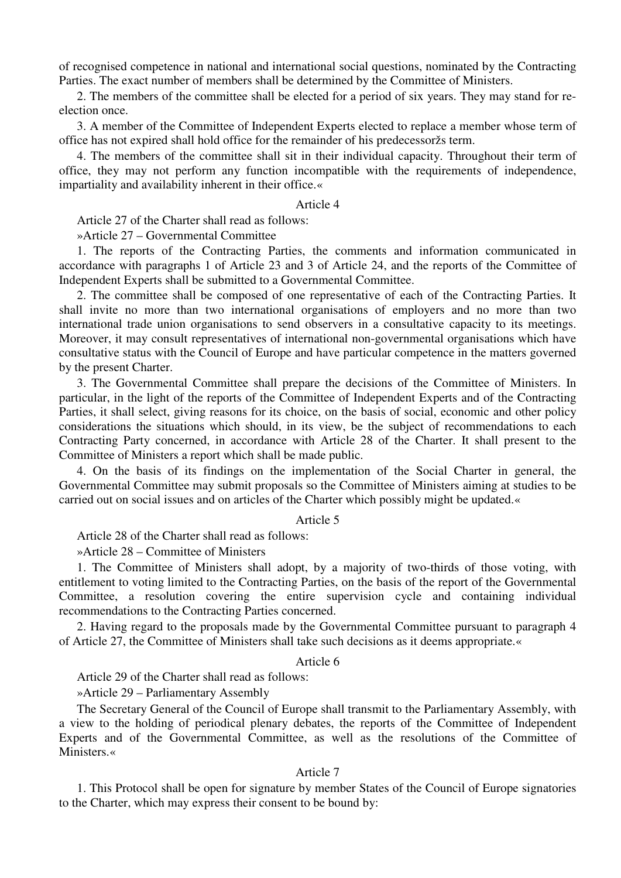of recognised competence in national and international social questions, nominated by the Contracting Parties. The exact number of members shall be determined by the Committee of Ministers.

2. The members of the committee shall be elected for a period of six years. They may stand for reelection once.

3. A member of the Committee of Independent Experts elected to replace a member whose term of office has not expired shall hold office for the remainder of his predecessoržs term.

4. The members of the committee shall sit in their individual capacity. Throughout their term of office, they may not perform any function incompatible with the requirements of independence, impartiality and availability inherent in their office.«

#### Article 4

Article 27 of the Charter shall read as follows:

»Article 27 – Governmental Committee

1. The reports of the Contracting Parties, the comments and information communicated in accordance with paragraphs 1 of Article 23 and 3 of Article 24, and the reports of the Committee of Independent Experts shall be submitted to a Governmental Committee.

2. The committee shall be composed of one representative of each of the Contracting Parties. It shall invite no more than two international organisations of employers and no more than two international trade union organisations to send observers in a consultative capacity to its meetings. Moreover, it may consult representatives of international non-governmental organisations which have consultative status with the Council of Europe and have particular competence in the matters governed by the present Charter.

3. The Governmental Committee shall prepare the decisions of the Committee of Ministers. In particular, in the light of the reports of the Committee of Independent Experts and of the Contracting Parties, it shall select, giving reasons for its choice, on the basis of social, economic and other policy considerations the situations which should, in its view, be the subject of recommendations to each Contracting Party concerned, in accordance with Article 28 of the Charter. It shall present to the Committee of Ministers a report which shall be made public.

4. On the basis of its findings on the implementation of the Social Charter in general, the Governmental Committee may submit proposals so the Committee of Ministers aiming at studies to be carried out on social issues and on articles of the Charter which possibly might be updated.«

#### Article 5

Article 28 of the Charter shall read as follows:

»Article 28 – Committee of Ministers

1. The Committee of Ministers shall adopt, by a majority of two-thirds of those voting, with entitlement to voting limited to the Contracting Parties, on the basis of the report of the Governmental Committee, a resolution covering the entire supervision cycle and containing individual recommendations to the Contracting Parties concerned.

2. Having regard to the proposals made by the Governmental Committee pursuant to paragraph 4 of Article 27, the Committee of Ministers shall take such decisions as it deems appropriate.«

#### Article 6

Article 29 of the Charter shall read as follows:

»Article 29 – Parliamentary Assembly

The Secretary General of the Council of Europe shall transmit to the Parliamentary Assembly, with a view to the holding of periodical plenary debates, the reports of the Committee of Independent Experts and of the Governmental Committee, as well as the resolutions of the Committee of Ministers.«

#### Article 7

1. This Protocol shall be open for signature by member States of the Council of Europe signatories to the Charter, which may express their consent to be bound by: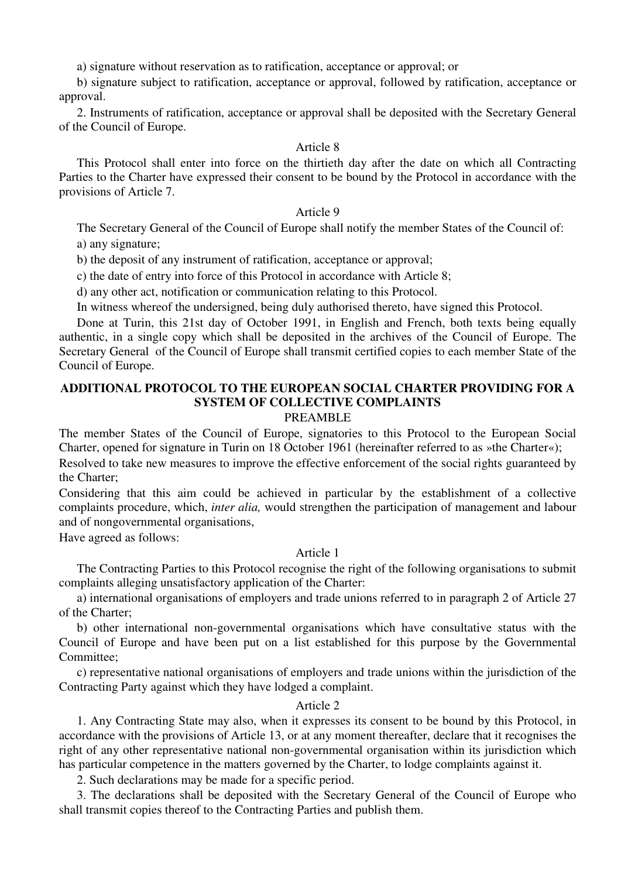a) signature without reservation as to ratification, acceptance or approval; or

b) signature subject to ratification, acceptance or approval, followed by ratification, acceptance or approval.

2. Instruments of ratification, acceptance or approval shall be deposited with the Secretary General of the Council of Europe.

### Article 8

This Protocol shall enter into force on the thirtieth day after the date on which all Contracting Parties to the Charter have expressed their consent to be bound by the Protocol in accordance with the provisions of Article 7.

### Article 9

The Secretary General of the Council of Europe shall notify the member States of the Council of: a) any signature;

b) the deposit of any instrument of ratification, acceptance or approval;

c) the date of entry into force of this Protocol in accordance with Article 8;

d) any other act, notification or communication relating to this Protocol.

In witness whereof the undersigned, being duly authorised thereto, have signed this Protocol.

Done at Turin, this 21st day of October 1991, in English and French, both texts being equally authentic, in a single copy which shall be deposited in the archives of the Council of Europe. The Secretary General of the Council of Europe shall transmit certified copies to each member State of the Council of Europe.

# **ADDITIONAL PROTOCOL TO THE EUROPEAN SOCIAL CHARTER PROVIDING FOR A SYSTEM OF COLLECTIVE COMPLAINTS**

#### PREAMBLE

The member States of the Council of Europe, signatories to this Protocol to the European Social Charter, opened for signature in Turin on 18 October 1961 (hereinafter referred to as »the Charter«);

Resolved to take new measures to improve the effective enforcement of the social rights guaranteed by the Charter;

Considering that this aim could be achieved in particular by the establishment of a collective complaints procedure, which, *inter alia,* would strengthen the participation of management and labour and of nongovernmental organisations,

Have agreed as follows:

### Article 1

The Contracting Parties to this Protocol recognise the right of the following organisations to submit complaints alleging unsatisfactory application of the Charter:

a) international organisations of employers and trade unions referred to in paragraph 2 of Article 27 of the Charter;

b) other international non-governmental organisations which have consultative status with the Council of Europe and have been put on a list established for this purpose by the Governmental Committee;

c) representative national organisations of employers and trade unions within the jurisdiction of the Contracting Party against which they have lodged a complaint.

#### Article 2

1. Any Contracting State may also, when it expresses its consent to be bound by this Protocol, in accordance with the provisions of Article 13, or at any moment thereafter, declare that it recognises the right of any other representative national non-governmental organisation within its jurisdiction which has particular competence in the matters governed by the Charter, to lodge complaints against it.

2. Such declarations may be made for a specific period.

3. The declarations shall be deposited with the Secretary General of the Council of Europe who shall transmit copies thereof to the Contracting Parties and publish them.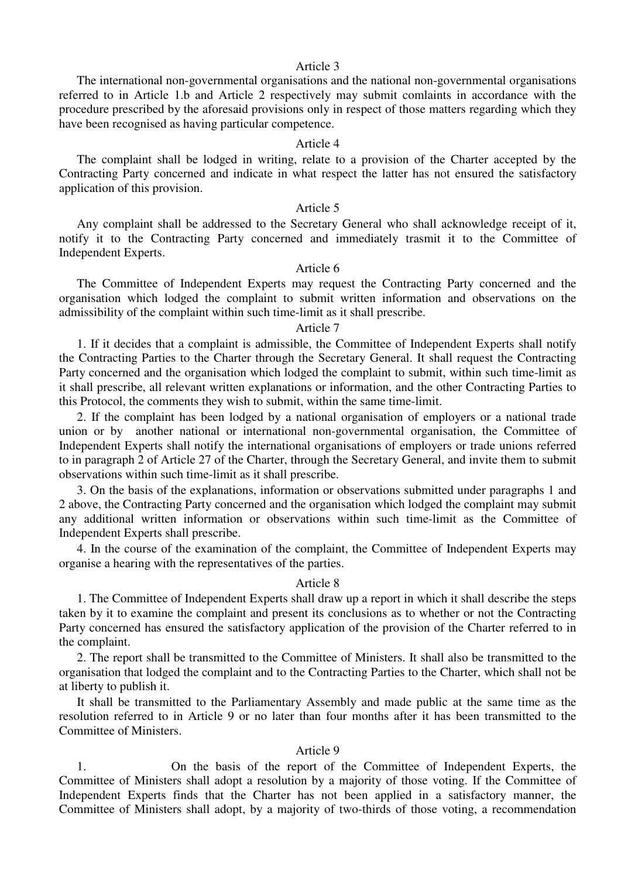#### Article 3

The international non-governmental organisations and the national non-governmental organisations referred to in Article 1.b and Article 2 respectively may submit comlaints in accordance with the procedure prescribed by the aforesaid provisions only in respect of those matters regarding which they have been recognised as having particular competence.

#### Article 4

The complaint shall be lodged in writing, relate to a provision of the Charter accepted by the Contracting Party concerned and indicate in what respect the latter has not ensured the satisfactory application of this provision.

#### Article 5

Any complaint shall be addressed to the Secretary General who shall acknowledge receipt of it, notify it to the Contracting Party concerned and immediately trasmit it to the Committee of Independent Experts.

#### Article 6

The Committee of Independent Experts may request the Contracting Party concerned and the organisation which lodged the complaint to submit written information and observations on the admissibility of the complaint within such time-limit as it shall prescribe.

#### Article 7

1. If it decides that a complaint is admissible, the Committee of Independent Experts shall notify the Contracting Parties to the Charter through the Secretary General. It shall request the Contracting Party concerned and the organisation which lodged the complaint to submit, within such time-limit as it shall prescribe, all relevant written explanations or information, and the other Contracting Parties to this Protocol, the comments they wish to submit, within the same time-limit.

2. If the complaint has been lodged by a national organisation of employers or a national trade union or by another national or international non-governmental organisation, the Committee of Independent Experts shall notify the international organisations of employers or trade unions referred to in paragraph 2 of Article 27 of the Charter, through the Secretary General, and invite them to submit observations within such time-limit as it shall prescribe.

3. On the basis of the explanations, information or observations submitted under paragraphs 1 and 2 above, the Contracting Party concerned and the organisation which lodged the complaint may submit any additional written information or observations within such time-limit as the Committee of Independent Experts shall prescribe.

4. In the course of the examination of the complaint, the Committee of Independent Experts may organise a hearing with the representatives of the parties.

#### Article 8

1. The Committee of Independent Experts shall draw up a report in which it shall describe the steps taken by it to examine the complaint and present its conclusions as to whether or not the Contracting Party concerned has ensured the satisfactory application of the provision of the Charter referred to in the complaint.

2. The report shall be transmitted to the Committee of Ministers. It shall also be transmitted to the organisation that lodged the complaint and to the Contracting Parties to the Charter, which shall not be at liberty to publish it.

It shall be transmitted to the Parliamentary Assembly and made public at the same time as the resolution referred to in Article 9 or no later than four months after it has been transmitted to the Committee of Ministers.

### Article 9

1. On the basis of the report of the Committee of Independent Experts, the Committee of Ministers shall adopt a resolution by a majority of those voting. If the Committee of Independent Experts finds that the Charter has not been applied in a satisfactory manner, the Committee of Ministers shall adopt, by a majority of two-thirds of those voting, a recommendation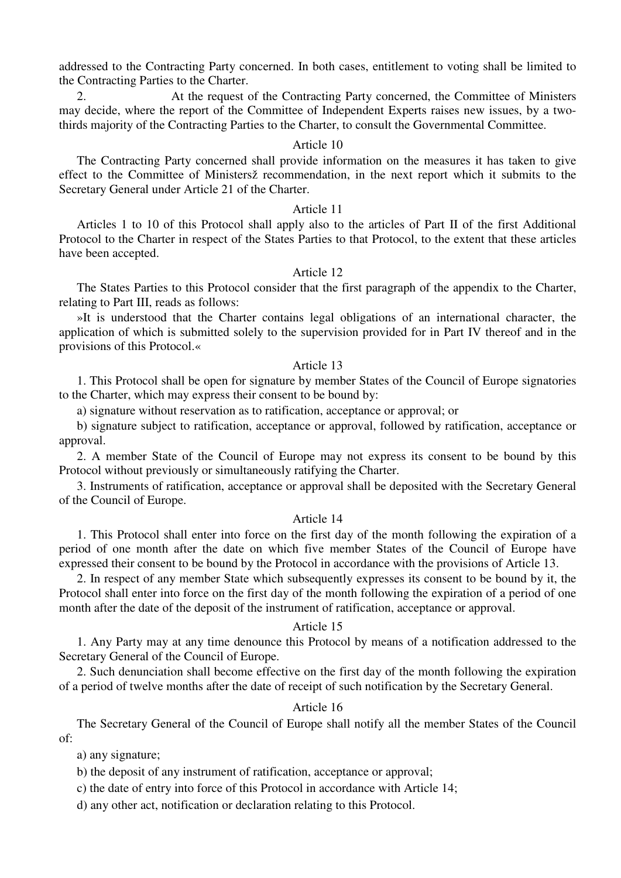addressed to the Contracting Party concerned. In both cases, entitlement to voting shall be limited to the Contracting Parties to the Charter.

2. At the request of the Contracting Party concerned, the Committee of Ministers may decide, where the report of the Committee of Independent Experts raises new issues, by a twothirds majority of the Contracting Parties to the Charter, to consult the Governmental Committee.

#### Article 10

The Contracting Party concerned shall provide information on the measures it has taken to give effect to the Committee of Ministersž recommendation, in the next report which it submits to the Secretary General under Article 21 of the Charter.

#### Article 11

Articles 1 to 10 of this Protocol shall apply also to the articles of Part II of the first Additional Protocol to the Charter in respect of the States Parties to that Protocol, to the extent that these articles have been accepted.

#### Article 12

The States Parties to this Protocol consider that the first paragraph of the appendix to the Charter, relating to Part III, reads as follows:

»It is understood that the Charter contains legal obligations of an international character, the application of which is submitted solely to the supervision provided for in Part IV thereof and in the provisions of this Protocol.«

#### Article 13

1. This Protocol shall be open for signature by member States of the Council of Europe signatories to the Charter, which may express their consent to be bound by:

a) signature without reservation as to ratification, acceptance or approval; or

b) signature subject to ratification, acceptance or approval, followed by ratification, acceptance or approval.

2. A member State of the Council of Europe may not express its consent to be bound by this Protocol without previously or simultaneously ratifying the Charter.

3. Instruments of ratification, acceptance or approval shall be deposited with the Secretary General of the Council of Europe.

### Article 14

1. This Protocol shall enter into force on the first day of the month following the expiration of a period of one month after the date on which five member States of the Council of Europe have expressed their consent to be bound by the Protocol in accordance with the provisions of Article 13.

2. In respect of any member State which subsequently expresses its consent to be bound by it, the Protocol shall enter into force on the first day of the month following the expiration of a period of one month after the date of the deposit of the instrument of ratification, acceptance or approval.

#### Article 15

1. Any Party may at any time denounce this Protocol by means of a notification addressed to the Secretary General of the Council of Europe.

2. Such denunciation shall become effective on the first day of the month following the expiration of a period of twelve months after the date of receipt of such notification by the Secretary General.

#### Article 16

The Secretary General of the Council of Europe shall notify all the member States of the Council of:

a) any signature;

b) the deposit of any instrument of ratification, acceptance or approval;

c) the date of entry into force of this Protocol in accordance with Article 14;

d) any other act, notification or declaration relating to this Protocol.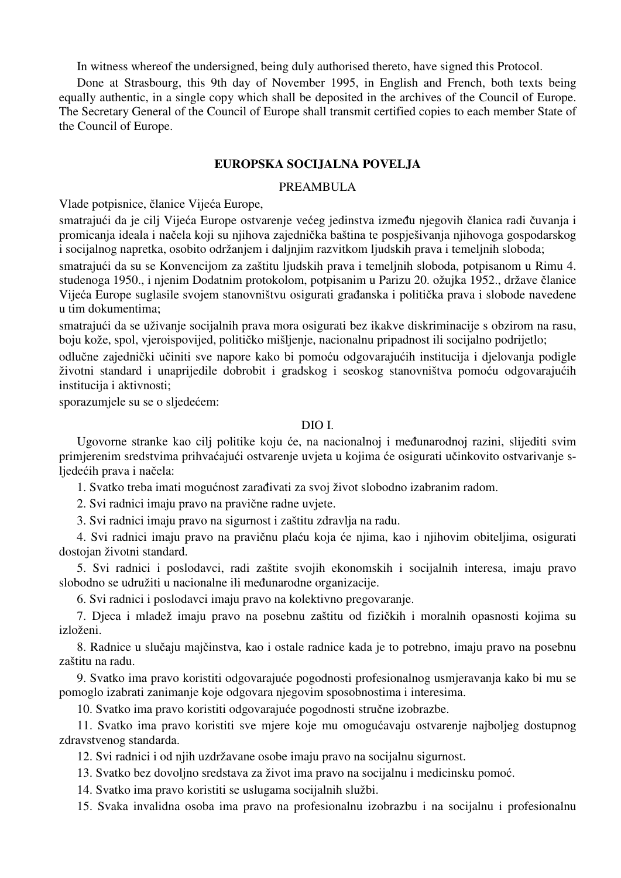In witness whereof the undersigned, being duly authorised thereto, have signed this Protocol.

Done at Strasbourg, this 9th day of November 1995, in English and French, both texts being equally authentic, in a single copy which shall be deposited in the archives of the Council of Europe. The Secretary General of the Council of Europe shall transmit certified copies to each member State of the Council of Europe.

### **EUROPSKA SOCIJALNA POVELJA**

#### PREAMBULA

Vlade potpisnice, članice Vijeća Europe,

smatrajući da je cilj Vijeća Europe ostvarenje većeg jedinstva između njegovih članica radi čuvanja i promicanja ideala i načela koji su njihova zajednička baština te pospješivanja njihovoga gospodarskog i socijalnog napretka, osobito održanjem i daljnjim razvitkom ljudskih prava i temeljnih sloboda;

smatrajući da su se Konvencijom za zaštitu ljudskih prava i temeljnih sloboda, potpisanom u Rimu 4. studenoga 1950., i njenim Dodatnim protokolom, potpisanim u Parizu 20. ožujka 1952., države članice Vijeća Europe suglasile svojem stanovništvu osigurati građanska i politička prava i slobode navedene u tim dokumentima;

smatrajući da se uživanje socijalnih prava mora osigurati bez ikakve diskriminacije s obzirom na rasu, boju kože, spol, vjeroispovijed, političko mišljenje, nacionalnu pripadnost ili socijalno podrijetlo;

odlučne zajednički učiniti sve napore kako bi pomoću odgovarajućih institucija i djelovanja podigle životni standard i unaprijedile dobrobit i gradskog i seoskog stanovništva pomoću odgovarajućih institucija i aktivnosti;

sporazumjele su se o sljedećem:

#### DIO I.

Ugovorne stranke kao cilj politike koju će, na nacionalnoj i međunarodnoj razini, slijediti svim primjerenim sredstvima prihvaćajući ostvarenje uvjeta u kojima će osigurati učinkovito ostvarivanje sljedećih prava i načela:

1. Svatko treba imati mogućnost zarađivati za svoj život slobodno izabranim radom.

2. Svi radnici imaju pravo na pravične radne uvjete.

3. Svi radnici imaju pravo na sigurnost i zaštitu zdravlja na radu.

4. Svi radnici imaju pravo na pravičnu plaću koja će njima, kao i njihovim obiteljima, osigurati dostojan životni standard.

5. Svi radnici i poslodavci, radi zaštite svojih ekonomskih i socijalnih interesa, imaju pravo slobodno se udružiti u nacionalne ili međunarodne organizacije.

6. Svi radnici i poslodavci imaju pravo na kolektivno pregovaranje.

7. Djeca i mladež imaju pravo na posebnu zaštitu od fizičkih i moralnih opasnosti kojima su izloženi.

8. Radnice u slučaju majčinstva, kao i ostale radnice kada je to potrebno, imaju pravo na posebnu zaštitu na radu.

9. Svatko ima pravo koristiti odgovarajuće pogodnosti profesionalnog usmjeravanja kako bi mu se pomoglo izabrati zanimanje koje odgovara njegovim sposobnostima i interesima.

10. Svatko ima pravo koristiti odgovarajuće pogodnosti stručne izobrazbe.

11. Svatko ima pravo koristiti sve mjere koje mu omogućavaju ostvarenje najboljeg dostupnog zdravstvenog standarda.

12. Svi radnici i od njih uzdržavane osobe imaju pravo na socijalnu sigurnost.

13. Svatko bez dovoljno sredstava za život ima pravo na socijalnu i medicinsku pomoć.

14. Svatko ima pravo koristiti se uslugama socijalnih službi.

15. Svaka invalidna osoba ima pravo na profesionalnu izobrazbu i na socijalnu i profesionalnu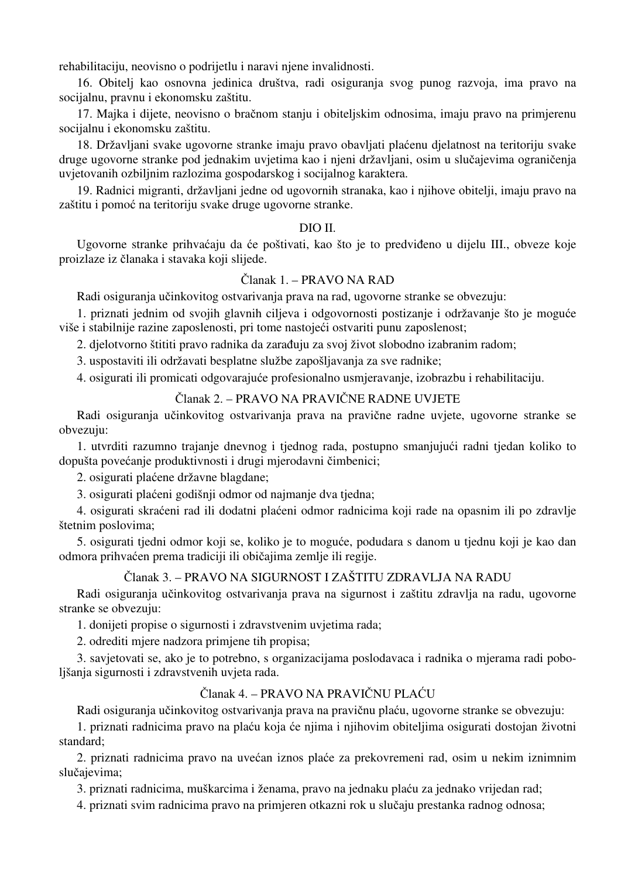rehabilitaciju, neovisno o podrijetlu i naravi njene invalidnosti.

16. Obitelj kao osnovna jedinica društva, radi osiguranja svog punog razvoja, ima pravo na socijalnu, pravnu i ekonomsku zaštitu.

17. Majka i dijete, neovisno o bračnom stanju i obiteljskim odnosima, imaju pravo na primjerenu socijalnu i ekonomsku zaštitu.

18. Državljani svake ugovorne stranke imaju pravo obavljati plaćenu djelatnost na teritoriju svake druge ugovorne stranke pod jednakim uvjetima kao i njeni državljani, osim u slučajevima ograničenja uvjetovanih ozbiljnim razlozima gospodarskog i socijalnog karaktera.

19. Radnici migranti, državljani jedne od ugovornih stranaka, kao i njihove obitelji, imaju pravo na zaštitu i pomoć na teritoriju svake druge ugovorne stranke.

#### DIO II.

Ugovorne stranke prihvaćaju da će poštivati, kao što je to predviđeno u dijelu III., obveze koje proizlaze iz članaka i stavaka koji slijede.

### Članak 1. – PRAVO NA RAD

Radi osiguranja učinkovitog ostvarivanja prava na rad, ugovorne stranke se obvezuju:

1. priznati jednim od svojih glavnih ciljeva i odgovornosti postizanje i održavanje što je moguće više i stabilnije razine zaposlenosti, pri tome nastojeći ostvariti punu zaposlenost;

2. djelotvorno štititi pravo radnika da zarađuju za svoj život slobodno izabranim radom;

3. uspostaviti ili održavati besplatne službe zapošljavanja za sve radnike;

4. osigurati ili promicati odgovarajuće profesionalno usmjeravanje, izobrazbu i rehabilitaciju.

### Članak 2. – PRAVO NA PRAVIČNE RADNE UVJETE

Radi osiguranja učinkovitog ostvarivanja prava na pravične radne uvjete, ugovorne stranke se obvezuju:

1. utvrditi razumno trajanje dnevnog i tjednog rada, postupno smanjujući radni tjedan koliko to dopušta povećanje produktivnosti i drugi mjerodavni čimbenici;

2. osigurati plaćene državne blagdane;

3. osigurati plaćeni godišnji odmor od najmanje dva tjedna;

4. osigurati skraćeni rad ili dodatni plaćeni odmor radnicima koji rade na opasnim ili po zdravlje štetnim poslovima;

5. osigurati tjedni odmor koji se, koliko je to moguće, podudara s danom u tjednu koji je kao dan odmora prihvaćen prema tradiciji ili običajima zemlje ili regije.

### Članak 3. – PRAVO NA SIGURNOST I ZAŠTITU ZDRAVLJA NA RADU

Radi osiguranja učinkovitog ostvarivanja prava na sigurnost i zaštitu zdravlja na radu, ugovorne stranke se obvezuju:

1. donijeti propise o sigurnosti i zdravstvenim uvjetima rada;

2. odrediti mjere nadzora primjene tih propisa;

3. savjetovati se, ako je to potrebno, s organizacijama poslodavaca i radnika o mjerama radi poboljšanja sigurnosti i zdravstvenih uvjeta rada.

### Članak 4. – PRAVO NA PRAVIČNU PLAĆU

Radi osiguranja učinkovitog ostvarivanja prava na pravičnu plaću, ugovorne stranke se obvezuju:

1. priznati radnicima pravo na plaću koja će njima i njihovim obiteljima osigurati dostojan životni standard;

2. priznati radnicima pravo na uvećan iznos plaće za prekovremeni rad, osim u nekim iznimnim slučajevima;

3. priznati radnicima, muškarcima i ženama, pravo na jednaku plaću za jednako vrijedan rad;

4. priznati svim radnicima pravo na primjeren otkazni rok u slučaju prestanka radnog odnosa;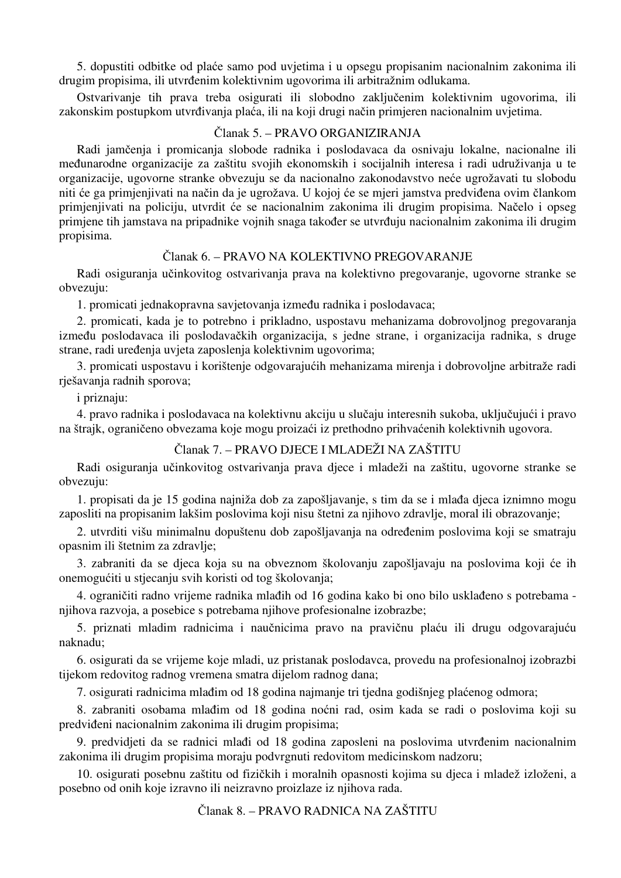5. dopustiti odbitke od plaće samo pod uvjetima i u opsegu propisanim nacionalnim zakonima ili drugim propisima, ili utvrđenim kolektivnim ugovorima ili arbitražnim odlukama.

Ostvarivanje tih prava treba osigurati ili slobodno zaključenim kolektivnim ugovorima, ili zakonskim postupkom utvrđivanja plaća, ili na koji drugi način primjeren nacionalnim uvjetima.

### Članak 5. – PRAVO ORGANIZIRANJA

Radi jamčenja i promicanja slobode radnika i poslodavaca da osnivaju lokalne, nacionalne ili međunarodne organizacije za zaštitu svojih ekonomskih i socijalnih interesa i radi udruživanja u te organizacije, ugovorne stranke obvezuju se da nacionalno zakonodavstvo neće ugrožavati tu slobodu niti će ga primjenjivati na način da je ugrožava. U kojoj će se mjeri jamstva predviđena ovim člankom primjenjivati na policiju, utvrdit će se nacionalnim zakonima ili drugim propisima. Načelo i opseg primjene tih jamstava na pripadnike vojnih snaga također se utvrđuju nacionalnim zakonima ili drugim propisima.

### Članak 6. – PRAVO NA KOLEKTIVNO PREGOVARANJE

Radi osiguranja učinkovitog ostvarivanja prava na kolektivno pregovaranje, ugovorne stranke se obvezuju:

1. promicati jednakopravna savjetovanja između radnika i poslodavaca;

2. promicati, kada je to potrebno i prikladno, uspostavu mehanizama dobrovoljnog pregovaranja između poslodavaca ili poslodavačkih organizacija, s jedne strane, i organizacija radnika, s druge strane, radi uređenja uvjeta zaposlenja kolektivnim ugovorima;

3. promicati uspostavu i korištenje odgovarajućih mehanizama mirenja i dobrovoljne arbitraže radi rješavanja radnih sporova;

i priznaju:

4. pravo radnika i poslodavaca na kolektivnu akciju u slučaju interesnih sukoba, uključujući i pravo na štrajk, ograničeno obvezama koje mogu proizaći iz prethodno prihvaćenih kolektivnih ugovora.

### Članak 7. – PRAVO DJECE I MLADEŽI NA ZAŠTITU

Radi osiguranja učinkovitog ostvarivanja prava djece i mladeži na zaštitu, ugovorne stranke se obvezuju:

1. propisati da je 15 godina najniža dob za zapošljavanje, s tim da se i mlađa djeca iznimno mogu zaposliti na propisanim lakšim poslovima koji nisu štetni za njihovo zdravlje, moral ili obrazovanje;

2. utvrditi višu minimalnu dopuštenu dob zapošljavanja na određenim poslovima koji se smatraju opasnim ili štetnim za zdravlje;

3. zabraniti da se djeca koja su na obveznom školovanju zapošljavaju na poslovima koji će ih onemogućiti u stjecanju svih koristi od tog školovanja;

4. ograničiti radno vrijeme radnika mlađih od 16 godina kako bi ono bilo usklađeno s potrebama njihova razvoja, a posebice s potrebama njihove profesionalne izobrazbe;

5. priznati mladim radnicima i naučnicima pravo na pravičnu plaću ili drugu odgovarajuću naknadu;

6. osigurati da se vrijeme koje mladi, uz pristanak poslodavca, provedu na profesionalnoj izobrazbi tijekom redovitog radnog vremena smatra dijelom radnog dana;

7. osigurati radnicima mlađim od 18 godina najmanje tri tjedna godišnjeg plaćenog odmora;

8. zabraniti osobama mlađim od 18 godina noćni rad, osim kada se radi o poslovima koji su predviđeni nacionalnim zakonima ili drugim propisima;

9. predvidjeti da se radnici mlađi od 18 godina zaposleni na poslovima utvrđenim nacionalnim zakonima ili drugim propisima moraju podvrgnuti redovitom medicinskom nadzoru;

10. osigurati posebnu zaštitu od fizičkih i moralnih opasnosti kojima su djeca i mladež izloženi, a posebno od onih koje izravno ili neizravno proizlaze iz njihova rada.

Članak 8. – PRAVO RADNICA NA ZAŠTITU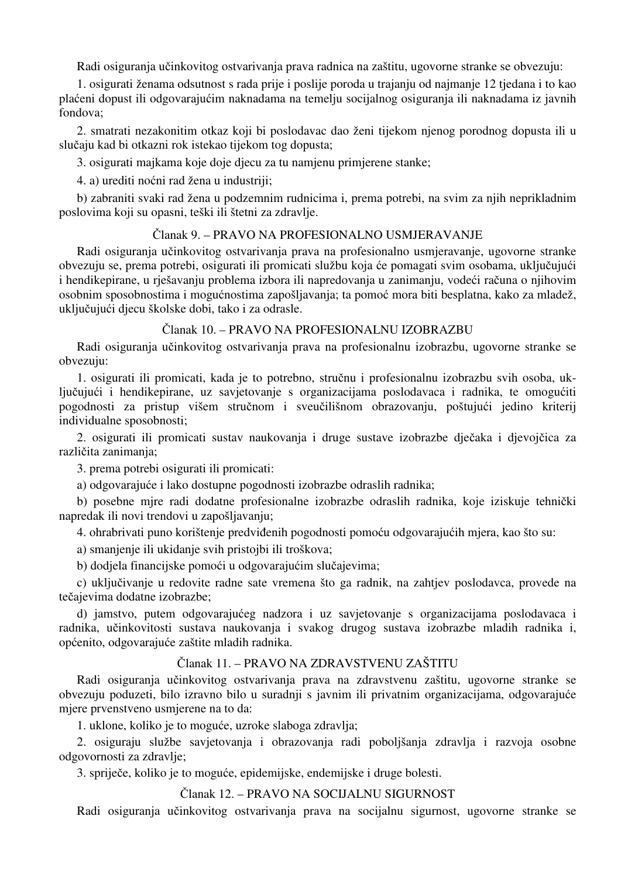Radi osiguranja učinkovitog ostvarivanja prava radnica na zaštitu, ugovorne stranke se obvezuju:

1. osigurati ženama odsutnost s rada prije i poslije poroda u trajanju od najmanje 12 tjedana i to kao plaćeni dopust ili odgovarajućim naknadama na temelju socijalnog osiguranja ili naknadama iz javnih fondova;

2. smatrati nezakonitim otkaz koji bi poslodavac dao ženi tijekom njenog porodnog dopusta ili u slučaju kad bi otkazni rok istekao tijekom tog dopusta;

3. osigurati majkama koje doje djecu za tu namjenu primjerene stanke;

4. a) urediti noćni rad žena u industriji;

b) zabraniti svaki rad žena u podzemnim rudnicima i, prema potrebi, na svim za njih neprikladnim poslovima koji su opasni, teški ili štetni za zdravlje.

#### Članak 9. – PRAVO NA PROFESIONALNO USMJERAVANJE

Radi osiguranja učinkovitog ostvarivanja prava na profesionalno usmjeravanje, ugovorne stranke obvezuju se, prema potrebi, osigurati ili promicati službu koja će pomagati svim osobama, uključujući i hendikepirane, u rješavanju problema izbora ili napredovanja u zanimanju, vodeći računa o njihovim osobnim sposobnostima i mogućnostima zapošljavanja; ta pomoć mora biti besplatna, kako za mladež, uključujući djecu školske dobi, tako i za odrasle.

### Članak 10. – PRAVO NA PROFESIONALNU IZOBRAZBU

Radi osiguranja učinkovitog ostvarivanja prava na profesionalnu izobrazbu, ugovorne stranke se obvezuju:

1. osigurati ili promicati, kada je to potrebno, stručnu i profesionalnu izobrazbu svih osoba, uključujući i hendikepirane, uz savjetovanje s organizacijama poslodavaca i radnika, te omogućiti pogodnosti za pristup višem stručnom i sveučilišnom obrazovanju, poštujući jedino kriterij individualne sposobnosti;

2. osigurati ili promicati sustav naukovanja i druge sustave izobrazbe dječaka i djevojčica za različita zanimanja;

3. prema potrebi osigurati ili promicati:

a) odgovarajuće i lako dostupne pogodnosti izobrazbe odraslih radnika;

b) posebne mjre radi dodatne profesionalne izobrazbe odraslih radnika, koje iziskuje tehnički napredak ili novi trendovi u zapošljavanju;

4. ohrabrivati puno korištenje predviđenih pogodnosti pomoću odgovarajućih mjera, kao što su:

a) smanjenje ili ukidanje svih pristojbi ili troškova;

b) dodjela financijske pomoći u odgovarajućim slučajevima;

c) uključivanje u redovite radne sate vremena što ga radnik, na zahtjev poslodavca, provede na tečajevima dodatne izobrazbe;

d) jamstvo, putem odgovarajućeg nadzora i uz savjetovanje s organizacijama poslodavaca i radnika, učinkovitosti sustava naukovanja i svakog drugog sustava izobrazbe mladih radnika i, općenito, odgovarajuće zaštite mladih radnika.

### Članak 11. – PRAVO NA ZDRAVSTVENU ZAŠTITU

Radi osiguranja učinkovitog ostvarivanja prava na zdravstvenu zaštitu, ugovorne stranke se obvezuju poduzeti, bilo izravno bilo u suradnji s javnim ili privatnim organizacijama, odgovarajuće mjere prvenstveno usmjerene na to da:

1. uklone, koliko je to moguće, uzroke slaboga zdravlja;

2. osiguraju službe savjetovanja i obrazovanja radi poboljšanja zdravlja i razvoja osobne odgovornosti za zdravlje;

3. spriječe, koliko je to moguće, epidemijske, endemijske i druge bolesti.

Članak 12. – PRAVO NA SOCIJALNU SIGURNOST

Radi osiguranja učinkovitog ostvarivanja prava na socijalnu sigurnost, ugovorne stranke se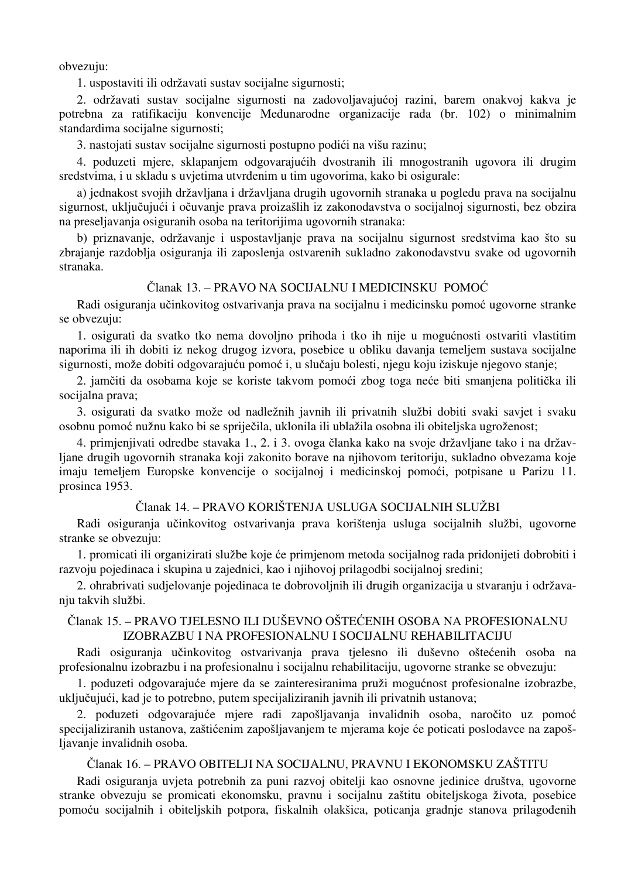obvezuju:

1. uspostaviti ili održavati sustav socijalne sigurnosti;

2. održavati sustav socijalne sigurnosti na zadovoljavajućoj razini, barem onakvoj kakva je potrebna za ratifikaciju konvencije Međunarodne organizacije rada (br. 102) o minimalnim standardima socijalne sigurnosti:

3. nastojati sustav socijalne sigurnosti postupno podići na višu razinu;

4. poduzeti mjere, sklapanjem odgovarajućih dvostranih ili mnogostranih ugovora ili drugim sredstvima, i u skladu s uvjetima utvrđenim u tim ugovorima, kako bi osigurale:

a) jednakost svojih državljana i državljana drugih ugovornih stranaka u pogledu prava na socijalnu sigurnost, uključujući i očuvanje prava proizašlih iz zakonodavstva o socijalnoj sigurnosti, bez obzira na preseljavanja osiguranih osoba na teritorijima ugovornih stranaka:

b) priznavanje, održavanje i uspostavljanje prava na socijalnu sigurnost sredstvima kao što su zbrajanje razdoblja osiguranja ili zaposlenja ostvarenih sukladno zakonodavstvu svake od ugovornih stranaka.

### Članak 13. – PRAVO NA SOCIJALNU I MEDICINSKU POMOĆ

Radi osiguranja učinkovitog ostvarivanja prava na socijalnu i medicinsku pomoć ugovorne stranke se obvezuju:

1. osigurati da svatko tko nema dovoljno prihoda i tko ih nije u mogućnosti ostvariti vlastitim naporima ili ih dobiti iz nekog drugog izvora, posebice u obliku davanja temeljem sustava socijalne sigurnosti, može dobiti odgovarajuću pomoć i, u slučaju bolesti, njegu koju iziskuje njegovo stanje;

2. jamčiti da osobama koje se koriste takvom pomoći zbog toga neće biti smanjena politička ili socijalna prava;

3. osigurati da svatko može od nadležnih javnih ili privatnih službi dobiti svaki savjet i svaku osobnu pomoć nužnu kako bi se spriječila, uklonila ili ublažila osobna ili obiteljska ugroženost;

4. primjenjivati odredbe stavaka 1., 2. i 3. ovoga članka kako na svoje državljane tako i na državljane drugih ugovornih stranaka koji zakonito borave na njihovom teritoriju, sukladno obvezama koje imaju temeljem Europske konvencije o socijalnoj i medicinskoj pomoći, potpisane u Parizu 11. prosinca 1953.

### Članak 14. – PRAVO KORIŠTENJA USLUGA SOCIJALNIH SLUŽBI

Radi osiguranja učinkovitog ostvarivanja prava korištenja usluga socijalnih službi, ugovorne stranke se obvezuju:

1. promicati ili organizirati službe koje će primjenom metoda socijalnog rada pridonijeti dobrobiti i razvoju pojedinaca i skupina u zajednici, kao i njihovoj prilagodbi socijalnoj sredini;

2. ohrabrivati sudjelovanje pojedinaca te dobrovoljnih ili drugih organizacija u stvaranju i održavanju takvih službi.

### Članak 15. – PRAVO TJELESNO ILI DUŠEVNO OŠTEĆENIH OSOBA NA PROFESIONALNU IZOBRAZBU I NA PROFESIONALNU I SOCIJALNU REHABILITACIJU

Radi osiguranja učinkovitog ostvarivanja prava tjelesno ili duševno oštećenih osoba na profesionalnu izobrazbu i na profesionalnu i socijalnu rehabilitaciju, ugovorne stranke se obvezuju:

1. poduzeti odgovarajuće mjere da se zainteresiranima pruži mogućnost profesionalne izobrazbe, uključujući, kad je to potrebno, putem specijaliziranih javnih ili privatnih ustanova;

2. poduzeti odgovarajuće mjere radi zapošljavanja invalidnih osoba, naročito uz pomoć specijaliziranih ustanova, zaštićenim zapošljavanjem te mjerama koje će poticati poslodavce na zapošljavanje invalidnih osoba.

### Članak 16. – PRAVO OBITELJI NA SOCIJALNU, PRAVNU I EKONOMSKU ZAŠTITU

Radi osiguranja uvjeta potrebnih za puni razvoj obitelji kao osnovne jedinice društva, ugovorne stranke obvezuju se promicati ekonomsku, pravnu i socijalnu zaštitu obiteljskoga života, posebice pomoću socijalnih i obiteljskih potpora, fiskalnih olakšica, poticanja gradnje stanova prilagođenih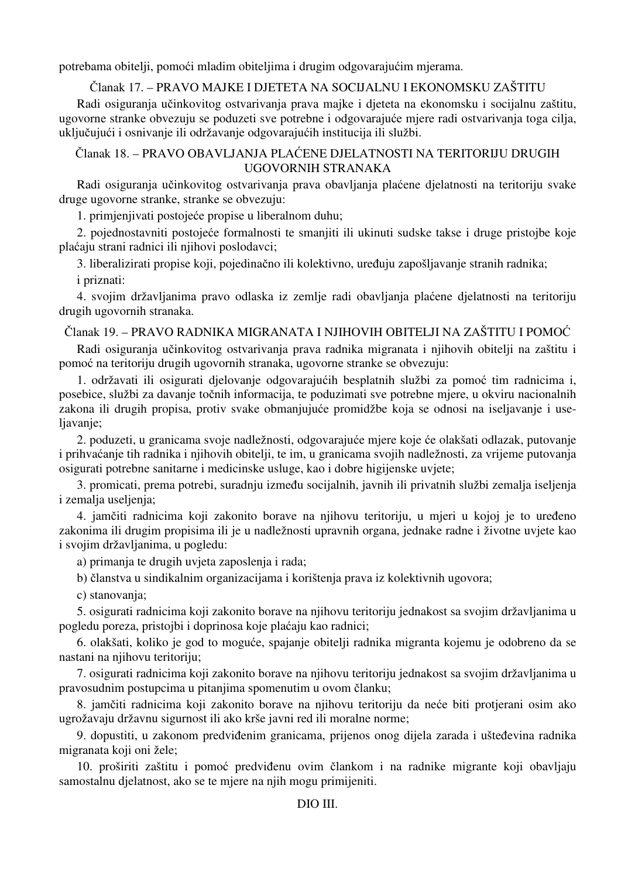potrebama obitelji, pomoći mladim obiteljima i drugim odgovarajućim mjerama.

### Članak 17. – PRAVO MAJKE I DJETETA NA SOCIJALNU I EKONOMSKU ZAŠTITU

Radi osiguranja učinkovitog ostvarivanja prava majke i djeteta na ekonomsku i socijalnu zaštitu, ugovorne stranke obvezuju se poduzeti sve potrebne i odgovarajuće mjere radi ostvarivanja toga cilja, uključujući i osnivanje ili održavanje odgovarajućih institucija ili službi.

### Članak 18. – PRAVO OBAVLJANJA PLAĆENE DJELATNOSTI NA TERITORIJU DRUGIH UGOVORNIH STRANAKA

Radi osiguranja učinkovitog ostvarivanja prava obavljanja plaćene djelatnosti na teritoriju svake druge ugovorne stranke, stranke se obvezuju:

1. primjenjivati postojeće propise u liberalnom duhu;

2. pojednostavniti postojeće formalnosti te smanjiti ili ukinuti sudske takse i druge pristojbe koje plaćaju strani radnici ili njihovi poslodavci;

3. liberalizirati propise koji, pojedinačno ili kolektivno, uređuju zapošljavanje stranih radnika; i priznati:

4. svojim državljanima pravo odlaska iz zemlje radi obavljanja plaćene djelatnosti na teritoriju drugih ugovornih stranaka.

### Članak 19. – PRAVO RADNIKA MIGRANATA I NJIHOVIH OBITELJI NA ZAŠTITU I POMOĆ

Radi osiguranja učinkovitog ostvarivanja prava radnika migranata i njihovih obitelji na zaštitu i pomoć na teritoriju drugih ugovornih stranaka, ugovorne stranke se obvezuju:

1. održavati ili osigurati djelovanje odgovarajućih besplatnih službi za pomoć tim radnicima i, posebice, službi za davanje točnih informacija, te poduzimati sve potrebne mjere, u okviru nacionalnih zakona ili drugih propisa, protiv svake obmanjujuće promidžbe koja se odnosi na iseljavanje i useljavanje;

2. poduzeti, u granicama svoje nadležnosti, odgovarajuće mjere koje će olakšati odlazak, putovanje i prihvaćanje tih radnika i njihovih obitelji, te im, u granicama svojih nadležnosti, za vrijeme putovanja osigurati potrebne sanitarne i medicinske usluge, kao i dobre higijenske uvjete;

3. promicati, prema potrebi, suradnju između socijalnih, javnih ili privatnih službi zemalja iseljenja i zemalja useljenja;

4. jamčiti radnicima koji zakonito borave na njihovu teritoriju, u mjeri u kojoj je to uređeno zakonima ili drugim propisima ili je u nadležnosti upravnih organa, jednake radne i životne uvjete kao i svojim državljanima, u pogledu:

a) primanja te drugih uvjeta zaposlenja i rada;

b) članstva u sindikalnim organizacijama i korištenja prava iz kolektivnih ugovora;

c) stanovanja;

5. osigurati radnicima koji zakonito borave na njihovu teritoriju jednakost sa svojim državljanima u pogledu poreza, pristojbi i doprinosa koje plaćaju kao radnici;

6. olakšati, koliko je god to moguće, spajanje obitelji radnika migranta kojemu je odobreno da se nastani na njihovu teritoriju:

7. osigurati radnicima koji zakonito borave na njihovu teritoriju jednakost sa svojim državljanima u pravosudnim postupcima u pitanjima spomenutim u ovom članku;

8. jamčiti radnicima koji zakonito borave na njihovu teritoriju da neće biti protjerani osim ako ugrožavaju državnu sigurnost ili ako krše javni red ili moralne norme;

9. dopustiti, u zakonom predviđenim granicama, prijenos onog dijela zarada i ušteđevina radnika migranata koji oni žele;

10. proširiti zaštitu i pomoć predviđenu ovim člankom i na radnike migrante koji obavljaju samostalnu djelatnost, ako se te mjere na njih mogu primijeniti.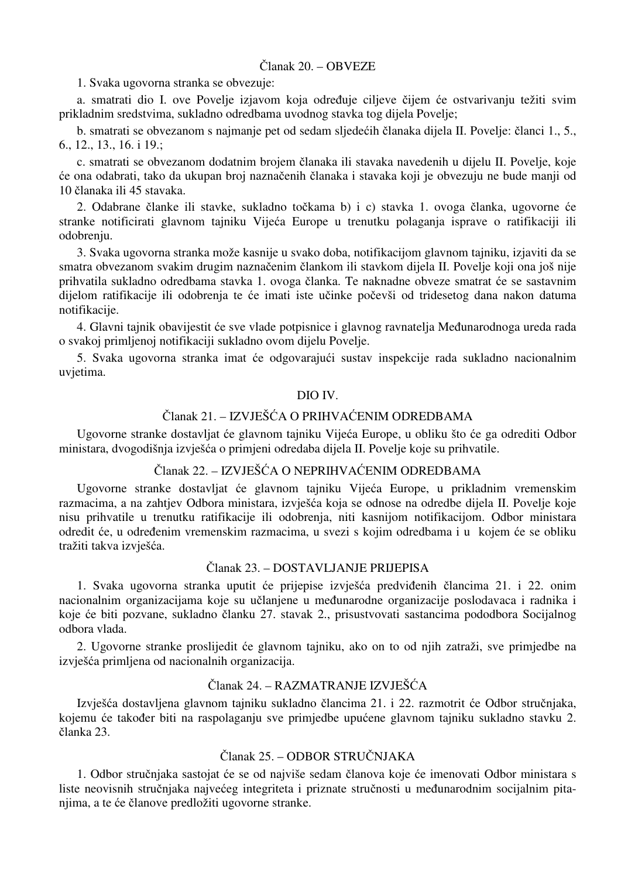### Članak 20. – OBVEZE

1. Svaka ugovorna stranka se obvezuje:

a. smatrati dio I. ove Povelje izjavom koja određuje ciljeve čijem će ostvarivanju težiti svim prikladnim sredstvima, sukladno odredbama uvodnog stavka tog dijela Povelje;

b. smatrati se obvezanom s najmanje pet od sedam sljedećih članaka dijela II. Povelje: članci 1., 5., 6., 12., 13., 16. i 19.;

c. smatrati se obvezanom dodatnim brojem članaka ili stavaka navedenih u dijelu II. Povelje, koje će ona odabrati, tako da ukupan broj naznačenih članaka i stavaka koji je obvezuju ne bude manji od 10 članaka ili 45 stavaka.

2. Odabrane članke ili stavke, sukladno točkama b) i c) stavka 1. ovoga članka, ugovorne će stranke notificirati glavnom tajniku Vijeća Europe u trenutku polaganja isprave o ratifikaciji ili odobrenju.

3. Svaka ugovorna stranka može kasnije u svako doba, notifikacijom glavnom tajniku, izjaviti da se smatra obvezanom svakim drugim naznačenim člankom ili stavkom dijela II. Povelje koji ona još nije prihvatila sukladno odredbama stavka 1. ovoga članka. Te naknadne obveze smatrat će se sastavnim dijelom ratifikacije ili odobrenja te će imati iste učinke počevši od tridesetog dana nakon datuma notifikacije.

4. Glavni tajnik obavijestit će sve vlade potpisnice i glavnog ravnatelja Međunarodnoga ureda rada o svakoj primljenoj notifikaciji sukladno ovom dijelu Povelje.

5. Svaka ugovorna stranka imat će odgovarajući sustav inspekcije rada sukladno nacionalnim uvjetima.

### DIO IV.

#### Članak 21. – IZVJEŠĆA O PRIHVAĆENIM ODREDBAMA

Ugovorne stranke dostavljat će glavnom tajniku Vijeća Europe, u obliku što će ga odrediti Odbor ministara, dvogodišnja izvješća o primjeni odredaba dijela II. Povelje koje su prihvatile.

### Članak 22. – IZVJEŠĆA O NEPRIHVAĆENIM ODREDBAMA

Ugovorne stranke dostavljat će glavnom tajniku Vijeća Europe, u prikladnim vremenskim razmacima, a na zahtjev Odbora ministara, izvješća koja se odnose na odredbe dijela II. Povelje koje nisu prihvatile u trenutku ratifikacije ili odobrenja, niti kasnijom notifikacijom. Odbor ministara odredit će, u određenim vremenskim razmacima, u svezi s kojim odredbama i u kojem će se obliku tražiti takva izvješća.

### Članak 23. – DOSTAVLJANJE PRIJEPISA

1. Svaka ugovorna stranka uputit će prijepise izvješća predviđenih člancima 21. i 22. onim nacionalnim organizacijama koje su učlanjene u međunarodne organizacije poslodavaca i radnika i koje će biti pozvane, sukladno članku 27. stavak 2., prisustvovati sastancima pododbora Socijalnog odbora vlada.

2. Ugovorne stranke proslijedit će glavnom tajniku, ako on to od njih zatraži, sve primjedbe na izvješća primljena od nacionalnih organizacija.

### Članak 24. – RAZMATRANJE IZVJEŠĆA

Izvješća dostavljena glavnom tajniku sukladno člancima 21. i 22. razmotrit će Odbor stručnjaka, kojemu će također biti na raspolaganju sve primjedbe upućene glavnom tajniku sukladno stavku 2. članka 23.

### Članak 25. – ODBOR STRUČNJAKA

1. Odbor stručnjaka sastojat će se od najviše sedam članova koje će imenovati Odbor ministara s liste neovisnih stručnjaka najvećeg integriteta i priznate stručnosti u međunarodnim socijalnim pitanjima, a te će članove predložiti ugovorne stranke.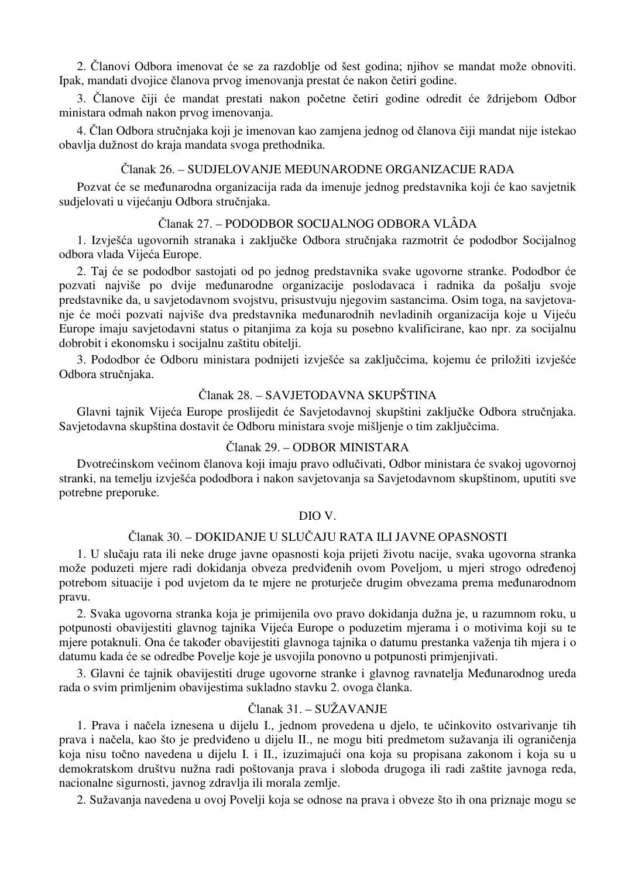2. Članovi Odbora imenovat će se za razdoblje od šest godina; njihov se mandat može obnoviti. Ipak, mandati dvojice članova prvog imenovanja prestat će nakon četiri godine.

3. Članove čiji će mandat prestati nakon početne četiri godine odredit će ždrijebom Odbor ministara odmah nakon prvog imenovanja.

4. Član Odbora stručnjaka koji je imenovan kao zamjena jednog od članova čiji mandat nije istekao obavlja dužnost do kraja mandata svoga prethodnika.

### Članak 26. – SUDJELOVANJE MEĐUNARODNE ORGANIZACIJE RADA

Pozvat će se međunarodna organizacija rada da imenuje jednog predstavnika koji će kao savjetnik sudjelovati u vijećanju Odbora stručnjaka.

### Članak 27. – PODODBOR SOCIJALNOG ODBORA VLÂDA

1. Izvješća ugovornih stranaka i zaključke Odbora stručnjaka razmotrit će pododbor Socijalnog odbora vlada Vijeća Europe.

2. Taj će se pododbor sastojati od po jednog predstavnika svake ugovorne stranke. Pododbor će pozvati najviše po dvije međunarodne organizacije poslodavaca i radnika da pošalju svoje predstavnike da, u savjetodavnom svojstvu, prisustvuju njegovim sastancima. Osim toga, na savjetovanje će moći pozvati najviše dva predstavnika međunarodnih nevladinih organizacija koje u Vijeću Europe imaju savjetodavni status o pitanjima za koja su posebno kvalificirane, kao npr. za socijalnu dobrobit i ekonomsku i socijalnu zaštitu obitelji.

3. Pododbor će Odboru ministara podnijeti izvješće sa zaključcima, kojemu će priložiti izvješće Odbora stručnjaka.

### Članak 28. – SAVJETODAVNA SKUPŠTINA

Glavni tajnik Vijeća Europe proslijedit će Savjetodavnoj skupštini zaključke Odbora stručnjaka. Savjetodavna skupština dostavit će Odboru ministara svoje mišljenje o tim zaključcima.

#### Članak 29. – ODBOR MINISTARA

Dvotrećinskom većinom članova koji imaju pravo odlučivati, Odbor ministara će svakoj ugovornoj stranki, na temelju izvješća pododbora i nakon savjetovanja sa Savjetodavnom skupštinom, uputiti sve potrebne preporuke.

### DIO V.

### Članak 30. – DOKIDANJE U SLUČAJU RATA ILI JAVNE OPASNOSTI

1. U slučaju rata ili neke druge javne opasnosti koja prijeti životu nacije, svaka ugovorna stranka može poduzeti mjere radi dokidanja obveza predviđenih ovom Poveljom, u mjeri strogo određenoj potrebom situacije i pod uvjetom da te mjere ne proturječe drugim obvezama prema međunarodnom pravu.

2. Svaka ugovorna stranka koja je primijenila ovo pravo dokidanja dužna je, u razumnom roku, u potpunosti obavijestiti glavnog tajnika Vijeća Europe o poduzetim mjerama i o motivima koji su te mjere potaknuli. Ona će također obavijestiti glavnoga tajnika o datumu prestanka važenja tih mjera i o datumu kada će se odredbe Povelje koje je usvojila ponovno u potpunosti primjenjivati.

3. Glavni će tajnik obavijestiti druge ugovorne stranke i glavnog ravnatelja Međunarodnog ureda rada o svim primljenim obavijestima sukladno stavku 2. ovoga članka.

### Članak 31. – SUŽAVANJE

1. Prava i načela iznesena u dijelu I., jednom provedena u djelo, te učinkovito ostvarivanje tih prava i načela, kao što je predviđeno u dijelu II., ne mogu biti predmetom sužavanja ili ograničenja koja nisu točno navedena u dijelu I. i II., izuzimajući ona koja su propisana zakonom i koja su u demokratskom društvu nužna radi poštovanja prava i sloboda drugoga ili radi zaštite javnoga reda, nacionalne sigurnosti, javnog zdravlja ili morala zemlje.

2. Sužavanja navedena u ovoj Povelji koja se odnose na prava i obveze što ih ona priznaje mogu se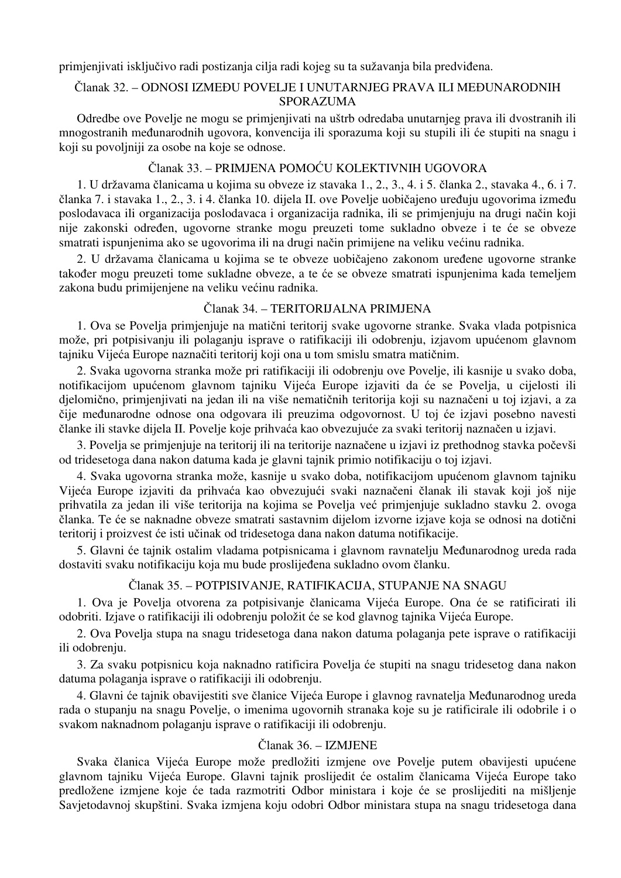primjenjivati isključivo radi postizanja cilja radi kojeg su ta sužavanja bila predviđena.

### Članak 32. – ODNOSI IZMEĐU POVELJE I UNUTARNJEG PRAVA ILI MEĐUNARODNIH SPORAZUMA

Odredbe ove Povelje ne mogu se primjenjivati na uštrb odredaba unutarnjeg prava ili dvostranih ili mnogostranih međunarodnih ugovora, konvencija ili sporazuma koji su stupili ili će stupiti na snagu i koji su povoljniji za osobe na koje se odnose.

### Članak 33. – PRIMJENA POMOĆU KOLEKTIVNIH UGOVORA

1. U državama članicama u kojima su obveze iz stavaka 1., 2., 3., 4. i 5. članka 2., stavaka 4., 6. i 7. članka 7. i stavaka 1., 2., 3. i 4. članka 10. dijela II. ove Povelje uobičajeno uređuju ugovorima između poslodavaca ili organizacija poslodavaca i organizacija radnika, ili se primjenjuju na drugi način koji nije zakonski određen, ugovorne stranke mogu preuzeti tome sukladno obveze i te će se obveze smatrati ispunjenima ako se ugovorima ili na drugi način primijene na veliku većinu radnika.

2. U državama članicama u kojima se te obveze uobičajeno zakonom uređene ugovorne stranke također mogu preuzeti tome sukladne obveze, a te će se obveze smatrati ispunjenima kada temeljem zakona budu primijenjene na veliku većinu radnika.

### Članak 34. – TERITORIJALNA PRIMJENA

1. Ova se Povelja primjenjuje na matični teritorij svake ugovorne stranke. Svaka vlada potpisnica može, pri potpisivanju ili polaganju isprave o ratifikaciji ili odobrenju, izjavom upućenom glavnom tajniku Vijeća Europe naznačiti teritorij koji ona u tom smislu smatra matičnim.

2. Svaka ugovorna stranka može pri ratifikaciji ili odobrenju ove Povelje, ili kasnije u svako doba, notifikacijom upućenom glavnom tajniku Vijeća Europe izjaviti da će se Povelja, u cijelosti ili djelomično, primjenjivati na jedan ili na više nematičnih teritorija koji su naznačeni u toj izjavi, a za čije međunarodne odnose ona odgovara ili preuzima odgovornost. U toj će izjavi posebno navesti članke ili stavke dijela II. Povelje koje prihvaća kao obvezujuće za svaki teritorij naznačen u izjavi.

3. Povelja se primjenjuje na teritorij ili na teritorije naznačene u izjavi iz prethodnog stavka počevši od tridesetoga dana nakon datuma kada je glavni tajnik primio notifikaciju o toj izjavi.

4. Svaka ugovorna stranka može, kasnije u svako doba, notifikacijom upućenom glavnom tajniku Vijeća Europe izjaviti da prihvaća kao obvezujući svaki naznačeni članak ili stavak koji još nije prihvatila za jedan ili više teritorija na kojima se Povelja već primjenjuje sukladno stavku 2. ovoga članka. Te će se naknadne obveze smatrati sastavnim dijelom izvorne izjave koja se odnosi na dotični teritorij i proizvest će isti učinak od tridesetoga dana nakon datuma notifikacije.

5. Glavni će tajnik ostalim vladama potpisnicama i glavnom ravnatelju Međunarodnog ureda rada dostaviti svaku notifikaciju koja mu bude proslijeđena sukladno ovom članku.

#### Članak 35. – POTPISIVANJE, RATIFIKACIJA, STUPANJE NA SNAGU

1. Ova je Povelja otvorena za potpisivanje članicama Vijeća Europe. Ona će se ratificirati ili odobriti. Izjave o ratifikaciji ili odobrenju položit će se kod glavnog tajnika Vijeća Europe.

2. Ova Povelja stupa na snagu tridesetoga dana nakon datuma polaganja pete isprave o ratifikaciji ili odobrenju.

3. Za svaku potpisnicu koja naknadno ratificira Povelja će stupiti na snagu tridesetog dana nakon datuma polaganja isprave o ratifikaciji ili odobrenju.

4. Glavni će tajnik obavijestiti sve članice Vijeća Europe i glavnog ravnatelja Međunarodnog ureda rada o stupanju na snagu Povelje, o imenima ugovornih stranaka koje su je ratificirale ili odobrile i o svakom naknadnom polaganju isprave o ratifikaciji ili odobrenju.

#### Članak 36. – IZMJENE

Svaka članica Vijeća Europe može predložiti izmjene ove Povelje putem obavijesti upućene glavnom tajniku Vijeća Europe. Glavni tajnik proslijedit će ostalim članicama Vijeća Europe tako predložene izmjene koje će tada razmotriti Odbor ministara i koje će se proslijediti na mišljenje Savjetodavnoj skupštini. Svaka izmjena koju odobri Odbor ministara stupa na snagu tridesetoga dana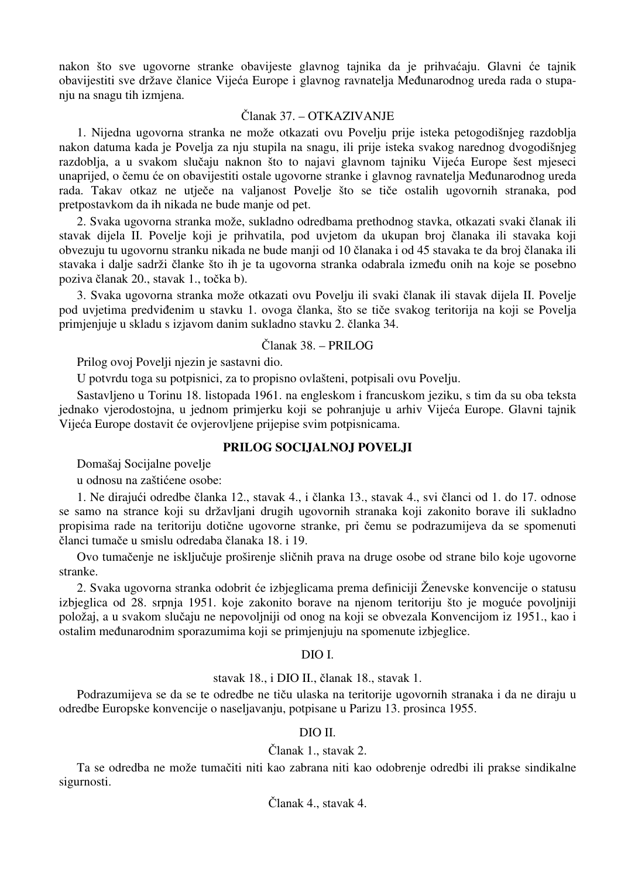nakon što sve ugovorne stranke obavijeste glavnog tajnika da je prihvaćaju. Glavni će tajnik obavijestiti sve države članice Vijeća Europe i glavnog ravnatelja Međunarodnog ureda rada o stupanju na snagu tih izmjena.

### Članak 37. – OTKAZIVANJE

1. Nijedna ugovorna stranka ne može otkazati ovu Povelju prije isteka petogodišnjeg razdoblja nakon datuma kada je Povelja za nju stupila na snagu, ili prije isteka svakog narednog dvogodišnjeg razdoblja, a u svakom slučaju naknon što to najavi glavnom tajniku Vijeća Europe šest mjeseci unaprijed, o čemu će on obavijestiti ostale ugovorne stranke i glavnog ravnatelja Međunarodnog ureda rada. Takav otkaz ne utječe na valjanost Povelje što se tiče ostalih ugovornih stranaka, pod pretpostavkom da ih nikada ne bude manje od pet.

2. Svaka ugovorna stranka može, sukladno odredbama prethodnog stavka, otkazati svaki članak ili stavak dijela II. Povelje koji je prihvatila, pod uvjetom da ukupan broj članaka ili stavaka koji obvezuju tu ugovornu stranku nikada ne bude manji od 10 članaka i od 45 stavaka te da broj članaka ili stavaka i dalje sadrži članke što ih je ta ugovorna stranka odabrala između onih na koje se posebno poziva članak 20., stavak 1., točka b).

3. Svaka ugovorna stranka može otkazati ovu Povelju ili svaki članak ili stavak dijela II. Povelje pod uvjetima predviđenim u stavku 1. ovoga članka, što se tiče svakog teritorija na koji se Povelja primjenjuje u skladu s izjavom danim sukladno stavku 2. članka 34.

#### Članak 38. – PRILOG

Prilog ovoj Povelji njezin je sastavni dio.

U potvrdu toga su potpisnici, za to propisno ovlašteni, potpisali ovu Povelju.

Sastavljeno u Torinu 18. listopada 1961. na engleskom i francuskom jeziku, s tim da su oba teksta jednako vjerodostojna, u jednom primjerku koji se pohranjuje u arhiv Vijeća Europe. Glavni tajnik Vijeća Europe dostavit će ovjerovljene prijepise svim potpisnicama.

#### **PRILOG SOCIJALNOJ POVELJI**

Domašaj Socijalne povelje

u odnosu na zaštićene osobe:

1. Ne dirajući odredbe članka 12., stavak 4., i članka 13., stavak 4., svi članci od 1. do 17. odnose se samo na strance koji su državljani drugih ugovornih stranaka koji zakonito borave ili sukladno propisima rade na teritoriju dotične ugovorne stranke, pri čemu se podrazumijeva da se spomenuti članci tumače u smislu odredaba članaka 18. i 19.

Ovo tumačenje ne isključuje proširenje sličnih prava na druge osobe od strane bilo koje ugovorne stranke.

2. Svaka ugovorna stranka odobrit će izbjeglicama prema definiciji Ženevske konvencije o statusu izbjeglica od 28. srpnja 1951. koje zakonito borave na njenom teritoriju što je moguće povoljniji položaj, a u svakom slučaju ne nepovoljniji od onog na koji se obvezala Konvencijom iz 1951., kao i ostalim međunarodnim sporazumima koji se primjenjuju na spomenute izbjeglice.

### DIO I.

#### stavak 18., i DIO II., članak 18., stavak 1.

Podrazumijeva se da se te odredbe ne tiču ulaska na teritorije ugovornih stranaka i da ne diraju u odredbe Europske konvencije o naseljavanju, potpisane u Parizu 13. prosinca 1955.

#### DIO II.

#### Članak 1., stavak 2.

Ta se odredba ne može tumačiti niti kao zabrana niti kao odobrenje odredbi ili prakse sindikalne sigurnosti.

Članak 4., stavak 4.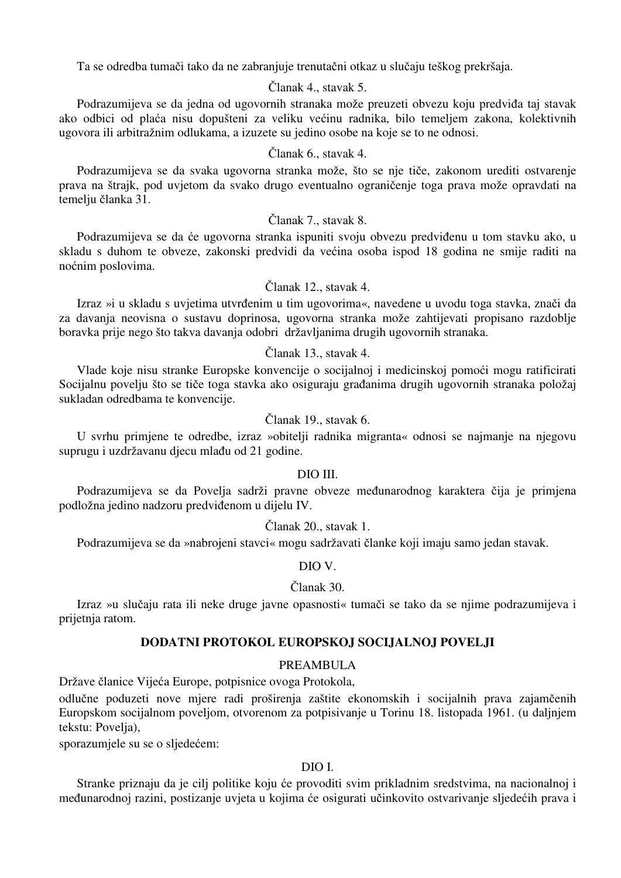Ta se odredba tumači tako da ne zabranjuje trenutačni otkaz u slučaju teškog prekršaja.

### Članak 4., stavak 5.

Podrazumijeva se da jedna od ugovornih stranaka može preuzeti obvezu koju predviđa taj stavak ako odbici od plaća nisu dopušteni za veliku većinu radnika, bilo temeljem zakona, kolektivnih ugovora ili arbitražnim odlukama, a izuzete su jedino osobe na koje se to ne odnosi.

### Članak 6., stavak 4.

Podrazumijeva se da svaka ugovorna stranka može, što se nje tiče, zakonom urediti ostvarenje prava na štrajk, pod uvjetom da svako drugo eventualno ograničenje toga prava može opravdati na temelju članka 31.

Članak 7., stavak 8.

Podrazumijeva se da će ugovorna stranka ispuniti svoju obvezu predviđenu u tom stavku ako, u skladu s duhom te obveze, zakonski predvidi da većina osoba ispod 18 godina ne smije raditi na noćnim poslovima.

### Članak 12., stavak 4.

Izraz »i u skladu s uvjetima utvrđenim u tim ugovorima«, navedene u uvodu toga stavka, znači da za davanja neovisna o sustavu doprinosa, ugovorna stranka može zahtijevati propisano razdoblje boravka prije nego što takva davanja odobri državljanima drugih ugovornih stranaka.

### Članak 13., stavak 4.

Vlade koje nisu stranke Europske konvencije o socijalnoj i medicinskoj pomoći mogu ratificirati Socijalnu povelju što se tiče toga stavka ako osiguraju građanima drugih ugovornih stranaka položaj sukladan odredbama te konvencije.

### Članak 19., stavak 6.

U svrhu primjene te odredbe, izraz »obitelji radnika migranta« odnosi se najmanje na njegovu suprugu i uzdržavanu djecu mlađu od 21 godine.

### DIO III.

Podrazumijeva se da Povelja sadrži pravne obveze međunarodnog karaktera čija je primjena podložna jedino nadzoru predviđenom u dijelu IV.

### Članak 20., stavak 1.

Podrazumijeva se da »nabrojeni stavci« mogu sadržavati članke koji imaju samo jedan stavak.

### DIO V.

### Članak 30.

Izraz »u slučaju rata ili neke druge javne opasnosti« tumači se tako da se njime podrazumijeva i prijetnja ratom.

#### **DODATNI PROTOKOL EUROPSKOJ SOCIJALNOJ POVELJI**

#### PREAMBULA

Države članice Vijeća Europe, potpisnice ovoga Protokola,

odlučne poduzeti nove mjere radi proširenja zaštite ekonomskih i socijalnih prava zajamčenih Europskom socijalnom poveljom, otvorenom za potpisivanje u Torinu 18. listopada 1961. (u daljnjem tekstu: Povelia).

sporazumjele su se o sljedećem:

#### DIO I.

Stranke priznaju da je cilj politike koju će provoditi svim prikladnim sredstvima, na nacionalnoj i međunarodnoj razini, postizanje uvjeta u kojima će osigurati učinkovito ostvarivanje sljedećih prava i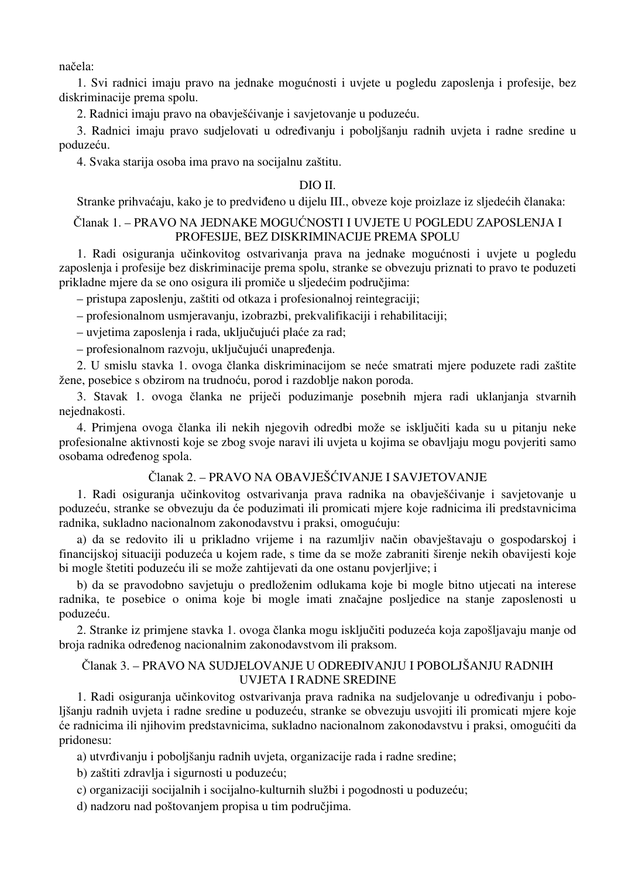načela:

1. Svi radnici imaju pravo na jednake mogućnosti i uvjete u pogledu zaposlenja i profesije, bez diskriminacije prema spolu.

2. Radnici imaju pravo na obavješćivanje i savjetovanje u poduzeću.

3. Radnici imaju pravo sudjelovati u određivanju i poboljšanju radnih uvjeta i radne sredine u poduzeću.

4. Svaka starija osoba ima pravo na socijalnu zaštitu.

### DIO II.

Stranke prihvaćaju, kako je to predviđeno u dijelu III., obveze koje proizlaze iz sljedećih članaka:

### Članak 1. – PRAVO NA JEDNAKE MOGUĆNOSTI I UVJETE U POGLEDU ZAPOSLENJA I PROFESIJE, BEZ DISKRIMINACIJE PREMA SPOLU

1. Radi osiguranja učinkovitog ostvarivanja prava na jednake mogućnosti i uvjete u pogledu zaposlenja i profesije bez diskriminacije prema spolu, stranke se obvezuju priznati to pravo te poduzeti prikladne mjere da se ono osigura ili promiče u sljedećim područjima:

– pristupa zaposlenju, zaštiti od otkaza i profesionalnoj reintegraciji;

– profesionalnom usmjeravanju, izobrazbi, prekvalifikaciji i rehabilitaciji;

– uvjetima zaposlenja i rada, uključujući plaće za rad;

– profesionalnom razvoju, uključujući unapređenja.

2. U smislu stavka 1. ovoga članka diskriminacijom se neće smatrati mjere poduzete radi zaštite žene, posebice s obzirom na trudnoću, porod i razdoblje nakon poroda.

3. Stavak 1. ovoga članka ne priječi poduzimanje posebnih mjera radi uklanjanja stvarnih nejednakosti.

4. Primjena ovoga članka ili nekih njegovih odredbi može se isključiti kada su u pitanju neke profesionalne aktivnosti koje se zbog svoje naravi ili uvjeta u kojima se obavljaju mogu povjeriti samo osobama određenog spola.

### Članak 2. – PRAVO NA OBAVJEŠĆIVANJE I SAVJETOVANJE

1. Radi osiguranja učinkovitog ostvarivanja prava radnika na obavješćivanje i savjetovanje u poduzeću, stranke se obvezuju da će poduzimati ili promicati mjere koje radnicima ili predstavnicima radnika, sukladno nacionalnom zakonodavstvu i praksi, omogućuju:

a) da se redovito ili u prikladno vrijeme i na razumljiv način obavještavaju o gospodarskoj i financijskoj situaciji poduzeća u kojem rade, s time da se može zabraniti širenje nekih obavijesti koje bi mogle štetiti poduzeću ili se može zahtijevati da one ostanu povjerljive; i

b) da se pravodobno savjetuju o predloženim odlukama koje bi mogle bitno utjecati na interese radnika, te posebice o onima koje bi mogle imati značajne posljedice na stanje zaposlenosti u poduzeću.

2. Stranke iz primjene stavka 1. ovoga članka mogu isključiti poduzeća koja zapošljavaju manje od broja radnika određenog nacionalnim zakonodavstvom ili praksom.

### Članak 3. – PRAVO NA SUDJELOVANJE U ODREĐIVANJU I POBOLJŠANJU RADNIH UVJETA I RADNE SREDINE

1. Radi osiguranja učinkovitog ostvarivanja prava radnika na sudjelovanje u određivanju i poboljšanju radnih uvjeta i radne sredine u poduzeću, stranke se obvezuju usvojiti ili promicati mjere koje će radnicima ili njihovim predstavnicima, sukladno nacionalnom zakonodavstvu i praksi, omogućiti da pridonesu:

a) utvrđivanju i poboljšanju radnih uvjeta, organizacije rada i radne sredine;

b) zaštiti zdravlja i sigurnosti u poduzeću;

c) organizaciji socijalnih i socijalno-kulturnih službi i pogodnosti u poduzeću;

d) nadzoru nad poštovanjem propisa u tim područjima.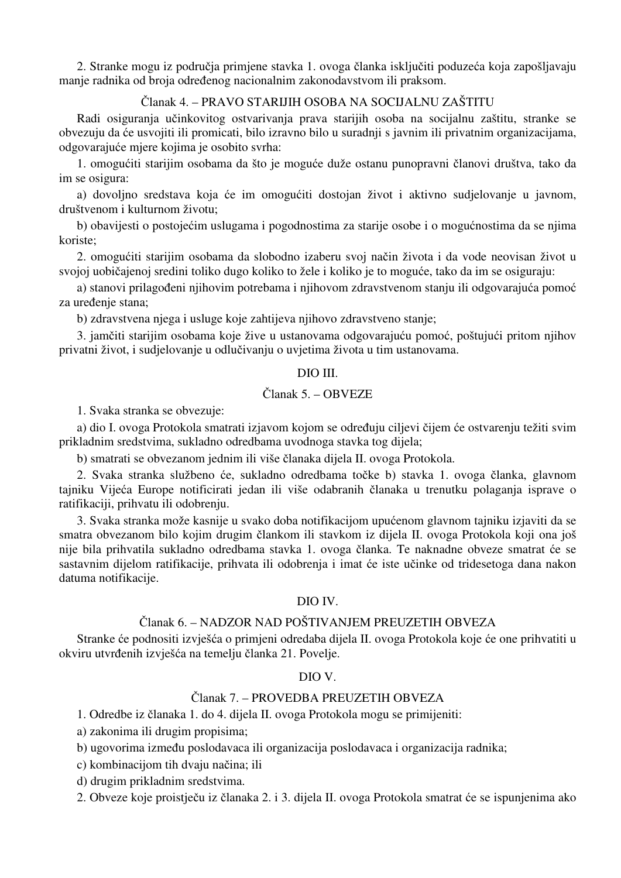2. Stranke mogu iz područja primjene stavka 1. ovoga članka isključiti poduzeća koja zapošljavaju manje radnika od broja određenog nacionalnim zakonodavstvom ili praksom.

### Članak 4. – PRAVO STARIJIH OSOBA NA SOCIJALNU ZAŠTITU

Radi osiguranja učinkovitog ostvarivanja prava starijih osoba na socijalnu zaštitu, stranke se obvezuju da će usvojiti ili promicati, bilo izravno bilo u suradnji s javnim ili privatnim organizacijama, odgovarajuće mjere kojima je osobito svrha:

1. omogućiti starijim osobama da što je moguće duže ostanu punopravni članovi društva, tako da im se osigura:

a) dovoljno sredstava koja će im omogućiti dostojan život i aktivno sudjelovanje u javnom, društvenom i kulturnom životu;

b) obavijesti o postojećim uslugama i pogodnostima za starije osobe i o mogućnostima da se njima koriste;

2. omogućiti starijim osobama da slobodno izaberu svoj način života i da vode neovisan život u svojoj uobičajenoj sredini toliko dugo koliko to žele i koliko je to moguće, tako da im se osiguraju:

a) stanovi prilagođeni njihovim potrebama i njihovom zdravstvenom stanju ili odgovarajuća pomoć za uređenje stana;

b) zdravstvena njega i usluge koje zahtijeva njihovo zdravstveno stanje;

3. jamčiti starijim osobama koje žive u ustanovama odgovarajuću pomoć, poštujući pritom njihov privatni život, i sudjelovanje u odlučivanju o uvjetima života u tim ustanovama.

### DIO III.

### Članak 5. – OBVEZE

1. Svaka stranka se obvezuje:

a) dio I. ovoga Protokola smatrati izjavom kojom se određuju ciljevi čijem će ostvarenju težiti svim prikladnim sredstvima, sukladno odredbama uvodnoga stavka tog dijela;

b) smatrati se obvezanom jednim ili više članaka dijela II. ovoga Protokola.

2. Svaka stranka službeno će, sukladno odredbama točke b) stavka 1. ovoga članka, glavnom tajniku Vijeća Europe notificirati jedan ili više odabranih članaka u trenutku polaganja isprave o ratifikaciji, prihvatu ili odobrenju.

3. Svaka stranka može kasnije u svako doba notifikacijom upućenom glavnom tajniku izjaviti da se smatra obvezanom bilo kojim drugim člankom ili stavkom iz dijela II. ovoga Protokola koji ona još nije bila prihvatila sukladno odredbama stavka 1. ovoga članka. Te naknadne obveze smatrat će se sastavnim dijelom ratifikacije, prihvata ili odobrenja i imat će iste učinke od tridesetoga dana nakon datuma notifikacije.

### DIO IV.

### Članak 6. – NADZOR NAD POŠTIVANJEM PREUZETIH OBVEZA

Stranke će podnositi izvješća o primjeni odredaba dijela II. ovoga Protokola koje će one prihvatiti u okviru utvrđenih izvješća na temelju članka 21. Povelje.

### DIO V.

### Članak 7. – PROVEDBA PREUZETIH OBVEZA

1. Odredbe iz članaka 1. do 4. dijela II. ovoga Protokola mogu se primijeniti:

a) zakonima ili drugim propisima;

b) ugovorima između poslodavaca ili organizacija poslodavaca i organizacija radnika;

c) kombinacijom tih dvaju načina; ili

d) drugim prikladnim sredstvima.

2. Obveze koje proistječu iz članaka 2. i 3. dijela II. ovoga Protokola smatrat će se ispunjenima ako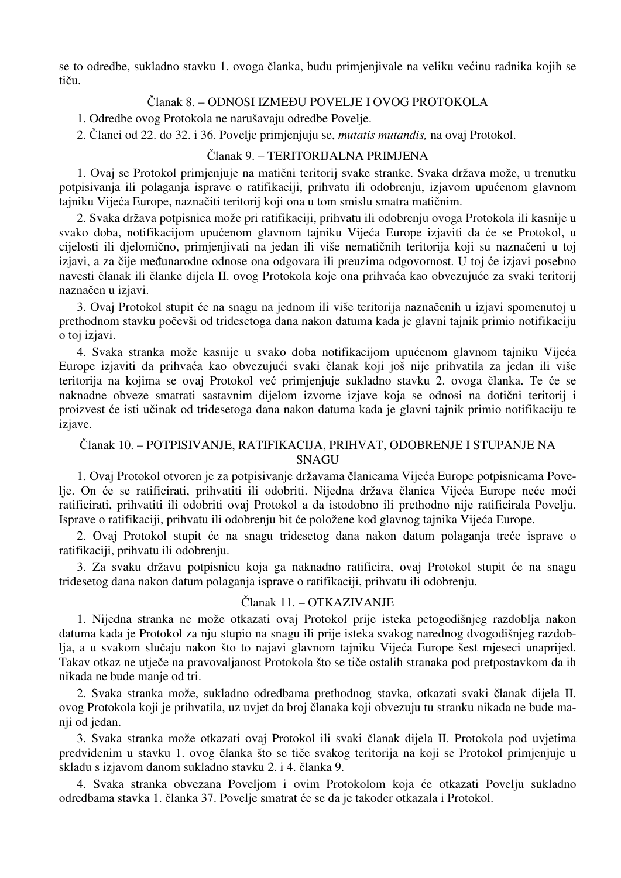se to odredbe, sukladno stavku 1. ovoga članka, budu primjenjivale na veliku većinu radnika kojih se tiču.

### Članak 8. – ODNOSI IZMEĐU POVELJE I OVOG PROTOKOLA

1. Odredbe ovog Protokola ne narušavaju odredbe Povelje.

2. Članci od 22. do 32. i 36. Povelje primjenjuju se, *mutatis mutandis,* na ovaj Protokol.

### Članak 9. – TERITORIJALNA PRIMJENA

1. Ovaj se Protokol primjenjuje na matični teritorij svake stranke. Svaka država može, u trenutku potpisivanja ili polaganja isprave o ratifikaciji, prihvatu ili odobrenju, izjavom upućenom glavnom tajniku Vijeća Europe, naznačiti teritorij koji ona u tom smislu smatra matičnim.

2. Svaka država potpisnica može pri ratifikaciji, prihvatu ili odobrenju ovoga Protokola ili kasnije u svako doba, notifikacijom upućenom glavnom tajniku Vijeća Europe izjaviti da će se Protokol, u cijelosti ili djelomično, primjenjivati na jedan ili više nematičnih teritorija koji su naznačeni u toj izjavi, a za čije međunarodne odnose ona odgovara ili preuzima odgovornost. U toj će izjavi posebno navesti članak ili članke dijela II. ovog Protokola koje ona prihvaća kao obvezujuće za svaki teritorij naznačen u izjavi.

3. Ovaj Protokol stupit će na snagu na jednom ili više teritorija naznačenih u izjavi spomenutoj u prethodnom stavku počevši od tridesetoga dana nakon datuma kada je glavni tajnik primio notifikaciju o toj izjavi.

4. Svaka stranka može kasnije u svako doba notifikacijom upućenom glavnom tajniku Vijeća Europe izjaviti da prihvaća kao obvezujući svaki članak koji još nije prihvatila za jedan ili više teritorija na kojima se ovaj Protokol već primjenjuje sukladno stavku 2. ovoga članka. Te će se naknadne obveze smatrati sastavnim dijelom izvorne izjave koja se odnosi na dotični teritorij i proizvest će isti učinak od tridesetoga dana nakon datuma kada je glavni tajnik primio notifikaciju te izjave.

### Članak 10. – POTPISIVANJE, RATIFIKACIJA, PRIHVAT, ODOBRENJE I STUPANJE NA SNAGU

1. Ovaj Protokol otvoren je za potpisivanje državama članicama Vijeća Europe potpisnicama Povelje. On će se ratificirati, prihvatiti ili odobriti. Nijedna država članica Vijeća Europe neće moći ratificirati, prihvatiti ili odobriti ovaj Protokol a da istodobno ili prethodno nije ratificirala Povelju. Isprave o ratifikaciji, prihvatu ili odobrenju bit će položene kod glavnog tajnika Vijeća Europe.

2. Ovaj Protokol stupit će na snagu tridesetog dana nakon datum polaganja treće isprave o ratifikaciji, prihvatu ili odobrenju.

3. Za svaku državu potpisnicu koja ga naknadno ratificira, ovaj Protokol stupit će na snagu tridesetog dana nakon datum polaganja isprave o ratifikaciji, prihvatu ili odobrenju.

### Članak 11. – OTKAZIVANJE

1. Nijedna stranka ne može otkazati ovaj Protokol prije isteka petogodišnjeg razdoblja nakon datuma kada je Protokol za nju stupio na snagu ili prije isteka svakog narednog dvogodišnjeg razdoblja, a u svakom slučaju nakon što to najavi glavnom tajniku Vijeća Europe šest mjeseci unaprijed. Takav otkaz ne utječe na pravovaljanost Protokola što se tiče ostalih stranaka pod pretpostavkom da ih nikada ne bude manje od tri.

2. Svaka stranka može, sukladno odredbama prethodnog stavka, otkazati svaki članak dijela II. ovog Protokola koji je prihvatila, uz uvjet da broj članaka koji obvezuju tu stranku nikada ne bude manji od jedan.

3. Svaka stranka može otkazati ovaj Protokol ili svaki članak dijela II. Protokola pod uvjetima predviđenim u stavku 1. ovog članka što se tiče svakog teritorija na koji se Protokol primjenjuje u skladu s izjavom danom sukladno stavku 2. i 4. članka 9.

4. Svaka stranka obvezana Poveljom i ovim Protokolom koja će otkazati Povelju sukladno odredbama stavka 1. članka 37. Povelje smatrat će se da je također otkazala i Protokol.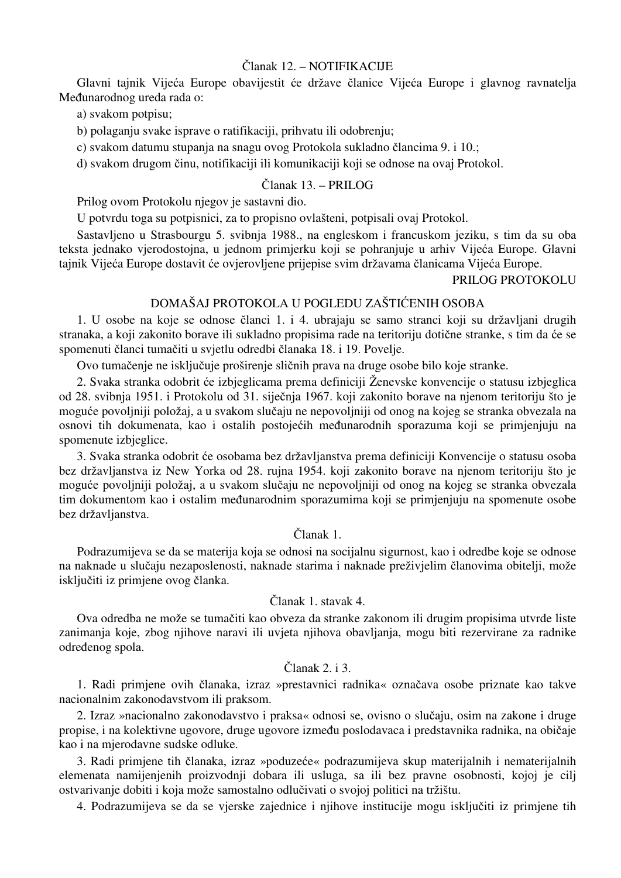### Članak 12. – NOTIFIKACIJE

Glavni tajnik Vijeća Europe obavijestit će države članice Vijeća Europe i glavnog ravnatelja Međunarodnog ureda rada o:

a) svakom potpisu;

b) polaganju svake isprave o ratifikaciji, prihvatu ili odobrenju;

c) svakom datumu stupanja na snagu ovog Protokola sukladno člancima 9. i 10.;

d) svakom drugom činu, notifikaciji ili komunikaciji koji se odnose na ovaj Protokol.

### Članak 13. – PRILOG

Prilog ovom Protokolu njegov je sastavni dio.

U potvrdu toga su potpisnici, za to propisno ovlašteni, potpisali ovaj Protokol.

Sastavljeno u Strasbourgu 5. svibnja 1988., na engleskom i francuskom jeziku, s tim da su oba teksta jednako vjerodostojna, u jednom primjerku koji se pohranjuje u arhiv Vijeća Europe. Glavni tajnik Vijeća Europe dostavit će ovjerovljene prijepise svim državama članicama Vijeća Europe.

#### PRILOG PROTOKOLU

### DOMAŠAJ PROTOKOLA U POGLEDU ZAŠTIĆENIH OSOBA

1. U osobe na koje se odnose članci 1. i 4. ubrajaju se samo stranci koji su državljani drugih stranaka, a koji zakonito borave ili sukladno propisima rade na teritoriju dotične stranke, s tim da će se spomenuti članci tumačiti u svjetlu odredbi članaka 18. i 19. Povelje.

Ovo tumačenje ne isključuje proširenje sličnih prava na druge osobe bilo koje stranke.

2. Svaka stranka odobrit će izbjeglicama prema definiciji Ženevske konvencije o statusu izbjeglica od 28. svibnja 1951. i Protokolu od 31. siječnja 1967. koji zakonito borave na njenom teritoriju što je moguće povoljniji položaj, a u svakom slučaju ne nepovoljniji od onog na kojeg se stranka obvezala na osnovi tih dokumenata, kao i ostalih postojećih međunarodnih sporazuma koji se primjenjuju na spomenute izbjeglice.

3. Svaka stranka odobrit će osobama bez državljanstva prema definiciji Konvencije o statusu osoba bez državljanstva iz New Yorka od 28. rujna 1954. koji zakonito borave na njenom teritoriju što je moguće povoljniji položaj, a u svakom slučaju ne nepovoljniji od onog na kojeg se stranka obvezala tim dokumentom kao i ostalim međunarodnim sporazumima koji se primjenjuju na spomenute osobe bez državljanstva.

Članak 1.

Podrazumijeva se da se materija koja se odnosi na socijalnu sigurnost, kao i odredbe koje se odnose na naknade u slučaju nezaposlenosti, naknade starima i naknade preživjelim članovima obitelji, može isključiti iz primjene ovog članka.

### Članak 1. stavak 4.

Ova odredba ne može se tumačiti kao obveza da stranke zakonom ili drugim propisima utvrde liste zanimanja koje, zbog njihove naravi ili uvjeta njihova obavljanja, mogu biti rezervirane za radnike određenog spola.

### Članak 2. i 3.

1. Radi primjene ovih članaka, izraz »prestavnici radnika« označava osobe priznate kao takve nacionalnim zakonodavstvom ili praksom.

2. Izraz »nacionalno zakonodavstvo i praksa« odnosi se, ovisno o slučaju, osim na zakone i druge propise, i na kolektivne ugovore, druge ugovore između poslodavaca i predstavnika radnika, na običaje kao i na mjerodavne sudske odluke.

3. Radi primjene tih članaka, izraz »poduzeće« podrazumijeva skup materijalnih i nematerijalnih elemenata namijenjenih proizvodnji dobara ili usluga, sa ili bez pravne osobnosti, kojoj je cilj ostvarivanje dobiti i koja može samostalno odlučivati o svojoj politici na tržištu.

4. Podrazumijeva se da se vjerske zajednice i njihove institucije mogu isključiti iz primjene tih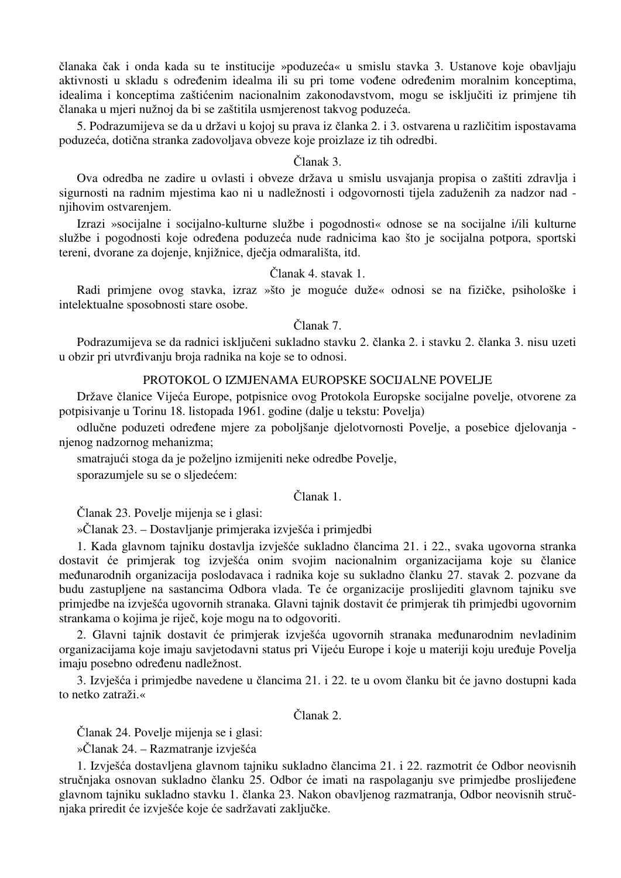članaka čak i onda kada su te institucije »poduzeća« u smislu stavka 3. Ustanove koje obavljaju aktivnosti u skladu s određenim idealma ili su pri tome vođene određenim moralnim konceptima, idealima i konceptima zaštićenim nacionalnim zakonodavstvom, mogu se isključiti iz primjene tih članaka u mjeri nužnoj da bi se zaštitila usmjerenost takvog poduzeća.

5. Podrazumijeva se da u državi u kojoj su prava iz članka 2. i 3. ostvarena u različitim ispostavama poduzeća, dotična stranka zadovoljava obveze koje proizlaze iz tih odredbi.

### Članak 3.

Ova odredba ne zadire u ovlasti i obveze država u smislu usvajanja propisa o zaštiti zdravlja i sigurnosti na radnim mjestima kao ni u nadležnosti i odgovornosti tijela zaduženih za nadzor nad njihovim ostvarenjem.

Izrazi »socijalne i socijalno-kulturne službe i pogodnosti« odnose se na socijalne i/ili kulturne službe i pogodnosti koje određena poduzeća nude radnicima kao što je socijalna potpora, sportski tereni, dvorane za dojenje, knjižnice, dječja odmarališta, itd.

#### Članak 4. stavak 1.

Radi primjene ovog stavka, izraz »što je moguće duže« odnosi se na fizičke, psihološke i intelektualne sposobnosti stare osobe.

#### Članak 7.

Podrazumijeva se da radnici isključeni sukladno stavku 2. članka 2. i stavku 2. članka 3. nisu uzeti u obzir pri utvrđivanju broja radnika na koje se to odnosi.

### PROTOKOL O IZMJENAMA EUROPSKE SOCIJALNE POVELJE

Države članice Vijeća Europe, potpisnice ovog Protokola Europske socijalne povelje, otvorene za potpisivanje u Torinu 18. listopada 1961. godine (dalje u tekstu: Povelja)

odlučne poduzeti određene mjere za poboljšanje djelotvornosti Povelje, a posebice djelovanja njenog nadzornog mehanizma;

smatrajući stoga da je poželjno izmijeniti neke odredbe Povelje,

sporazumjele su se o sljedećem:

### Članak 1.

Članak 23. Povelje mijenja se i glasi:

»Članak 23. – Dostavljanje primjeraka izvješća i primjedbi

1. Kada glavnom tajniku dostavlja izvješće sukladno člancima 21. i 22., svaka ugovorna stranka dostavit će primjerak tog izvješća onim svojim nacionalnim organizacijama koje su članice međunarodnih organizacija poslodavaca i radnika koje su sukladno članku 27. stavak 2. pozvane da budu zastupljene na sastancima Odbora vlada. Te će organizacije proslijediti glavnom tajniku sve primjedbe na izvješća ugovornih stranaka. Glavni tajnik dostavit će primjerak tih primjedbi ugovornim strankama o kojima je riječ, koje mogu na to odgovoriti.

2. Glavni tajnik dostavit će primjerak izvješća ugovornih stranaka međunarodnim nevladinim organizacijama koje imaju savjetodavni status pri Vijeću Europe i koje u materiji koju uređuje Povelja imaju posebno određenu nadležnost.

3. Izvješća i primjedbe navedene u člancima 21. i 22. te u ovom članku bit će javno dostupni kada to netko zatraži.«

Članak 2.

Članak 24. Povelje mijenja se i glasi:

»Članak 24. – Razmatranje izvješća

1. Izvješća dostavljena glavnom tajniku sukladno člancima 21. i 22. razmotrit će Odbor neovisnih stručnjaka osnovan sukladno članku 25. Odbor će imati na raspolaganju sve primjedbe proslijeđene glavnom tajniku sukladno stavku 1. članka 23. Nakon obavljenog razmatranja, Odbor neovisnih stručnjaka priredit će izvješće koje će sadržavati zaključke.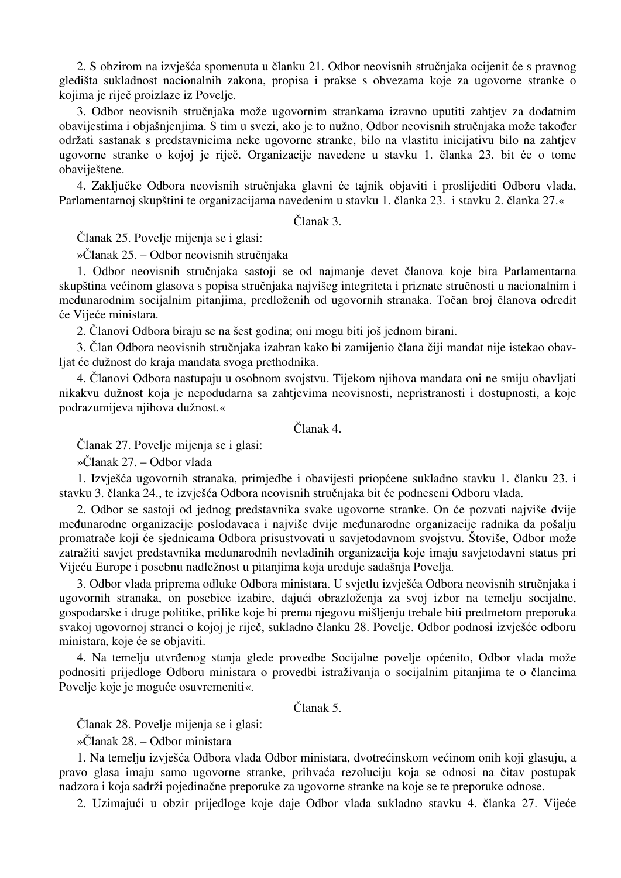2. S obzirom na izvješća spomenuta u članku 21. Odbor neovisnih stručnjaka ocijenit će s pravnog gledišta sukladnost nacionalnih zakona, propisa i prakse s obvezama koje za ugovorne stranke o kojima je riječ proizlaze iz Povelje.

3. Odbor neovisnih stručnjaka može ugovornim strankama izravno uputiti zahtjev za dodatnim obavijestima i objašnjenjima. S tim u svezi, ako je to nužno, Odbor neovisnih stručnjaka može također održati sastanak s predstavnicima neke ugovorne stranke, bilo na vlastitu inicijativu bilo na zahtjev ugovorne stranke o kojoj je riječ. Organizacije navedene u stavku 1. članka 23. bit će o tome obaviještene.

4. Zaključke Odbora neovisnih stručnjaka glavni će tajnik objaviti i proslijediti Odboru vlada, Parlamentarnoj skupštini te organizacijama navedenim u stavku 1. članka 23. i stavku 2. članka 27.«

Članak 3.

Članak 25. Povelje mijenja se i glasi:

»Članak 25. – Odbor neovisnih stručnjaka

1. Odbor neovisnih stručnjaka sastoji se od najmanje devet članova koje bira Parlamentarna skupština većinom glasova s popisa stručnjaka najvišeg integriteta i priznate stručnosti u nacionalnim i međunarodnim socijalnim pitanjima, predloženih od ugovornih stranaka. Točan broj članova odredit će Vijeće ministara.

2. Članovi Odbora biraju se na šest godina; oni mogu biti još jednom birani.

3. Član Odbora neovisnih stručnjaka izabran kako bi zamijenio člana čiji mandat nije istekao obavljat će dužnost do kraja mandata svoga prethodnika.

4. Članovi Odbora nastupaju u osobnom svojstvu. Tijekom njihova mandata oni ne smiju obavljati nikakvu dužnost koja je nepodudarna sa zahtjevima neovisnosti, nepristranosti i dostupnosti, a koje podrazumijeva njihova dužnost.«

Članak 4.

Članak 27. Povelje mijenja se i glasi:

»Članak 27. – Odbor vlada

1. Izvješća ugovornih stranaka, primjedbe i obavijesti priopćene sukladno stavku 1. članku 23. i stavku 3. članka 24., te izvješća Odbora neovisnih stručnjaka bit će podneseni Odboru vlada.

2. Odbor se sastoji od jednog predstavnika svake ugovorne stranke. On će pozvati najviše dvije međunarodne organizacije poslodavaca i najviše dvije međunarodne organizacije radnika da pošalju promatrače koji će sjednicama Odbora prisustvovati u savjetodavnom svojstvu. Štoviše, Odbor može zatražiti savjet predstavnika međunarodnih nevladinih organizacija koje imaju savjetodavni status pri Vijeću Europe i posebnu nadležnost u pitanjima koja uređuje sadašnja Povelja.

3. Odbor vlada priprema odluke Odbora ministara. U svjetlu izvješća Odbora neovisnih stručnjaka i ugovornih stranaka, on posebice izabire, dajući obrazloženja za svoj izbor na temelju socijalne, gospodarske i druge politike, prilike koje bi prema njegovu mišljenju trebale biti predmetom preporuka svakoj ugovornoj stranci o kojoj je riječ, sukladno članku 28. Povelje. Odbor podnosi izvješće odboru ministara, koje će se objaviti.

4. Na temelju utvrđenog stanja glede provedbe Socijalne povelje općenito, Odbor vlada može podnositi prijedloge Odboru ministara o provedbi istraživanja o socijalnim pitanjima te o člancima Povelje koje je moguće osuvremeniti«.

### Članak 5.

Članak 28. Povelje mijenja se i glasi:

»Članak 28. – Odbor ministara

1. Na temelju izvješća Odbora vlada Odbor ministara, dvotrećinskom većinom onih koji glasuju, a pravo glasa imaju samo ugovorne stranke, prihvaća rezoluciju koja se odnosi na čitav postupak nadzora i koja sadrži pojedinačne preporuke za ugovorne stranke na koje se te preporuke odnose.

2. Uzimajući u obzir prijedloge koje daje Odbor vlada sukladno stavku 4. članka 27. Vijeće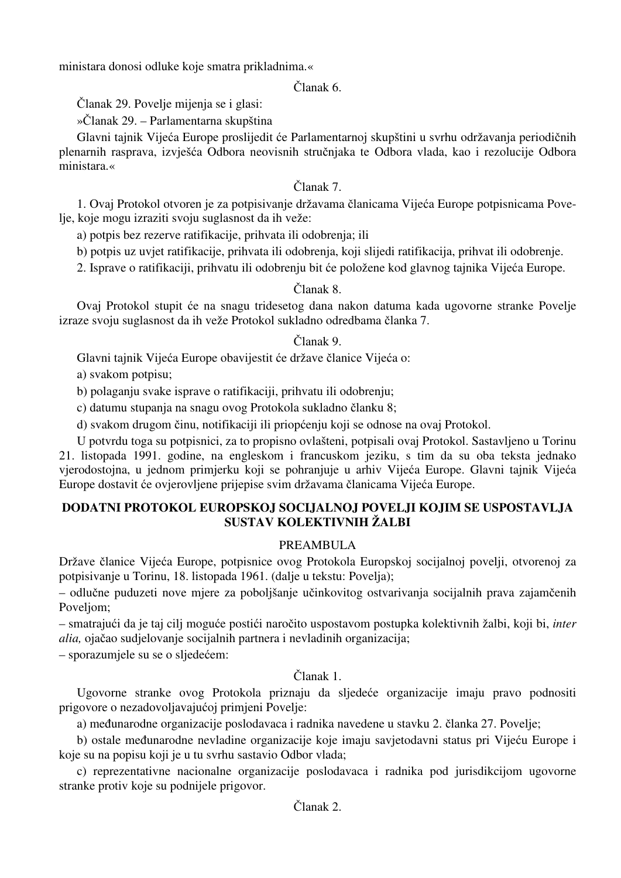ministara donosi odluke koje smatra prikladnima.«

### Članak 6.

Članak 29. Povelje mijenja se i glasi:

»Članak 29. – Parlamentarna skupština

Glavni tajnik Vijeća Europe proslijedit će Parlamentarnoj skupštini u svrhu održavanja periodičnih plenarnih rasprava, izvješća Odbora neovisnih stručnjaka te Odbora vlada, kao i rezolucije Odbora ministara.«

### Članak 7.

1. Ovaj Protokol otvoren je za potpisivanje državama članicama Vijeća Europe potpisnicama Povelje, koje mogu izraziti svoju suglasnost da ih veže:

a) potpis bez rezerve ratifikacije, prihvata ili odobrenja; ili

b) potpis uz uvjet ratifikacije, prihvata ili odobrenja, koji slijedi ratifikacija, prihvat ili odobrenje.

2. Isprave o ratifikaciji, prihvatu ili odobrenju bit će položene kod glavnog tajnika Vijeća Europe.

### Članak 8.

Ovaj Protokol stupit će na snagu tridesetog dana nakon datuma kada ugovorne stranke Povelje izraze svoju suglasnost da ih veže Protokol sukladno odredbama članka 7.

### Članak 9.

Glavni tajnik Vijeća Europe obavijestit će države članice Vijeća o:

a) svakom potpisu;

b) polaganju svake isprave o ratifikaciji, prihvatu ili odobrenju;

c) datumu stupanja na snagu ovog Protokola sukladno članku 8;

d) svakom drugom činu, notifikaciji ili priopćenju koji se odnose na ovaj Protokol.

U potvrdu toga su potpisnici, za to propisno ovlašteni, potpisali ovaj Protokol. Sastavljeno u Torinu 21. listopada 1991. godine, na engleskom i francuskom jeziku, s tim da su oba teksta jednako vjerodostojna, u jednom primjerku koji se pohranjuje u arhiv Vijeća Europe. Glavni tajnik Vijeća Europe dostavit će ovjerovljene prijepise svim državama članicama Vijeća Europe.

### **DODATNI PROTOKOL EUROPSKOJ SOCIJALNOJ POVELJI KOJIM SE USPOSTAVLJA SUSTAV KOLEKTIVNIH ŽALBI**

### PREAMBULA

Države članice Vijeća Europe, potpisnice ovog Protokola Europskoj socijalnoj povelji, otvorenoj za potpisivanje u Torinu, 18. listopada 1961. (dalje u tekstu: Povelja);

– odlučne puduzeti nove mjere za poboljšanje učinkovitog ostvarivanja socijalnih prava zajamčenih Poveljom;

– smatrajući da je taj cilj moguće postići naročito uspostavom postupka kolektivnih žalbi, koji bi, *inter alia,* ojačao sudjelovanje socijalnih partnera i nevladinih organizacija;

– sporazumjele su se o sljedećem:

### Članak 1.

Ugovorne stranke ovog Protokola priznaju da sljedeće organizacije imaju pravo podnositi prigovore o nezadovoljavajućoj primjeni Povelje:

a) međunarodne organizacije poslodavaca i radnika navedene u stavku 2. članka 27. Povelje;

b) ostale međunarodne nevladine organizacije koje imaju savjetodavni status pri Vijeću Europe i koje su na popisu koji je u tu svrhu sastavio Odbor vlada;

c) reprezentativne nacionalne organizacije poslodavaca i radnika pod jurisdikcijom ugovorne stranke protiv koje su podnijele prigovor.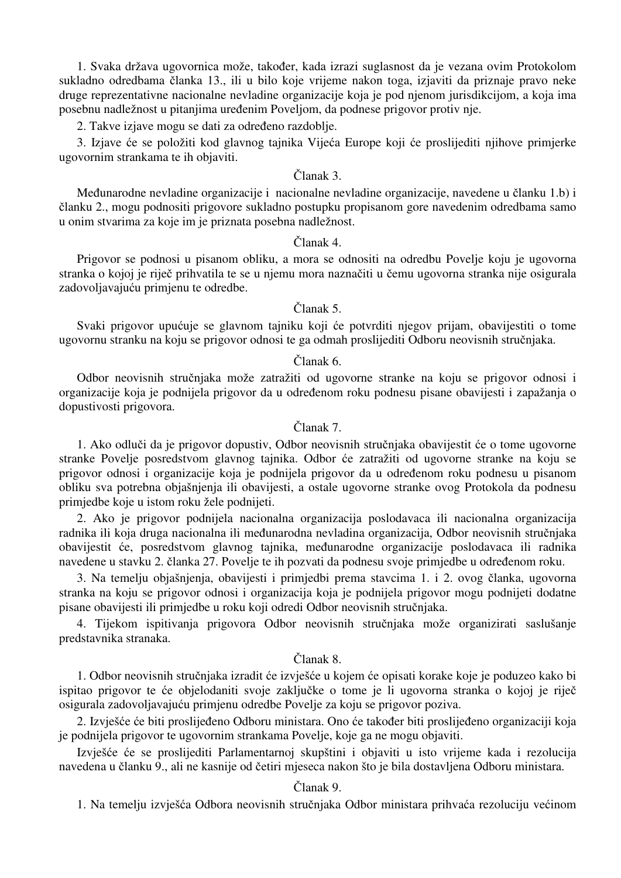1. Svaka država ugovornica može, također, kada izrazi suglasnost da je vezana ovim Protokolom sukladno odredbama članka 13., ili u bilo koje vrijeme nakon toga, izjaviti da priznaje pravo neke druge reprezentativne nacionalne nevladine organizacije koja je pod njenom jurisdikcijom, a koja ima posebnu nadležnost u pitanjima uređenim Poveljom, da podnese prigovor protiv nje.

2. Takve izjave mogu se dati za određeno razdoblje.

3. Izjave će se položiti kod glavnog tajnika Vijeća Europe koji će proslijediti njihove primjerke ugovornim strankama te ih objaviti.

### Članak 3.

Međunarodne nevladine organizacije i nacionalne nevladine organizacije, navedene u članku 1.b) i članku 2., mogu podnositi prigovore sukladno postupku propisanom gore navedenim odredbama samo u onim stvarima za koje im je priznata posebna nadležnost.

#### Članak 4.

Prigovor se podnosi u pisanom obliku, a mora se odnositi na odredbu Povelje koju je ugovorna stranka o kojoj je riječ prihvatila te se u njemu mora naznačiti u čemu ugovorna stranka nije osigurala zadovoljavajuću primjenu te odredbe.

### Članak 5.

Svaki prigovor upućuje se glavnom tajniku koji će potvrditi njegov prijam, obavijestiti o tome ugovornu stranku na koju se prigovor odnosi te ga odmah proslijediti Odboru neovisnih stručnjaka.

### Članak 6.

Odbor neovisnih stručnjaka može zatražiti od ugovorne stranke na koju se prigovor odnosi i organizacije koja je podnijela prigovor da u određenom roku podnesu pisane obavijesti i zapažanja o dopustivosti prigovora.

### Članak 7.

1. Ako odluči da je prigovor dopustiv, Odbor neovisnih stručnjaka obavijestit će o tome ugovorne stranke Povelje posredstvom glavnog tajnika. Odbor će zatražiti od ugovorne stranke na koju se prigovor odnosi i organizacije koja je podnijela prigovor da u određenom roku podnesu u pisanom obliku sva potrebna objašnjenja ili obavijesti, a ostale ugovorne stranke ovog Protokola da podnesu primjedbe koje u istom roku žele podnijeti.

2. Ako je prigovor podnijela nacionalna organizacija poslodavaca ili nacionalna organizacija radnika ili koja druga nacionalna ili međunarodna nevladina organizacija, Odbor neovisnih stručnjaka obavijestit će, posredstvom glavnog tajnika, međunarodne organizacije poslodavaca ili radnika navedene u stavku 2. članka 27. Povelje te ih pozvati da podnesu svoje primjedbe u određenom roku.

3. Na temelju objašnjenja, obavijesti i primjedbi prema stavcima 1. i 2. ovog članka, ugovorna stranka na koju se prigovor odnosi i organizacija koja je podnijela prigovor mogu podnijeti dodatne pisane obavijesti ili primjedbe u roku koji odredi Odbor neovisnih stručnjaka.

4. Tijekom ispitivanja prigovora Odbor neovisnih stručnjaka može organizirati saslušanje predstavnika stranaka.

### Članak 8.

1. Odbor neovisnih stručnjaka izradit će izvješće u kojem će opisati korake koje je poduzeo kako bi ispitao prigovor te će objelodaniti svoje zaključke o tome je li ugovorna stranka o kojoj je riječ osigurala zadovoljavajuću primjenu odredbe Povelje za koju se prigovor poziva.

2. Izvješće će biti proslijeđeno Odboru ministara. Ono će također biti proslijeđeno organizaciji koja je podnijela prigovor te ugovornim strankama Povelje, koje ga ne mogu objaviti.

Izvješće će se proslijediti Parlamentarnoj skupštini i objaviti u isto vrijeme kada i rezolucija navedena u članku 9., ali ne kasnije od četiri mjeseca nakon što je bila dostavljena Odboru ministara.

#### Članak 9.

1. Na temelju izvješća Odbora neovisnih stručnjaka Odbor ministara prihvaća rezoluciju većinom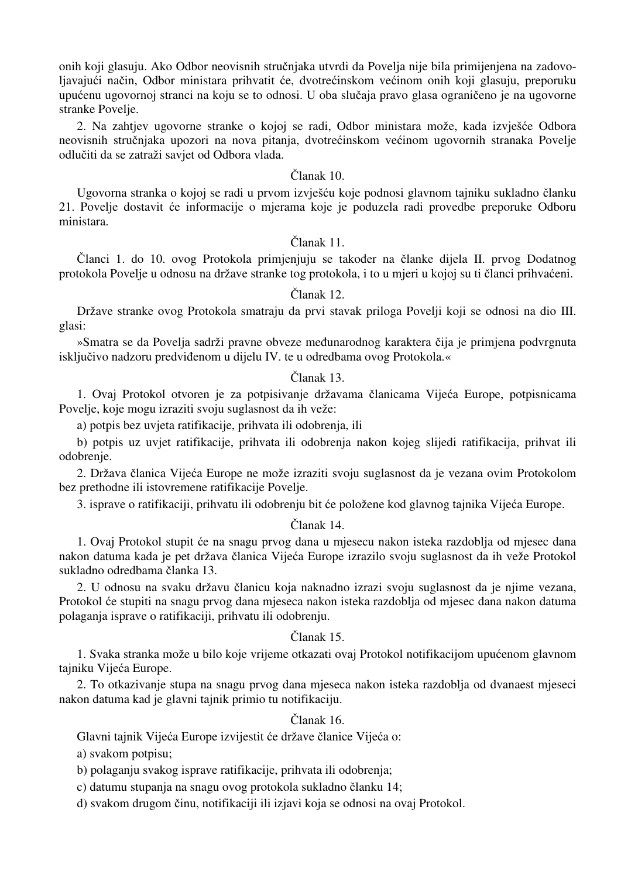onih koji glasuju. Ako Odbor neovisnih stručnjaka utvrdi da Povelja nije bila primijenjena na zadovoljavajući način, Odbor ministara prihvatit će, dvotrećinskom većinom onih koji glasuju, preporuku upućenu ugovornoj stranci na koju se to odnosi. U oba slučaja pravo glasa ograničeno je na ugovorne stranke Povelje.

2. Na zahtjev ugovorne stranke o kojoj se radi, Odbor ministara može, kada izvješće Odbora neovisnih stručnjaka upozori na nova pitanja, dvotrećinskom većinom ugovornih stranaka Povelje odlučiti da se zatraži savjet od Odbora vlada.

#### Članak 10.

Ugovorna stranka o kojoj se radi u prvom izvješću koje podnosi glavnom tajniku sukladno članku 21. Povelje dostavit će informacije o mjerama koje je poduzela radi provedbe preporuke Odboru ministara.

### Članak 11.

Članci 1. do 10. ovog Protokola primjenjuju se također na članke dijela II. prvog Dodatnog protokola Povelje u odnosu na države stranke tog protokola, i to u mjeri u kojoj su ti članci prihvaćeni.

### Članak 12.

Države stranke ovog Protokola smatraju da prvi stavak priloga Povelji koji se odnosi na dio III. glasi:

»Smatra se da Povelja sadrži pravne obveze međunarodnog karaktera čija je primjena podvrgnuta isključivo nadzoru predviđenom u dijelu IV. te u odredbama ovog Protokola.«

### Članak 13.

1. Ovaj Protokol otvoren je za potpisivanje državama članicama Vijeća Europe, potpisnicama Povelje, koje mogu izraziti svoju suglasnost da ih veže:

a) potpis bez uvjeta ratifikacije, prihvata ili odobrenja, ili

b) potpis uz uvjet ratifikacije, prihvata ili odobrenja nakon kojeg slijedi ratifikacija, prihvat ili odobrenje.

2. Država članica Vijeća Europe ne može izraziti svoju suglasnost da je vezana ovim Protokolom bez prethodne ili istovremene ratifikacije Povelje.

3. isprave o ratifikaciji, prihvatu ili odobrenju bit će položene kod glavnog tajnika Vijeća Europe.

#### Članak 14.

1. Ovaj Protokol stupit će na snagu prvog dana u mjesecu nakon isteka razdoblja od mjesec dana nakon datuma kada je pet država članica Vijeća Europe izrazilo svoju suglasnost da ih veže Protokol sukladno odredbama članka 13.

2. U odnosu na svaku državu članicu koja naknadno izrazi svoju suglasnost da je njime vezana, Protokol će stupiti na snagu prvog dana mjeseca nakon isteka razdoblja od mjesec dana nakon datuma polaganja isprave o ratifikaciji, prihvatu ili odobrenju.

### Članak 15.

1. Svaka stranka može u bilo koje vrijeme otkazati ovaj Protokol notifikacijom upućenom glavnom tajniku Vijeća Europe.

2. To otkazivanje stupa na snagu prvog dana mjeseca nakon isteka razdoblja od dvanaest mjeseci nakon datuma kad je glavni tajnik primio tu notifikaciju.

#### Članak 16.

Glavni tajnik Vijeća Europe izvijestit će države članice Vijeća o:

a) svakom potpisu;

b) polaganju svakog isprave ratifikacije, prihvata ili odobrenja;

c) datumu stupanja na snagu ovog protokola sukladno članku 14;

d) svakom drugom činu, notifikaciji ili izjavi koja se odnosi na ovaj Protokol.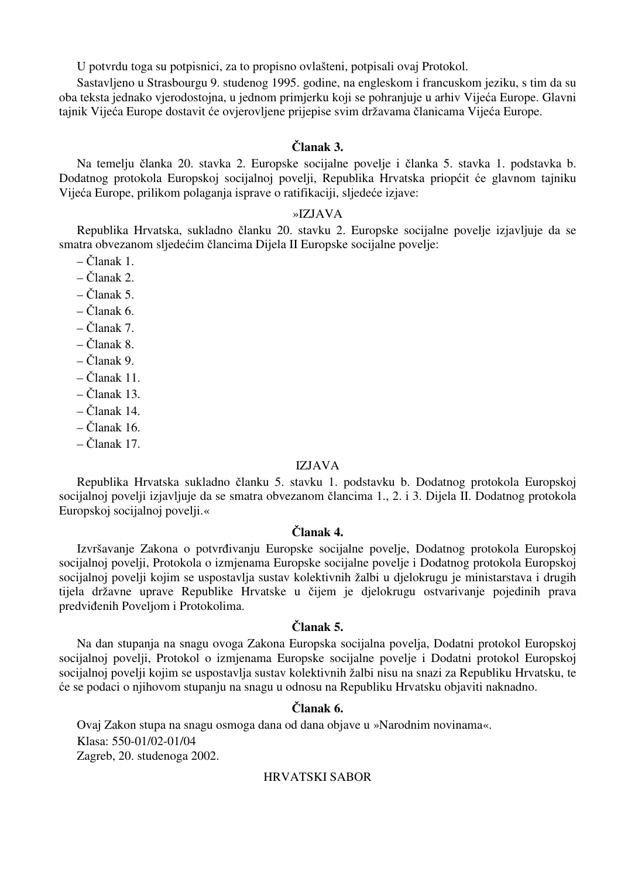U potvrdu toga su potpisnici, za to propisno ovlašteni, potpisali ovaj Protokol.

Sastavljeno u Strasbourgu 9. studenog 1995. godine, na engleskom i francuskom jeziku, s tim da su oba teksta jednako vjerodostojna, u jednom primjerku koji se pohranjuje u arhiv Vijeća Europe. Glavni tajnik Vijeća Europe dostavit će ovjerovljene prijepise svim državama članicama Vijeća Europe.

### Č**lanak 3.**

Na temelju članka 20. stavka 2. Europske socijalne povelje i članka 5. stavka 1. podstavka b. Dodatnog protokola Europskoj socijalnoj povelji, Republika Hrvatska priopćit će glavnom tajniku Vijeća Europe, prilikom polaganja isprave o ratifikaciji, sljedeće izjave:

### »IZJAVA

Republika Hrvatska, sukladno članku 20. stavku 2. Europske socijalne povelje izjavljuje da se smatra obvezanom sljedećim člancima Dijela II Europske socijalne povelje:

- Članak 1.
- Članak 2.
- Članak 5.
- Članak 6.
- Članak 7.
- Članak 8.
- Članak 9.
- Članak 11.
- Članak 13.
- Članak 14.
- Članak 16.
- Članak 17.

#### IZJAVA

Republika Hrvatska sukladno članku 5. stavku 1. podstavku b. Dodatnog protokola Europskoj socijalnoj povelji izjavljuje da se smatra obvezanom člancima 1., 2. i 3. Dijela II. Dodatnog protokola Europskoj socijalnoj povelji.«

### Č**lanak 4.**

Izvršavanje Zakona o potvrđivanju Europske socijalne povelje, Dodatnog protokola Europskoj socijalnoj povelji, Protokola o izmjenama Europske socijalne povelje i Dodatnog protokola Europskoj socijalnoj povelji kojim se uspostavlja sustav kolektivnih žalbi u djelokrugu je ministarstava i drugih tijela državne uprave Republike Hrvatske u čijem je djelokrugu ostvarivanje pojedinih prava predviđenih Poveljom i Protokolima.

### Č**lanak 5.**

Na dan stupanja na snagu ovoga Zakona Europska socijalna povelja, Dodatni protokol Europskoj socijalnoj povelji, Protokol o izmjenama Europske socijalne povelje i Dodatni protokol Europskoj socijalnoj povelji kojim se uspostavlja sustav kolektivnih žalbi nisu na snazi za Republiku Hrvatsku, te će se podaci o njihovom stupanju na snagu u odnosu na Republiku Hrvatsku objaviti naknadno.

### Č**lanak 6.**

Ovaj Zakon stupa na snagu osmoga dana od dana objave u »Narodnim novinama«. Klasa: 550-01/02-01/04 Zagreb, 20. studenoga 2002.

#### HRVATSKI SABOR